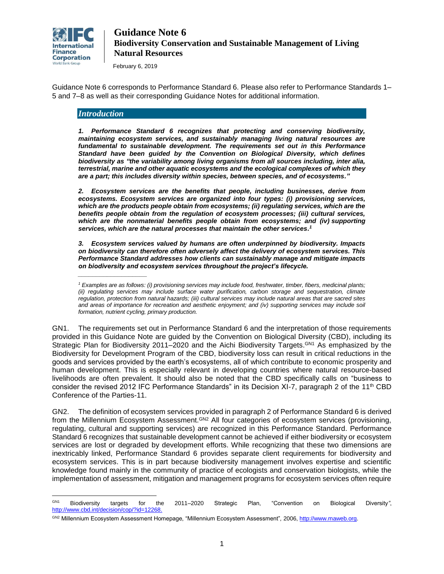

February 6, 2019

Guidance Note 6 corresponds to Performance Standard 6. Please also refer to Performance Standards 1– 5 and 7–8 as well as their corresponding Guidance Notes for additional information.

### *Introduction*

*\_\_\_\_\_\_\_\_\_\_\_\_\_\_\_\_\_\_\_*

*1. Performance Standard 6 recognizes that protecting and conserving biodiversity, maintaining ecosystem services, and sustainably managing living natural resources are fundamental to sustainable development. The requirements set out in this Performance Standard have been guided by the Convention on Biological Diversity, which defines biodiversity as "the variability among living organisms from all sources including, inter alia, terrestrial, marine and other aquatic ecosystems and the ecological complexes of which they are a part; this includes diversity within species, between species, and of ecosystems."*

*2. Ecosystem services are the benefits that people, including businesses, derive from ecosystems. Ecosystem services are organized into four types: (i) provisioning services, which are the products people obtain from ecosystems; (ii) regulating services, which are the benefits people obtain from the regulation of ecosystem processes; (iii) cultural services, which are the nonmaterial benefits people obtain from ecosystems; and (iv) supporting services, which are the natural processes that maintain the other services. 1*

*3. Ecosystem services valued by humans are often underpinned by biodiversity. Impacts on biodiversity can therefore often adversely affect the delivery of ecosystem services. This Performance Standard addresses how clients can sustainably manage and mitigate impacts on biodiversity and ecosystem services throughout the project's lifecycle.*

GN1. The requirements set out in Performance Standard 6 and the interpretation of those requirements provided in this Guidance Note are guided by the Convention on Biological Diversity (CBD), including its Strategic Plan for Biodiversity 2011–2020 and the Aichi Biodiversity Targets.<sup>GN1</sup> As emphasized by the Biodiversity for Development Program of the CBD, biodiversity loss can result in critical reductions in the goods and services provided by the earth's ecosystems, all of which contribute to economic prosperity and human development. This is especially relevant in developing countries where natural resource-based livelihoods are often prevalent. It should also be noted that the CBD specifically calls on "business to consider the revised 2012 IFC Performance Standards" in its Decision XI-7, paragraph 2 of the 11<sup>th</sup> CBD Conference of the Parties-11.

GN2. The definition of ecosystem services provided in paragraph 2 of Performance Standard 6 is derived from the Millennium Ecosystem Assessment. GN2 All four categories of ecosystem services (provisioning, regulating, cultural and supporting services) are recognized in this Performance Standard. Performance Standard 6 recognizes that sustainable development cannot be achieved if either biodiversity or ecosystem services are lost or degraded by development efforts. While recognizing that these two dimensions are inextricably linked, Performance Standard 6 provides separate client requirements for biodiversity and ecosystem services. This is in part because biodiversity management involves expertise and scientific knowledge found mainly in the community of practice of ecologists and conservation biologists, while the implementation of assessment, mitigation and management programs for ecosystem services often require

*<sup>1</sup> Examples are as follows: (i) provisioning services may include food, freshwater, timber, fibers, medicinal plants; (ii) regulating services may include surface water purification, carbon storage and sequestration, climate regulation, protection from natural hazards; (iii) cultural services may include natural areas that are sacred sites*  and areas of importance for recreation and aesthetic enjoyment; and (iv) supporting services may include soil *formation, nutrient cycling, primary production.*

GN<sub>1</sub> GN1 Biodiversity targets for the 2011–2020 Strategic Plan, "Convention on Biological Diversity*"*, [http://www.cbd.int/decision/cop/?id=12268.](http://www.cbd.int/decision/cop/?id=12268)

GN2 Millennium Ecosystem Assessment Homepage, "Millennium Ecosystem Assessment"*,* 2006[, http://www.maweb.org.](http://www.maweb.org/)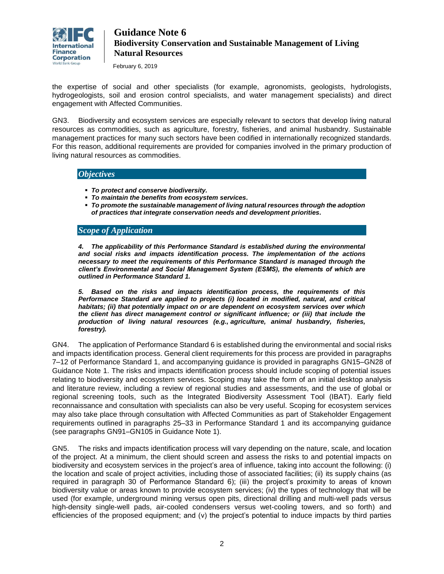

February 6, 2019

the expertise of social and other specialists (for example, agronomists, geologists, hydrologists, hydrogeologists, soil and erosion control specialists, and water management specialists) and direct engagement with Affected Communities.

GN3. Biodiversity and ecosystem services are especially relevant to sectors that develop living natural resources as commodities, such as agriculture, forestry, fisheries, and animal husbandry. Sustainable management practices for many such sectors have been codified in internationally recognized standards. For this reason, additional requirements are provided for companies involved in the primary production of living natural resources as commodities.

### *Objectives*

- *To protect and conserve biodiversity.*
- *To maintain the benefits from ecosystem services.*
- *To promote the sustainable management of living natural resources through the adoption of practices that integrate conservation needs and development priorities.*

### *Scope of Application*

*4. The applicability of this Performance Standard is established during the environmental and social risks and impacts identification process. The implementation of the actions necessary to meet the requirements of this Performance Standard is managed through the client's Environmental and Social Management System (ESMS), the elements of which are outlined in Performance Standard 1.*

*5. Based on the risks and impacts identification process, the requirements of this Performance Standard are applied to projects (i) located in modified, natural, and critical habitats; (ii) that potentially impact on or are dependent on ecosystem services over which the client has direct management control or significant influence; or (iii) that include the production of living natural resources (e.g., agriculture, animal husbandry, fisheries, forestry).*

GN4. The application of Performance Standard 6 is established during the environmental and social risks and impacts identification process. General client requirements for this process are provided in paragraphs 7–12 of Performance Standard 1, and accompanying guidance is provided in paragraphs GN15–GN28 of Guidance Note 1. The risks and impacts identification process should include scoping of potential issues relating to biodiversity and ecosystem services. Scoping may take the form of an initial desktop analysis and literature review, including a review of regional studies and assessments, and the use of global or regional screening tools, such as the Integrated Biodiversity Assessment Tool (IBAT). Early field reconnaissance and consultation with specialists can also be very useful. Scoping for ecosystem services may also take place through consultation with Affected Communities as part of Stakeholder Engagement requirements outlined in paragraphs 25–33 in Performance Standard 1 and its accompanying guidance (see paragraphs GN91–GN105 in Guidance Note 1).

GN5. The risks and impacts identification process will vary depending on the nature, scale, and location of the project. At a minimum, the client should screen and assess the risks to and potential impacts on biodiversity and ecosystem services in the project's area of influence, taking into account the following: (i) the location and scale of project activities, including those of associated facilities; (ii) its supply chains (as required in paragraph 30 of Performance Standard 6); (iii) the project's proximity to areas of known biodiversity value or areas known to provide ecosystem services; (iv) the types of technology that will be used (for example, underground mining versus open pits, directional drilling and multi-well pads versus high-density single-well pads, air-cooled condensers versus wet-cooling towers, and so forth) and efficiencies of the proposed equipment; and (v) the project's potential to induce impacts by third parties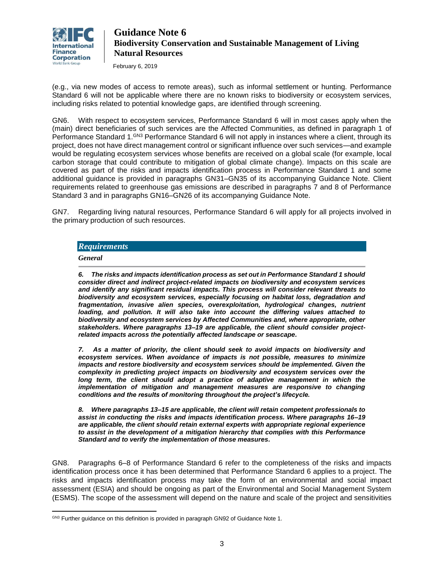

February 6, 2019

(e.g., via new modes of access to remote areas), such as informal settlement or hunting. Performance Standard 6 will not be applicable where there are no known risks to biodiversity or ecosystem services, including risks related to potential knowledge gaps, are identified through screening.

GN6. With respect to ecosystem services, Performance Standard 6 will in most cases apply when the (main) direct beneficiaries of such services are the Affected Communities, as defined in paragraph 1 of Performance Standard 1.<sup>GN3</sup> Performance Standard 6 will not apply in instances where a client, through its project, does not have direct management control or significant influence over such services—and example would be regulating ecosystem services whose benefits are received on a global scale (for example, local carbon storage that could contribute to mitigation of global climate change). Impacts on this scale are covered as part of the risks and impacts identification process in Performance Standard 1 and some additional guidance is provided in paragraphs GN31–GN35 of its accompanying Guidance Note. Client requirements related to greenhouse gas emissions are described in paragraphs 7 and 8 of Performance Standard 3 and in paragraphs GN16–GN26 of its accompanying Guidance Note.

GN7. Regarding living natural resources, Performance Standard 6 will apply for all projects involved in the primary production of such resources.

### *Requirements*

*General*

 $\overline{a}$ 

*6. The risks and impacts identification process as set out in Performance Standard 1 should consider direct and indirect project-related impacts on biodiversity and ecosystem services and identify any significant residual impacts. This process will consider relevant threats to biodiversity and ecosystem services, especially focusing on habitat loss, degradation and fragmentation, invasive alien species, overexploitation, hydrological changes, nutrient loading, and pollution. It will also take into account the differing values attached to biodiversity and ecosystem services by Affected Communities and, where appropriate, other stakeholders. Where paragraphs 13–19 are applicable, the client should consider projectrelated impacts across the potentially affected landscape or seascape.*

*7. As a matter of priority, the client should seek to avoid impacts on biodiversity and ecosystem services. When avoidance of impacts is not possible, measures to minimize impacts and restore biodiversity and ecosystem services should be implemented. Given the complexity in predicting project impacts on biodiversity and ecosystem services over the*  long term, the client should adopt a practice of adaptive management in which the *implementation of mitigation and management measures are responsive to changing conditions and the results of monitoring throughout the project's lifecycle.*

*8. Where paragraphs 13–15 are applicable, the client will retain competent professionals to assist in conducting the risks and impacts identification process. Where paragraphs 16–19 are applicable, the client should retain external experts with appropriate regional experience to assist in the development of a mitigation hierarchy that complies with this Performance Standard and to verify the implementation of those measures.*

GN8. Paragraphs 6–8 of Performance Standard 6 refer to the completeness of the risks and impacts identification process once it has been determined that Performance Standard 6 applies to a project. The risks and impacts identification process may take the form of an environmental and social impact assessment (ESIA) and should be ongoing as part of the Environmental and Social Management System (ESMS). The scope of the assessment will depend on the nature and scale of the project and sensitivities

GN3 Further guidance on this definition is provided in paragraph GN92 of Guidance Note 1.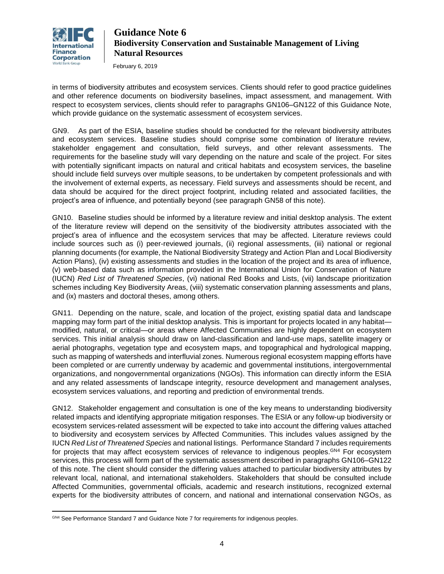

 $\overline{a}$ 

# **Guidance Note 6 Biodiversity Conservation and Sustainable Management of Living Natural Resources**

February 6, 2019

in terms of biodiversity attributes and ecosystem services. Clients should refer to good practice guidelines and other reference documents on biodiversity baselines, impact assessment, and management. With respect to ecosystem services, clients should refer to paragraphs [GN106](#page-29-0)[–GN122](#page-33-0) of this Guidance Note, which provide guidance on the systematic assessment of ecosystem services.

GN9. As part of the ESIA, baseline studies should be conducted for the relevant biodiversity attributes and ecosystem services. Baseline studies should comprise some combination of literature review, stakeholder engagement and consultation, field surveys, and other relevant assessments. The requirements for the baseline study will vary depending on the nature and scale of the project. For sites with potentially significant impacts on natural and critical habitats and ecosystem services, the baseline should include field surveys over multiple seasons, to be undertaken by competent professionals and with the involvement of external experts, as necessary. Field surveys and assessments should be recent, and data should be acquired for the direct project footprint, including related and associated facilities, the project's area of influence, and potentially beyond (see paragraph GN58 of this note).

GN10. Baseline studies should be informed by a literature review and initial desktop analysis. The extent of the literature review will depend on the sensitivity of the biodiversity attributes associated with the project's area of influence and the ecosystem services that may be affected. Literature reviews could include sources such as (i) peer-reviewed journals, (ii) regional assessments, (iii) national or regional planning documents (for example, the National Biodiversity Strategy and Action Plan and Local Biodiversity Action Plans), (iv) existing assessments and studies in the location of the project and its area of influence, (v) web-based data such as information provided in the International Union for Conservation of Nature (IUCN) *Red List of Threatened Species*, (vi) national Red Books and Lists, (vii) landscape prioritization schemes including Key Biodiversity Areas, (viii) systematic conservation planning assessments and plans, and (ix) masters and doctoral theses, among others.

GN11. Depending on the nature, scale, and location of the project, existing spatial data and landscape mapping may form part of the initial desktop analysis. This is important for projects located in any habitat modified, natural, or critical—or areas where Affected Communities are highly dependent on ecosystem services. This initial analysis should draw on land-classification and land-use maps, satellite imagery or aerial photographs, vegetation type and ecosystem maps, and topographical and hydrological mapping, such as mapping of watersheds and interfluvial zones. Numerous regional ecosystem mapping efforts have been completed or are currently underway by academic and governmental institutions, intergovernmental organizations, and nongovernmental organizations (NGOs). This information can directly inform the ESIA and any related assessments of landscape integrity, resource development and management analyses, ecosystem services valuations, and reporting and prediction of environmental trends.

GN12. Stakeholder engagement and consultation is one of the key means to understanding biodiversity related impacts and identifying appropriate mitigation responses. The ESIA or any follow-up biodiversity or ecosystem services-related assessment will be expected to take into account the differing values attached to biodiversity and ecosystem services by Affected Communities. This includes values assigned by the IUCN *Red List of Threatened Species* and national listings. Performance Standard 7 includes requirements for projects that may affect ecosystem services of relevance to indigenous peoples.<sup>GN4</sup> For ecosystem services, this process will form part of the systematic assessment described in paragraphs GN106–GN122 of this note. The client should consider the differing values attached to particular biodiversity attributes by relevant local, national, and international stakeholders. Stakeholders that should be consulted include Affected Communities, governmental officials, academic and research institutions, recognized external experts for the biodiversity attributes of concern, and national and international conservation NGOs, as

GN4 See Performance Standard 7 and Guidance Note 7 for requirements for indigenous peoples.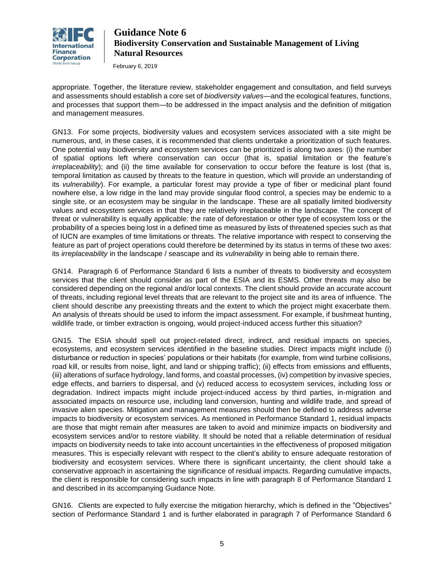

February 6, 2019

appropriate. Together, the literature review, stakeholder engagement and consultation, and field surveys and assessments should establish a core set of *biodiversity values*—and the ecological features, functions, and processes that support them—to be addressed in the impact analysis and the definition of mitigation and management measures.

GN13. For some projects, biodiversity values and ecosystem services associated with a site might be numerous, and, in these cases, it is recommended that clients undertake a prioritization of such features. One potential way biodiversity and ecosystem services can be prioritized is along two axes: (i) the number of spatial options left where conservation can occur (that is, spatial limitation or the feature's *irreplaceability*); and (ii) the time available for conservation to occur before the feature is lost (that is, temporal limitation as caused by threats to the feature in question, which will provide an understanding of its *vulnerability*). For example, a particular forest may provide a type of fiber or medicinal plant found nowhere else, a low ridge in the land may provide singular flood control, a species may be endemic to a single site, or an ecosystem may be singular in the landscape. These are all spatially limited biodiversity values and ecosystem services in that they are relatively irreplaceable in the landscape. The concept of threat or vulnerability is equally applicable: the rate of deforestation or other type of ecosystem loss or the probability of a species being lost in a defined time as measured by lists of threatened species such as that of IUCN are examples of time limitations or threats. The relative importance with respect to conserving the feature as part of project operations could therefore be determined by its status in terms of these two axes: its *irreplaceability* in the landscape / seascape and its *vulnerability* in being able to remain there.

GN14. Paragraph 6 of Performance Standard 6 lists a number of threats to biodiversity and ecosystem services that the client should consider as part of the ESIA and its ESMS. Other threats may also be considered depending on the regional and/or local contexts. The client should provide an accurate account of threats, including regional level threats that are relevant to the project site and its area of influence. The client should describe any preexisting threats and the extent to which the project might exacerbate them. An analysis of threats should be used to inform the impact assessment. For example, if bushmeat hunting, wildlife trade, or timber extraction is ongoing, would project-induced access further this situation?

GN15. The ESIA should spell out project-related direct, indirect, and residual impacts on species, ecosystems, and ecosystem services identified in the baseline studies. Direct impacts might include (i) disturbance or reduction in species' populations or their habitats (for example, from wind turbine collisions, road kill, or results from noise, light, and land or shipping traffic); (ii) effects from emissions and effluents, (iii) alterations of surface hydrology, land forms, and coastal processes, (iv) competition by invasive species, edge effects, and barriers to dispersal, and (v) reduced access to ecosystem services, including loss or degradation. Indirect impacts might include project-induced access by third parties, in-migration and associated impacts on resource use, including land conversion, hunting and wildlife trade, and spread of invasive alien species. Mitigation and management measures should then be defined to address adverse impacts to biodiversity or ecosystem services. As mentioned in Performance Standard 1, residual impacts are those that might remain after measures are taken to avoid and minimize impacts on biodiversity and ecosystem services and/or to restore viability. It should be noted that a reliable determination of residual impacts on biodiversity needs to take into account uncertainties in the effectiveness of proposed mitigation measures. This is especially relevant with respect to the client's ability to ensure adequate restoration of biodiversity and ecosystem services. Where there is significant uncertainty, the client should take a conservative approach in ascertaining the significance of residual impacts. Regarding cumulative impacts, the client is responsible for considering such impacts in line with paragraph 8 of Performance Standard 1 and described in its accompanying Guidance Note.

GN16. Clients are expected to fully exercise the mitigation hierarchy, which is defined in the "Objectives" section of Performance Standard 1 and is further elaborated in paragraph 7 of Performance Standard 6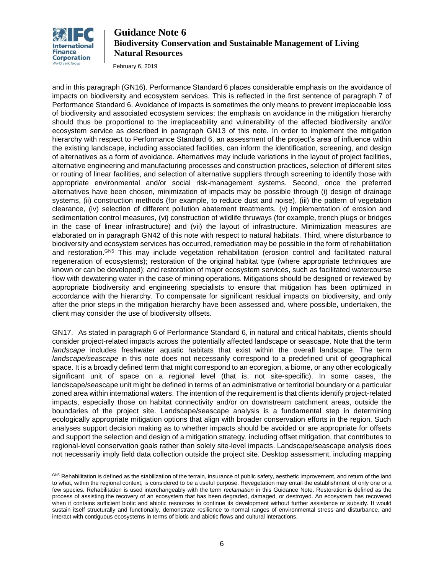

 $\overline{a}$ 

# **Guidance Note 6 Biodiversity Conservation and Sustainable Management of Living Natural Resources**

February 6, 2019

and in this paragraph (GN16). Performance Standard 6 places considerable emphasis on the avoidance of impacts on biodiversity and ecosystem services. This is reflected in the first sentence of paragraph 7 of Performance Standard 6. Avoidance of impacts is sometimes the only means to prevent irreplaceable loss of biodiversity and associated ecosystem services; the emphasis on avoidance in the mitigation hierarchy should thus be proportional to the irreplaceability and vulnerability of the affected biodiversity and/or ecosystem service as described in paragraph GN13 of this note. In order to implement the mitigation hierarchy with respect to Performance Standard 6, an assessment of the project's area of influence within the existing landscape, including associated facilities, can inform the identification, screening, and design of alternatives as a form of avoidance. Alternatives may include variations in the layout of project facilities, alternative engineering and manufacturing processes and construction practices, selection of different sites or routing of linear facilities, and selection of alternative suppliers through screening to identify those with appropriate environmental and/or social risk-management systems. Second, once the preferred alternatives have been chosen, minimization of impacts may be possible through (i) design of drainage systems, (ii) construction methods (for example, to reduce dust and noise), (iii) the pattern of vegetation clearance, (iv) selection of different pollution abatement treatments, (v) implementation of erosion and sedimentation control measures, (vi) construction of wildlife thruways (for example, trench plugs or bridges in the case of linear infrastructure) and (vii) the layout of infrastructure. Minimization measures are elaborated on in paragraph GN42 of this note with respect to natural habitats. Third, where disturbance to biodiversity and ecosystem services has occurred, remediation may be possible in the form of rehabilitation and restoration.<sup>GN5</sup> This may include vegetation rehabilitation (erosion control and facilitated natural regeneration of ecosystems); restoration of the original habitat type (where appropriate techniques are known or can be developed); and restoration of major ecosystem services, such as facilitated watercourse flow with dewatering water in the case of mining operations. Mitigations should be designed or reviewed by appropriate biodiversity and engineering specialists to ensure that mitigation has been optimized in accordance with the hierarchy. To compensate for significant residual impacts on biodiversity, and only after the prior steps in the mitigation hierarchy have been assessed and, where possible, undertaken, the client may consider the use of biodiversity offsets.

GN17. As stated in paragraph 6 of Performance Standard 6, in natural and critical habitats, clients should consider project-related impacts across the potentially affected landscape or seascape. Note that the term *landscape* includes freshwater aquatic habitats that exist within the overall landscape. The term *landscape/seascape* in this note does not necessarily correspond to a predefined unit of geographical space. It is a broadly defined term that might correspond to an ecoregion, a biome, or any other ecologically significant unit of space on a regional level (that is, not site-specific). In some cases, the landscape/seascape unit might be defined in terms of an administrative or territorial boundary or a particular zoned area within international waters. The intention of the requirement is that clients identify project-related impacts, especially those on habitat connectivity and/or on downstream catchment areas, outside the boundaries of the project site. Landscape/seascape analysis is a fundamental step in determining ecologically appropriate mitigation options that align with broader conservation efforts in the region. Such analyses support decision making as to whether impacts should be avoided or are appropriate for offsets and support the selection and design of a mitigation strategy, including offset mitigation, that contributes to regional-level conservation goals rather than solely site-level impacts. Landscape/seascape analysis does not necessarily imply field data collection outside the project site. Desktop assessment, including mapping

GN5 Rehabilitation is defined as the stabilization of the terrain, insurance of public safety, aesthetic improvement, and return of the land to what, within the regional context, is considered to be a useful purpose. Revegetation may entail the establishment of only one or a few species. Rehabilitation is used interchangeably with the term *reclamation* in this Guidance Note. Restoration is defined as the process of assisting the recovery of an ecosystem that has been degraded, damaged, or destroyed. An ecosystem has recovered when it contains sufficient biotic and abiotic resources to continue its development without further assistance or subsidy. It would sustain itself structurally and functionally, demonstrate resilience to normal ranges of environmental stress and disturbance, and interact with contiguous ecosystems in terms of biotic and abiotic flows and cultural interactions.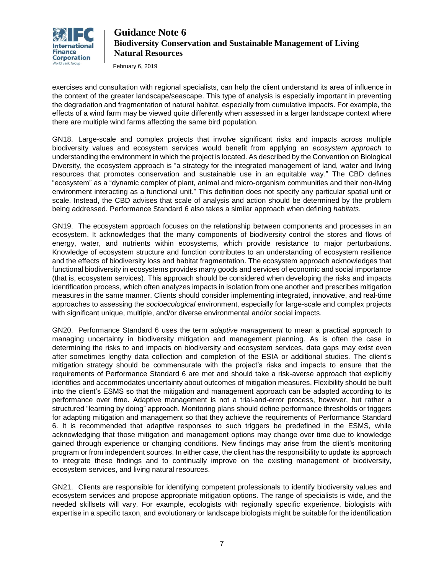

February 6, 2019

exercises and consultation with regional specialists, can help the client understand its area of influence in the context of the greater landscape/seascape. This type of analysis is especially important in preventing the degradation and fragmentation of natural habitat, especially from cumulative impacts. For example, the effects of a wind farm may be viewed quite differently when assessed in a larger landscape context where there are multiple wind farms affecting the same bird population.

GN18. Large-scale and complex projects that involve significant risks and impacts across multiple biodiversity values and ecosystem services would benefit from applying an *ecosystem approach* to understanding the environment in which the project is located. As described by the Convention on Biological Diversity, the ecosystem approach is "a strategy for the integrated management of land, water and living resources that promotes conservation and sustainable use in an equitable way." The CBD defines "ecosystem" as a "dynamic complex of plant, animal and micro-organism communities and their non-living environment interacting as a functional unit." This definition does not specify any particular spatial unit or scale. Instead, the CBD advises that scale of analysis and action should be determined by the problem being addressed. Performance Standard 6 also takes a similar approach when defining *habitats*.

GN19. The ecosystem approach focuses on the relationship between components and processes in an ecosystem. It acknowledges that the many components of biodiversity control the stores and flows of energy, water, and nutrients within ecosystems, which provide resistance to major perturbations. Knowledge of ecosystem structure and function contributes to an understanding of ecosystem resilience and the effects of biodiversity loss and habitat fragmentation. The ecosystem approach acknowledges that functional biodiversity in ecosystems provides many goods and services of economic and social importance (that is, ecosystem services). This approach should be considered when developing the risks and impacts identification process, which often analyzes impacts in isolation from one another and prescribes mitigation measures in the same manner. Clients should consider implementing integrated, innovative, and real-time approaches to assessing the *socioecological* environment, especially for large-scale and complex projects with significant unique, multiple, and/or diverse environmental and/or social impacts.

GN20. Performance Standard 6 uses the term *adaptive management* to mean a practical approach to managing uncertainty in biodiversity mitigation and management planning. As is often the case in determining the risks to and impacts on biodiversity and ecosystem services, data gaps may exist even after sometimes lengthy data collection and completion of the ESIA or additional studies. The client's mitigation strategy should be commensurate with the project's risks and impacts to ensure that the requirements of Performance Standard 6 are met and should take a risk-averse approach that explicitly identifies and accommodates uncertainty about outcomes of mitigation measures. Flexibility should be built into the client's ESMS so that the mitigation and management approach can be adapted according to its performance over time. Adaptive management is not a trial-and-error process, however, but rather a structured "learning by doing" approach. Monitoring plans should define performance thresholds or triggers for adapting mitigation and management so that they achieve the requirements of Performance Standard 6. It is recommended that adaptive responses to such triggers be predefined in the ESMS, while acknowledging that those mitigation and management options may change over time due to knowledge gained through experience or changing conditions. New findings may arise from the client's monitoring program or from independent sources. In either case, the client has the responsibility to update its approach to integrate these findings and to continually improve on the existing management of biodiversity, ecosystem services, and living natural resources.

GN21. Clients are responsible for identifying competent professionals to identify biodiversity values and ecosystem services and propose appropriate mitigation options. The range of specialists is wide, and the needed skillsets will vary. For example, ecologists with regionally specific experience, biologists with expertise in a specific taxon, and evolutionary or landscape biologists might be suitable for the identification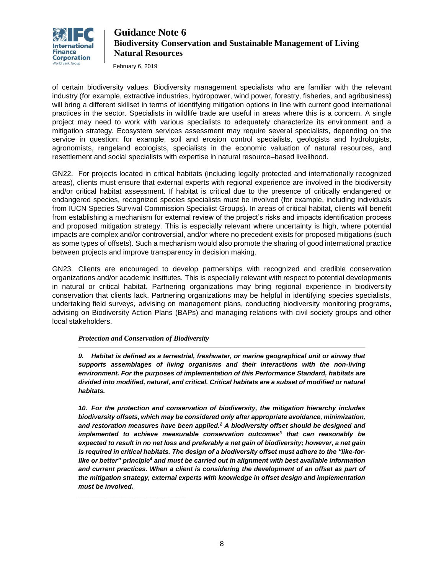

February 6, 2019

of certain biodiversity values. Biodiversity management specialists who are familiar with the relevant industry (for example, extractive industries, hydropower, wind power, forestry, fisheries, and agribusiness) will bring a different skillset in terms of identifying mitigation options in line with current good international practices in the sector. Specialists in wildlife trade are useful in areas where this is a concern. A single project may need to work with various specialists to adequately characterize its environment and a mitigation strategy. Ecosystem services assessment may require several specialists, depending on the service in question: for example, soil and erosion control specialists, geologists and hydrologists, agronomists, rangeland ecologists, specialists in the economic valuation of natural resources, and resettlement and social specialists with expertise in natural resource–based livelihood.

GN22. For projects located in critical habitats (including legally protected and internationally recognized areas), clients must ensure that external experts with regional experience are involved in the biodiversity and/or critical habitat assessment. If habitat is critical due to the presence of critically endangered or endangered species, recognized species specialists must be involved (for example, including individuals from IUCN Species Survival Commission Specialist Groups). In areas of critical habitat, clients will benefit from establishing a mechanism for external review of the project's risks and impacts identification process and proposed mitigation strategy. This is especially relevant where uncertainty is high, where potential impacts are complex and/or controversial, and/or where no precedent exists for proposed mitigations (such as some types of offsets). Such a mechanism would also promote the sharing of good international practice between projects and improve transparency in decision making.

GN23. Clients are encouraged to develop partnerships with recognized and credible conservation organizations and/or academic institutes. This is especially relevant with respect to potential developments in natural or critical habitat. Partnering organizations may bring regional experience in biodiversity conservation that clients lack. Partnering organizations may be helpful in identifying species specialists, undertaking field surveys, advising on management plans, conducting biodiversity monitoring programs, advising on Biodiversity Action Plans (BAPs) and managing relations with civil society groups and other local stakeholders.

### *Protection and Conservation of Biodiversity*

*\_\_\_\_\_\_\_\_\_\_\_\_\_\_\_\_\_\_\_\_\_\_\_\_\_\_\_\_\_\_*

*9. Habitat is defined as a terrestrial, freshwater, or marine geographical unit or airway that supports assemblages of living organisms and their interactions with the non-living environment. For the purposes of implementation of this Performance Standard, habitats are divided into modified, natural, and critical. Critical habitats are a subset of modified or natural habitats.*

*10. For the protection and conservation of biodiversity, the mitigation hierarchy includes biodiversity offsets, which may be considered only after appropriate avoidance, minimization, and restoration measures have been applied.<sup>2</sup> A biodiversity offset should be designed and implemented to achieve measurable conservation outcomes<sup>3</sup> that can reasonably be expected to result in no net loss and preferably a net gain of biodiversity; however, a net gain is required in critical habitats. The design of a biodiversity offset must adhere to the "like-forlike or better" principle<sup>4</sup> and must be carried out in alignment with best available information and current practices. When a client is considering the development of an offset as part of the mitigation strategy, external experts with knowledge in offset design and implementation must be involved.*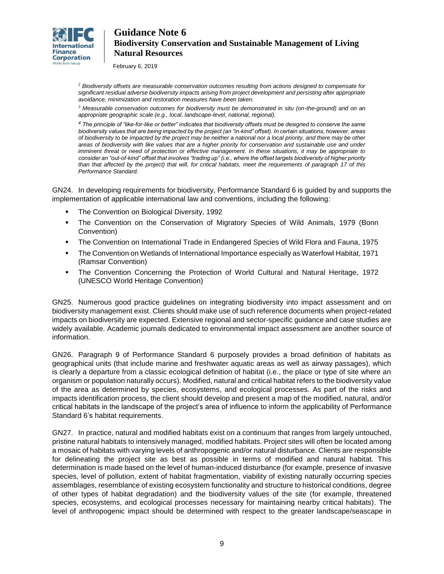

February 6, 2019

*<sup>2</sup> Biodiversity offsets are measurable conservation outcomes resulting from actions designed to compensate for significant residual adverse biodiversity impacts arising from project development and persisting after appropriate avoidance, minimization and restoration measures have been taken.*

*<sup>3</sup> Measurable conservation outcomes for biodiversity must be demonstrated in situ (on-the-ground) and on an appropriate geographic scale (e.g., local, landscape-level, national, regional).* 

*<sup>4</sup> The principle of "like-for-like or better" indicates that biodiversity offsets must be designed to conserve the same biodiversity values that are being impacted by the project (an "in-kind" offset). In certain situations, however, areas of biodiversity to be impacted by the project may be neither a national nor a local priority, and there may be other areas of biodiversity with like values that are a higher priority for conservation and sustainable use and under imminent threat or need of protection or effective management. In these situations, it may be appropriate to consider an "out-of-kind" offset that involves "trading up" (i.e., where the offset targets biodiversity of higher priority than that affected by the project) that will, for critical habitats, meet the requirements of paragraph 17 of this Performance Standard.* 

GN24. In developing requirements for biodiversity, Performance Standard 6 is guided by and supports the implementation of applicable international law and conventions, including the following:

- **The Convention on Biological Diversity, 1992**
- The Convention on the Conservation of Migratory Species of Wild Animals, 1979 (Bonn Convention)
- The Convention on International Trade in Endangered Species of Wild Flora and Fauna, 1975
- The Convention on Wetlands of International Importance especially as Waterfowl Habitat, 1971 (Ramsar Convention)
- The Convention Concerning the Protection of World Cultural and Natural Heritage, 1972 (UNESCO World Heritage Convention)

GN25. Numerous good practice guidelines on integrating biodiversity into impact assessment and on biodiversity management exist. Clients should make use of such reference documents when project-related impacts on biodiversity are expected. Extensive regional and sector-specific guidance and case studies are widely available. Academic journals dedicated to environmental impact assessment are another source of information.

GN26. Paragraph 9 of Performance Standard 6 purposely provides a broad definition of habitats as geographical units (that include marine and freshwater aquatic areas as well as airway passages), which is clearly a departure from a classic ecological definition of habitat (i.e., the place or type of site where an organism or population naturally occurs). Modified, natural and critical habitat refers to the biodiversity value of the area as determined by species, ecosystems, and ecological processes. As part of the risks and impacts identification process, the client should develop and present a map of the modified, natural, and/or critical habitats in the landscape of the project's area of influence to inform the applicability of Performance Standard 6's habitat requirements.

GN27. In practice, natural and modified habitats exist on a continuum that ranges from largely untouched, pristine natural habitats to intensively managed, modified habitats. Project sites will often be located among a mosaic of habitats with varying levels of anthropogenic and/or natural disturbance. Clients are responsible for delineating the project site as best as possible in terms of modified and natural habitat. This determination is made based on the level of human-induced disturbance (for example, presence of invasive species, level of pollution, extent of habitat fragmentation, viability of existing naturally occurring species assemblages, resemblance of existing ecosystem functionality and structure to historical conditions, degree of other types of habitat degradation) and the biodiversity values of the site (for example, threatened species, ecosystems, and ecological processes necessary for maintaining nearby critical habitats). The level of anthropogenic impact should be determined with respect to the greater landscape/seascape in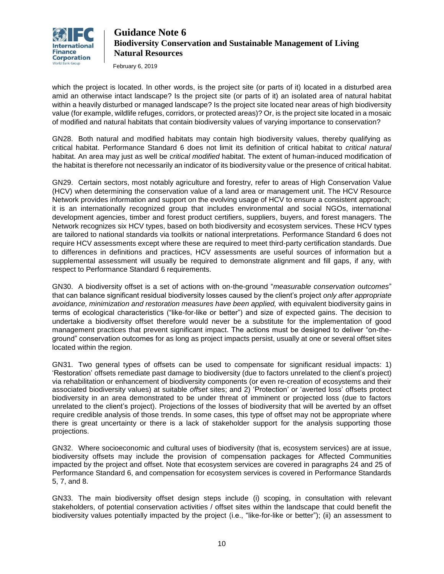

February 6, 2019

which the project is located. In other words, is the project site (or parts of it) located in a disturbed area amid an otherwise intact landscape? Is the project site (or parts of it) an isolated area of natural habitat within a heavily disturbed or managed landscape? Is the project site located near areas of high biodiversity value (for example, wildlife refuges, corridors, or protected areas)? Or, is the project site located in a mosaic of modified and natural habitats that contain biodiversity values of varying importance to conservation?

GN28. Both natural and modified habitats may contain high biodiversity values, thereby qualifying as critical habitat. Performance Standard 6 does not limit its definition of critical habitat to *critical natural* habitat. An area may just as well be *critical modified* habitat. The extent of human-induced modification of the habitat is therefore not necessarily an indicator of its biodiversity value or the presence of critical habitat.

GN29. Certain sectors, most notably agriculture and forestry, refer to areas of High Conservation Value (HCV) when determining the conservation value of a land area or management unit. The HCV Resource Network provides information and support on the evolving usage of HCV to ensure a consistent approach; it is an internationally recognized group that includes environmental and social NGOs, international development agencies, timber and forest product certifiers, suppliers, buyers, and forest managers. The Network recognizes six HCV types, based on both biodiversity and ecosystem services. These HCV types are tailored to national standards via toolkits or national interpretations. Performance Standard 6 does not require HCV assessments except where these are required to meet third-party certification standards. Due to differences in definitions and practices, HCV assessments are useful sources of information but a supplemental assessment will usually be required to demonstrate alignment and fill gaps, if any, with respect to Performance Standard 6 requirements.

GN30. A biodiversity offset is a set of actions with on-the-ground "*measurable conservation outcomes*" that can balance significant residual biodiversity losses caused by the client's project *only after appropriate avoidance, minimization and restoration measures have been applied,* with equivalent biodiversity gains in terms of ecological characteristics ("like-for-like or better") and size of expected gains. The decision to undertake a biodiversity offset therefore would never be a substitute for the implementation of good management practices that prevent significant impact. The actions must be designed to deliver "on-theground" conservation outcomes for as long as project impacts persist, usually at one or several offset sites located within the region.

GN31. Two general types of offsets can be used to compensate for significant residual impacts: 1) 'Restoration' offsets remediate past damage to biodiversity (due to factors unrelated to the client's project) via rehabilitation or enhancement of biodiversity components (or even re-creation of ecosystems and their associated biodiversity values) at suitable *offset* sites; and 2) 'Protection' or 'averted loss' offsets protect biodiversity in an area demonstrated to be under threat of imminent or projected loss (due to factors unrelated to the client's project). Projections of the losses of biodiversity that will be averted by an offset require credible analysis of those trends. In some cases, this type of offset may not be appropriate where there is great uncertainty or there is a lack of stakeholder support for the analysis supporting those projections.

GN32. Where socioeconomic and cultural uses of biodiversity (that is, ecosystem services) are at issue, biodiversity offsets may include the provision of compensation packages for Affected Communities impacted by the project and offset. Note that ecosystem services are covered in paragraphs 24 and 25 of Performance Standard 6, and compensation for ecosystem services is covered in Performance Standards 5, 7, and 8.

GN33. The main biodiversity offset design steps include (i) scoping, in consultation with relevant stakeholders, of potential conservation activities / offset sites within the landscape that could benefit the biodiversity values potentially impacted by the project (i.e., "like-for-like or better"); (ii) an assessment to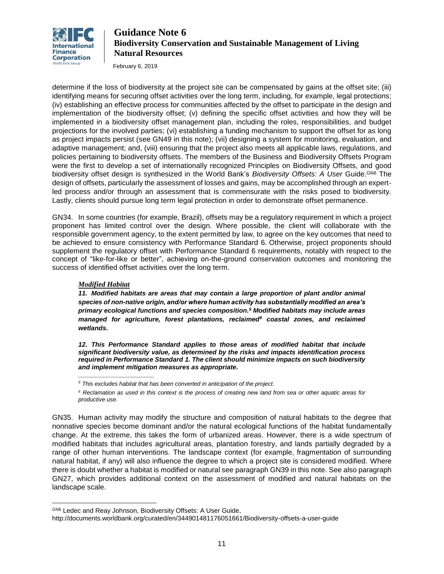

February 6, 2019

determine if the loss of biodiversity at the project site can be compensated by gains at the offset site; (iii) identifying means for securing offset activities over the long term, including, for example, legal protections; (iv) establishing an effective process for communities affected by the offset to participate in the design and implementation of the biodiversity offset; (v) defining the specific offset activities and how they will be implemented in a biodiversity offset management plan, including the roles, responsibilities, and budget projections for the involved parties; (vi) establishing a funding mechanism to support the offset for as long as project impacts persist (see GN49 in this note); (vii) designing a system for monitoring, evaluation, and adaptive management; and, (viii) ensuring that the project also meets all applicable laws, regulations, and policies pertaining to biodiversity offsets. The members of the Business and Biodiversity Offsets Program were the first to develop a set of internationally recognized Principles on Biodiversity Offsets, and good biodiversity offset design is synthesized in the World Bank's *Biodiversity Offsets: A User* Guide.GN6 The design of offsets, particularly the assessment of losses and gains, may be accomplished through an expertled process and/or through an assessment that is commensurate with the risks posed to biodiversity. Lastly, clients should pursue long term legal protection in order to demonstrate offset permanence.

GN34. In some countries (for example, Brazil), offsets may be a regulatory requirement in which a project proponent has limited control over the design. Where possible, the client will collaborate with the responsible government agency, to the extent permitted by law, to agree on the key outcomes that need to be achieved to ensure consistency with Performance Standard 6. Otherwise, project proponents should supplement the regulatory offset with Performance Standard 6 requirements, notably with respect to the concept of "like-for-like or better", achieving on-the-ground conservation outcomes and monitoring the success of identified offset activities over the long term.

#### *Modified Habitat*

*\_\_\_\_\_\_\_\_\_\_\_\_\_\_\_\_\_\_\_\_\_*

 $\overline{a}$ 

*11. Modified habitats are areas that may contain a large proportion of plant and/or animal species of non-native origin, and/or where human activity has substantially modified an area's primary ecological functions and species composition.<sup>5</sup> Modified habitats may include areas managed for agriculture, forest plantations, reclaimed<sup>6</sup> coastal zones, and reclaimed wetlands.*

*12. This Performance Standard applies to those areas of modified habitat that include significant biodiversity value, as determined by the risks and impacts identification process required in Performance Standard 1. The client should minimize impacts on such biodiversity and implement mitigation measures as appropriate.*

GN35. Human activity may modify the structure and composition of natural habitats to the degree that nonnative species become dominant and/or the natural ecological functions of the habitat fundamentally change. At the extreme, this takes the form of urbanized areas. However, there is a wide spectrum of modified habitats that includes agricultural areas, plantation forestry, and lands partially degraded by a range of other human interventions. The landscape context (for example, fragmentation of surrounding natural habitat, if any) will also influence the degree to which a project site is considered modified. Where there is doubt whether a habitat is modified or natural see paragraph GN39 in this note. See also paragraph GN27, which provides additional context on the assessment of modified and natural habitats on the landscape scale.

*<sup>5</sup> This excludes habitat that has been converted in anticipation of the project.*

*<sup>6</sup> Reclamation as used in this context is the process of creating new land from sea or other aquatic areas for productive use.*

GN6 Ledec and Reay Johnson, Biodiversity Offsets: A User Guide,

http://documents.worldbank.org/curated/en/344901481176051661/Biodiversity-offsets-a-user-guide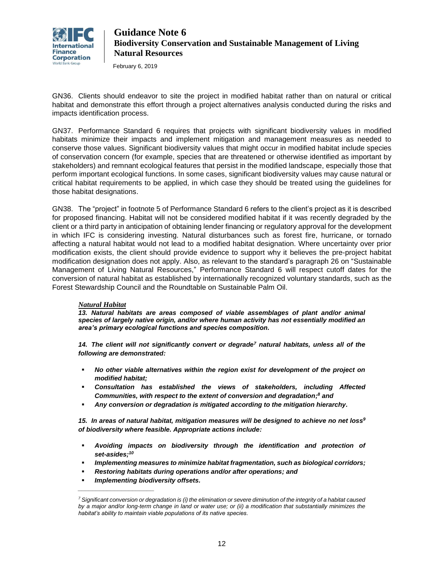

February 6, 2019

GN36. Clients should endeavor to site the project in modified habitat rather than on natural or critical habitat and demonstrate this effort through a project alternatives analysis conducted during the risks and impacts identification process.

GN37. Performance Standard 6 requires that projects with significant biodiversity values in modified habitats minimize their impacts and implement mitigation and management measures as needed to conserve those values. Significant biodiversity values that might occur in modified habitat include species of conservation concern (for example, species that are threatened or otherwise identified as important by stakeholders) and remnant ecological features that persist in the modified landscape, especially those that perform important ecological functions. In some cases, significant biodiversity values may cause natural or critical habitat requirements to be applied, in which case they should be treated using the guidelines for those habitat designations.

GN38. The "project" in footnote 5 of Performance Standard 6 refers to the client's project as it is described for proposed financing. Habitat will not be considered modified habitat if it was recently degraded by the client or a third party in anticipation of obtaining lender financing or regulatory approval for the development in which IFC is considering investing. Natural disturbances such as forest fire, hurricane, or tornado affecting a natural habitat would not lead to a modified habitat designation. Where uncertainty over prior modification exists, the client should provide evidence to support why it believes the pre-project habitat modification designation does not apply. Also, as relevant to the standard's paragraph 26 on "Sustainable Management of Living Natural Resources," Performance Standard 6 will respect cutoff dates for the conversion of natural habitat as established by internationally recognized voluntary standards, such as the Forest Stewardship Council and the Roundtable on Sustainable Palm Oil.

### *Natural Habitat*

13. Natural habitats are areas composed of viable assemblages of plant and/or animal *species of largely native origin, and/or where human activity has not essentially modified an area's primary ecological functions and species composition.*

*14. The client will not significantly convert or degrade<sup>7</sup> natural habitats, unless all of the following are demonstrated:*

- No other viable alternatives within the region exist for development of the project on *modified habitat;*
- *Consultation has established the views of stakeholders, including Affected Communities, with respect to the extent of conversion and degradation; <sup>8</sup> and*
- *Any conversion or degradation is mitigated according to the mitigation hierarchy.*

*15. In areas of natural habitat, mitigation measures will be designed to achieve no net loss<sup>9</sup> of biodiversity where feasible. Appropriate actions include:*

- *Avoiding impacts on biodiversity through the identification and protection of set-asides; 10*
- *Implementing measures to minimize habitat fragmentation, such as biological corridors;*
- **Restoring habitats during operations and/or after operations; and**
- *Implementing biodiversity offsets.*

*\_\_\_\_\_\_\_\_\_\_\_\_\_\_\_\_\_\_\_\_\_*

*<sup>7</sup> Significant conversion or degradation is (i) the elimination or severe diminution of the integrity of a habitat caused by a major and/or long-term change in land or water use; or (ii) a modification that substantially minimizes the habitat's ability to maintain viable populations of its native species.*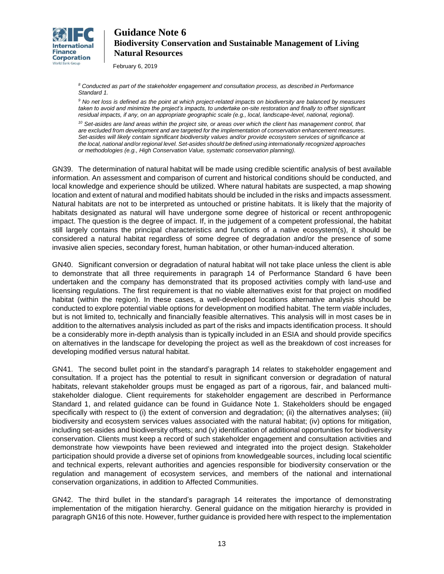

February 6, 2019

*<sup>8</sup> Conducted as part of the stakeholder engagement and consultation process, as described in Performance Standard 1.*

*<sup>9</sup> No net loss is defined as the point at which project-related impacts on biodiversity are balanced by measures taken to avoid and minimize the project's impacts, to undertake on-site restoration and finally to offset significant residual impacts, if any, on an appropriate geographic scale (e.g., local, landscape-level, national, regional).*

*<sup>10</sup> Set-asides are land areas within the project site, or areas over which the client has management control, that are excluded from development and are targeted for the implementation of conservation enhancement measures. Set-asides will likely contain significant biodiversity values and/or provide ecosystem services of significance at the local, national and/or regional level. Set-asides should be defined using internationally recognized approaches or methodologies (e.g., High Conservation Value, systematic conservation planning).*

GN39. The determination of natural habitat will be made using credible scientific analysis of best available information. An assessment and comparison of current and historical conditions should be conducted, and local knowledge and experience should be utilized. Where natural habitats are suspected, a map showing location and extent of natural and modified habitats should be included in the risks and impacts assessment. Natural habitats are not to be interpreted as untouched or pristine habitats. It is likely that the majority of habitats designated as natural will have undergone some degree of historical or recent anthropogenic impact. The question is the degree of impact. If, in the judgement of a competent professional, the habitat still largely contains the principal characteristics and functions of a native ecosystem(s), it should be considered a natural habitat regardless of some degree of degradation and/or the presence of some invasive alien species, secondary forest, human habitation, or other human-induced alteration.

GN40. Significant conversion or degradation of natural habitat will not take place unless the client is able to demonstrate that all three requirements in paragraph 14 of Performance Standard 6 have been undertaken and the company has demonstrated that its proposed activities comply with land-use and licensing regulations. The first requirement is that no viable alternatives exist for that project on modified habitat (within the region). In these cases, a well-developed locations alternative analysis should be conducted to explore potential viable options for development on modified habitat. The term *viable* includes, but is not limited to, technically and financially feasible alternatives. This analysis will in most cases be in addition to the alternatives analysis included as part of the risks and impacts identification process. It should be a considerably more in-depth analysis than is typically included in an ESIA and should provide specifics on alternatives in the landscape for developing the project as well as the breakdown of cost increases for developing modified versus natural habitat.

GN41. The second bullet point in the standard's paragraph 14 relates to stakeholder engagement and consultation. If a project has the potential to result in significant conversion or degradation of natural habitats, relevant stakeholder groups must be engaged as part of a rigorous, fair, and balanced multistakeholder dialogue. Client requirements for stakeholder engagement are described in Performance Standard 1, and related guidance can be found in Guidance Note 1. Stakeholders should be engaged specifically with respect to (i) the extent of conversion and degradation; (ii) the alternatives analyses; (iii) biodiversity and ecosystem services values associated with the natural habitat; (iv) options for mitigation, including set-asides and biodiversity offsets; and (v) identification of additional opportunities for biodiversity conservation. Clients must keep a record of such stakeholder engagement and consultation activities and demonstrate how viewpoints have been reviewed and integrated into the project design. Stakeholder participation should provide a diverse set of opinions from knowledgeable sources, including local scientific and technical experts, relevant authorities and agencies responsible for biodiversity conservation or the regulation and management of ecosystem services, and members of the national and international conservation organizations, in addition to Affected Communities.

GN42. The third bullet in the standard's paragraph 14 reiterates the importance of demonstrating implementation of the mitigation hierarchy. General guidance on the mitigation hierarchy is provided in paragraph GN16 of this note. However, further guidance is provided here with respect to the implementation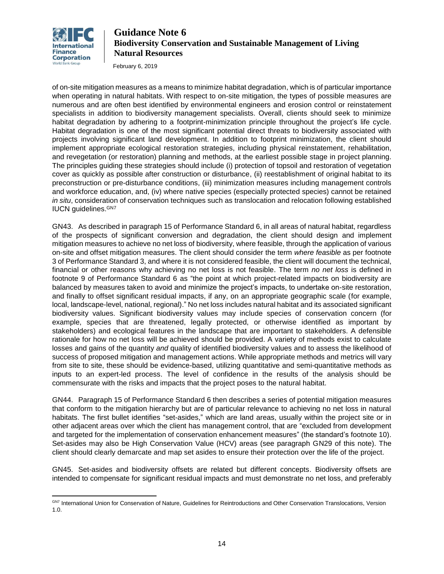

February 6, 2019

of on-site mitigation measures as a means to minimize habitat degradation, which is of particular importance when operating in natural habitats. With respect to on-site mitigation, the types of possible measures are numerous and are often best identified by environmental engineers and erosion control or reinstatement specialists in addition to biodiversity management specialists. Overall, clients should seek to minimize habitat degradation by adhering to a footprint-minimization principle throughout the project's life cycle. Habitat degradation is one of the most significant potential direct threats to biodiversity associated with projects involving significant land development. In addition to footprint minimization, the client should implement appropriate ecological restoration strategies, including physical reinstatement, rehabilitation, and revegetation (or restoration) planning and methods, at the earliest possible stage in project planning. The principles guiding these strategies should include (i) protection of topsoil and restoration of vegetation cover as quickly as possible after construction or disturbance, (ii) reestablishment of original habitat to its preconstruction or pre-disturbance conditions, (iii) minimization measures including management controls and workforce education, and, (iv) where native species (especially protected species) cannot be retained *in situ*, consideration of conservation techniques such as translocation and relocation following established IUCN guidelines.<sup>GN7</sup>

GN43. As described in paragraph 15 of Performance Standard 6, in all areas of natural habitat, regardless of the prospects of significant conversion and degradation, the client should design and implement mitigation measures to achieve no net loss of biodiversity, where feasible, through the application of various on-site and offset mitigation measures. The client should consider the term *where feasible* as per footnote 3 of Performance Standard 3, and where it is not considered feasible, the client will document the technical, financial or other reasons why achieving no net loss is not feasible. The term *no net loss* is defined in footnote 9 of Performance Standard 6 as "the point at which project-related impacts on biodiversity are balanced by measures taken to avoid and minimize the project's impacts, to undertake on-site restoration, and finally to offset significant residual impacts, if any, on an appropriate geographic scale (for example, local, landscape-level, national, regional)." No net loss includes natural habitat and its associated significant biodiversity values. Significant biodiversity values may include species of conservation concern (for example, species that are threatened, legally protected, or otherwise identified as important by stakeholders) and ecological features in the landscape that are important to stakeholders. A defensible rationale for how no net loss will be achieved should be provided. A variety of methods exist to calculate losses and gains of the quantity *and* quality of identified biodiversity values and to assess the likelihood of success of proposed mitigation and management actions. While appropriate methods and metrics will vary from site to site, these should be evidence-based, utilizing quantitative and semi-quantitative methods as inputs to an expert-led process. The level of confidence in the results of the analysis should be commensurate with the risks and impacts that the project poses to the natural habitat.

GN44. Paragraph 15 of Performance Standard 6 then describes a series of potential mitigation measures that conform to the mitigation hierarchy but are of particular relevance to achieving no net loss in natural habitats. The first bullet identifies "set-asides," which are land areas, usually within the project site or in other adjacent areas over which the client has management control, that are "excluded from development and targeted for the implementation of conservation enhancement measures" (the standard's footnote 10). Set-asides may also be High Conservation Value (HCV) areas (see paragraph GN29 of this note). The client should clearly demarcate and map set asides to ensure their protection over the life of the project.

GN45. Set-asides and biodiversity offsets are related but different concepts. Biodiversity offsets are intended to compensate for significant residual impacts and must demonstrate no net loss, and preferably

 GN7 International Union for Conservation of Nature, Guidelines for Reintroductions and Other Conservation Translocations, Version 1.0.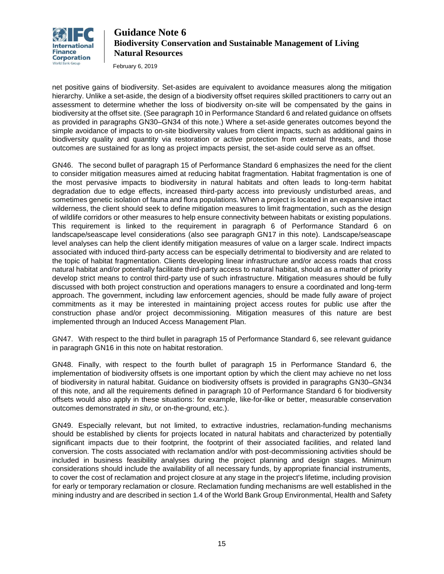

February 6, 2019

net positive gains of biodiversity. Set-asides are equivalent to avoidance measures along the mitigation hierarchy. Unlike a set-aside, the design of a biodiversity offset requires skilled practitioners to carry out an assessment to determine whether the loss of biodiversity on-site will be compensated by the gains in biodiversity at the offset site. (See paragraph 10 in Performance Standard 6 and related guidance on offsets as provided in paragraphs GN30–GN34 of this note.) Where a set-aside generates outcomes beyond the simple avoidance of impacts to on-site biodiversity values from client impacts, such as additional gains in biodiversity quality and quantity via restoration or active protection from external threats, and those outcomes are sustained for as long as project impacts persist, the set-aside could serve as an offset.

GN46. The second bullet of paragraph 15 of Performance Standard 6 emphasizes the need for the client to consider mitigation measures aimed at reducing habitat fragmentation. Habitat fragmentation is one of the most pervasive impacts to biodiversity in natural habitats and often leads to long-term habitat degradation due to edge effects, increased third-party access into previously undisturbed areas, and sometimes genetic isolation of fauna and flora populations. When a project is located in an expansive intact wilderness, the client should seek to define mitigation measures to limit fragmentation, such as the design of wildlife corridors or other measures to help ensure connectivity between habitats or existing populations. This requirement is linked to the requirement in paragraph 6 of Performance Standard 6 on landscape/seascape level considerations (also see paragraph GN17 in this note). Landscape/seascape level analyses can help the client identify mitigation measures of value on a larger scale. Indirect impacts associated with induced third-party access can be especially detrimental to biodiversity and are related to the topic of habitat fragmentation. Clients developing linear infrastructure and/or access roads that cross natural habitat and/or potentially facilitate third-party access to natural habitat, should as a matter of priority develop strict means to control third-party use of such infrastructure. Mitigation measures should be fully discussed with both project construction and operations managers to ensure a coordinated and long-term approach. The government, including law enforcement agencies, should be made fully aware of project commitments as it may be interested in maintaining project access routes for public use after the construction phase and/or project decommissioning. Mitigation measures of this nature are best implemented through an Induced Access Management Plan.

GN47. With respect to the third bullet in paragraph 15 of Performance Standard 6, see relevant guidance in paragraph GN16 in this note on habitat restoration.

GN48. Finally, with respect to the fourth bullet of paragraph 15 in Performance Standard 6, the implementation of biodiversity offsets is one important option by which the client may achieve no net loss of biodiversity in natural habitat. Guidance on biodiversity offsets is provided in paragraphs GN30–GN34 of this note, and all the requirements defined in paragraph 10 of Performance Standard 6 for biodiversity offsets would also apply in these situations: for example, like-for-like or better, measurable conservation outcomes demonstrated *in situ*, or on-the-ground, etc.).

GN49. Especially relevant, but not limited, to extractive industries, reclamation-funding mechanisms should be established by clients for projects located in natural habitats and characterized by potentially significant impacts due to their footprint, the footprint of their associated facilities, and related land conversion. The costs associated with reclamation and/or with post-decommissioning activities should be included in business feasibility analyses during the project planning and design stages. Minimum considerations should include the availability of all necessary funds, by appropriate financial instruments, to cover the cost of reclamation and project closure at any stage in the project's lifetime, including provision for early or temporary reclamation or closure. Reclamation funding mechanisms are well established in the mining industry and are described in section 1.4 of the World Bank Group Environmental, Health and Safety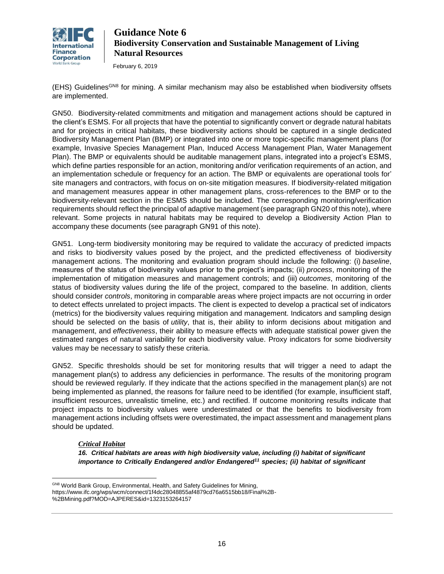

February 6, 2019

(EHS) Guidelines<sup>GN8</sup> for mining. A similar mechanism may also be established when biodiversity offsets are implemented.

GN50. Biodiversity-related commitments and mitigation and management actions should be captured in the client's ESMS. For all projects that have the potential to significantly convert or degrade natural habitats and for projects in critical habitats, these biodiversity actions should be captured in a single dedicated Biodiversity Management Plan (BMP) or integrated into one or more topic-specific management plans (for example, Invasive Species Management Plan, Induced Access Management Plan, Water Management Plan). The BMP or equivalents should be auditable management plans, integrated into a project's ESMS, which define parties responsible for an action, monitoring and/or verification requirements of an action, and an implementation schedule or frequency for an action. The BMP or equivalents are operational tools for' site managers and contractors, with focus on on-site mitigation measures. If biodiversity-related mitigation and management measures appear in other management plans, cross-references to the BMP or to the biodiversity-relevant section in the ESMS should be included. The corresponding monitoring/verification requirements should reflect the principal of adaptive management (see paragraph GN20 of this note), where relevant. Some projects in natural habitats may be required to develop a Biodiversity Action Plan to accompany these documents (see paragraph GN91 of this note).

GN51. Long-term biodiversity monitoring may be required to validate the accuracy of predicted impacts and risks to biodiversity values posed by the project, and the predicted effectiveness of biodiversity management actions. The monitoring and evaluation program should include the following: (i) *baseline*, measures of the status of biodiversity values prior to the project's impacts; (ii) *process*, monitoring of the implementation of mitigation measures and management controls; and (iii) *outcomes*, monitoring of the status of biodiversity values during the life of the project, compared to the baseline. In addition, clients should consider *controls*, monitoring in comparable areas where project impacts are not occurring in order to detect effects unrelated to project impacts. The client is expected to develop a practical set of indicators (metrics) for the biodiversity values requiring mitigation and management. Indicators and sampling design should be selected on the basis of *utility*, that is, their ability to inform decisions about mitigation and management, and *effectiveness*, their ability to measure effects with adequate statistical power given the estimated ranges of natural variability for each biodiversity value. Proxy indicators for some biodiversity values may be necessary to satisfy these criteria.

GN52. Specific thresholds should be set for monitoring results that will trigger a need to adapt the management plan(s) to address any deficiencies in performance. The results of the monitoring program should be reviewed regularly. If they indicate that the actions specified in the management plan(s) are not being implemented as planned, the reasons for failure need to be identified (for example, insufficient staff, insufficient resources, unrealistic timeline, etc.) and rectified. If outcome monitoring results indicate that project impacts to biodiversity values were underestimated or that the benefits to biodiversity from management actions including offsets were overestimated, the impact assessment and management plans should be updated.

### *Critical Habitat*

*16. Critical habitats are areas with high biodiversity value, including (i) habitat of significant importance to Critically Endangered and/or Endangered<sup>11</sup> species; (ii) habitat of significant* 

 $\overline{a}$ <sup>GN8</sup> World Bank Group, Environmental, Health, and Safety Guidelines for Mining, https://www.ifc.org/wps/wcm/connect/1f4dc28048855af4879cd76a6515bb18/Final%2B- %2BMining.pdf?MOD=AJPERES&id=1323153264157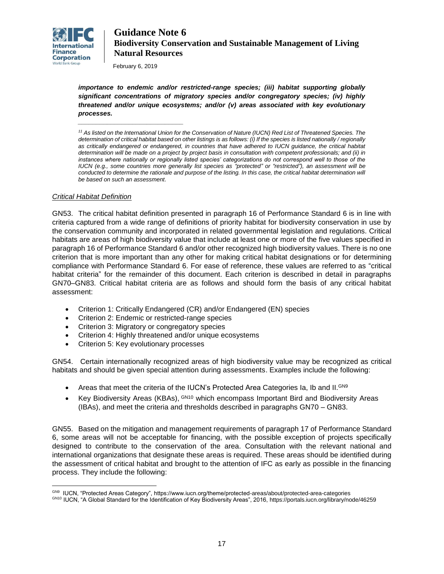

February 6, 2019

*\_\_\_\_\_\_\_\_\_\_\_\_\_\_\_\_\_\_\_\_\_\_\_\_\_\_\_\_\_*

*importance to endemic and/or restricted-range species; (iii) habitat supporting globally significant concentrations of migratory species and/or congregatory species; (iv) highly threatened and/or unique ecosystems; and/or (v) areas associated with key evolutionary processes.*

<sup>11</sup> As listed on the International Union for the Conservation of Nature (IUCN) Red List of Threatened Species. The *determination of critical habitat based on other listings is as follows: (i) If the species is listed nationally / regionally as critically endangered or endangered, in countries that have adhered to IUCN guidance, the critical habitat determination will be made on a project by project basis in consultation with competent professionals; and (ii) in instances where nationally or regionally listed species' categorizations do not correspond well to those of the IUCN (e.g., some countries more generally list species as "protected" or "restricted"), an assessment will be*  conducted to determine the rationale and purpose of the listing. In this case, the critical habitat determination will *be based on such an assessment.*

### *Critical Habitat Definition*

GN53. The critical habitat definition presented in paragraph 16 of Performance Standard 6 is in line with criteria captured from a wide range of definitions of priority habitat for biodiversity conservation in use by the conservation community and incorporated in related governmental legislation and regulations. Critical habitats are areas of high biodiversity value that include at least one or more of the five values specified in paragraph 16 of Performance Standard 6 and/or other recognized high biodiversity values. There is no one criterion that is more important than any other for making critical habitat designations or for determining compliance with Performance Standard 6. For ease of reference, these values are referred to as "critical habitat criteria" for the remainder of this document. Each criterion is described in detail in paragraphs GN70–GN83. Critical habitat criteria are as follows and should form the basis of any critical habitat assessment:

- Criterion 1: Critically Endangered (CR) and/or Endangered (EN) species
- Criterion 2: Endemic or restricted-range species
- Criterion 3: Migratory or congregatory species
- Criterion 4: Highly threatened and/or unique ecosystems
- Criterion 5: Key evolutionary processes

GN54. Certain internationally recognized areas of high biodiversity value may be recognized as critical habitats and should be given special attention during assessments. Examples include the following:

- Areas that meet the criteria of the IUCN's Protected Area Categories Ia, Ib and II. GN9
- Key Biodiversity Areas (KBAs), GN10 which encompass Important Bird and Biodiversity Areas (IBAs), and meet the criteria and thresholds described in paragraphs GN70 – GN83.

GN55. Based on the mitigation and management requirements of paragraph 17 of Performance Standard 6, some areas will not be acceptable for financing, with the possible exception of projects specifically designed to contribute to the conservation of the area. Consultation with the relevant national and international organizations that designate these areas is required. These areas should be identified during the assessment of critical habitat and brought to the attention of IFC as early as possible in the financing process. They include the following:

 $\overline{a}$ <sup>GN9</sup> IUCN, "Protected Areas Category", https://www.iucn.org/theme/protected-areas/about/protected-area-categories

GN10 IUCN, "A Global Standard for the Identification of Key Biodiversity Areas", 2016,<https://portals.iucn.org/library/node/46259>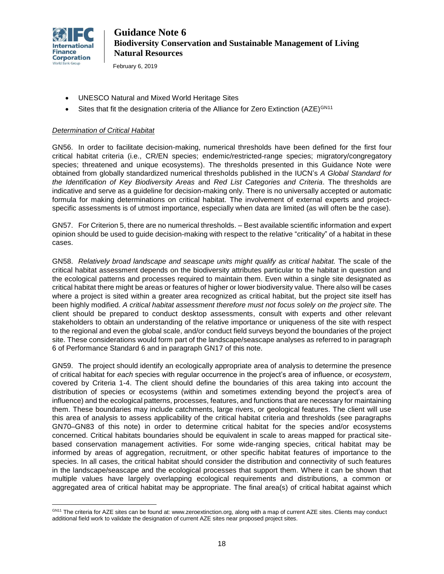

 $\overline{a}$ 

February 6, 2019

- UNESCO Natural and Mixed World Heritage Sites
- Sites that fit the designation criteria of the Alliance for Zero Extinction (AZE)<sup>GN11</sup>

### *Determination of Critical Habitat*

GN56. In order to facilitate decision-making, numerical thresholds have been defined for the first four critical habitat criteria (i.e., CR/EN species; endemic/restricted-range species; migratory/congregatory species; threatened and unique ecosystems). The thresholds presented in this Guidance Note were obtained from globally standardized numerical thresholds published in the IUCN's *A Global Standard for the Identification of Key Biodiversity Areas* and *Red List Categories and Criteria*. The thresholds are indicative and serve as a guideline for decision-making only. There is no universally accepted or automatic formula for making determinations on critical habitat. The involvement of external experts and projectspecific assessments is of utmost importance, especially when data are limited (as will often be the case).

GN57. For Criterion 5, there are no numerical thresholds. – Best available scientific information and expert opinion should be used to guide decision-making with respect to the relative "criticality" of a habitat in these cases.

GN58. *Relatively broad landscape and seascape units might qualify as critical habitat.* The scale of the critical habitat assessment depends on the biodiversity attributes particular to the habitat in question and the ecological patterns and processes required to maintain them. Even within a single site designated as critical habitat there might be areas or features of higher or lower biodiversity value. There also will be cases where a project is sited within a greater area recognized as critical habitat, but the project site itself has been highly modified. *A critical habitat assessment therefore must not focus solely on the project site.* The client should be prepared to conduct desktop assessments, consult with experts and other relevant stakeholders to obtain an understanding of the relative importance or uniqueness of the site with respect to the regional and even the global scale, and/or conduct field surveys beyond the boundaries of the project site. These considerations would form part of the landscape/seascape analyses as referred to in paragraph 6 of Performance Standard 6 and in paragraph GN17 of this note.

GN59. The project should identify an ecologically appropriate area of analysis to determine the presence of critical habitat for *each* species with regular occurrence in the project's area of influence, or *ecosystem*, covered by Criteria 1-4. The client should define the boundaries of this area taking into account the distribution of species or ecosystems (within and sometimes extending beyond the project's area of influence) and the ecological patterns, processes, features, and functions that are necessary for maintaining them. These boundaries may include catchments, large rivers, or geological features. The client will use this area of analysis to assess applicability of the critical habitat criteria and thresholds (see paragraphs GN70–GN83 of this note) in order to determine critical habitat for the species and/or ecosystems concerned. Critical habitats boundaries should be equivalent in scale to areas mapped for practical sitebased conservation management activities. For some wide-ranging species, critical habitat may be informed by areas of aggregation, recruitment, or other specific habitat features of importance to the species. In all cases, the critical habitat should consider the distribution and connectivity of such features in the landscape/seascape and the ecological processes that support them*.* Where it can be shown that multiple values have largely overlapping ecological requirements and distributions, a common or aggregated area of critical habitat may be appropriate. The final area(s) of critical habitat against which

GN11 The criteria for AZE sites can be found at: www.zeroextinction.org, along with a map of current AZE sites. Clients may conduct additional field work to validate the designation of current AZE sites near proposed project sites.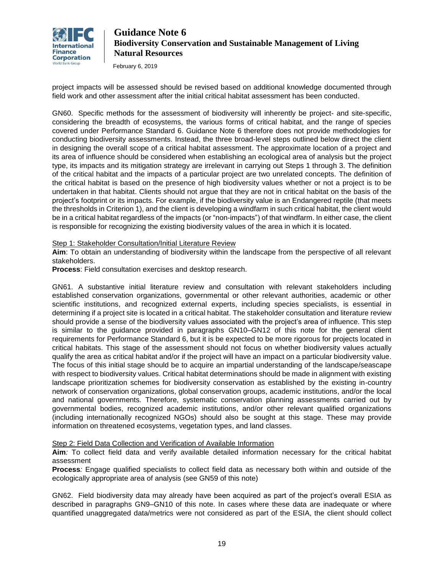

February 6, 2019

project impacts will be assessed should be revised based on additional knowledge documented through field work and other assessment after the initial critical habitat assessment has been conducted.

GN60. Specific methods for the assessment of biodiversity will inherently be project- and site-specific, considering the breadth of ecosystems, the various forms of critical habitat, and the range of species covered under Performance Standard 6. Guidance Note 6 therefore does not provide methodologies for conducting biodiversity assessments. Instead, the three broad-level steps outlined below direct the client in designing the overall scope of a critical habitat assessment. The approximate location of a project and its area of influence should be considered when establishing an ecological area of analysis but the project type, its impacts and its mitigation strategy are irrelevant in carrying out Steps 1 through 3. The definition of the critical habitat and the impacts of a particular project are two unrelated concepts. The definition of the critical habitat is based on the presence of high biodiversity values whether or not a project is to be undertaken in that habitat. Clients should not argue that they are not in critical habitat on the basis of the project's footprint or its impacts. For example, if the biodiversity value is an Endangered reptile (that meets the thresholds in Criterion 1), and the client is developing a windfarm in such critical habitat, the client would be in a critical habitat regardless of the impacts (or "non-impacts") of that windfarm. In either case, the client is responsible for recognizing the existing biodiversity values of the area in which it is located.

### Step 1: Stakeholder Consultation/Initial Literature Review

**Aim**: To obtain an understanding of biodiversity within the landscape from the perspective of all relevant stakeholders.

**Process**: Field consultation exercises and desktop research.

GN61. A substantive initial literature review and consultation with relevant stakeholders including established conservation organizations, governmental or other relevant authorities, academic or other scientific institutions, and recognized external experts, including species specialists, is essential in determining if a project site is located in a critical habitat. The stakeholder consultation and literature review should provide a sense of the biodiversity values associated with the project's area of influence. This step is similar to the guidance provided in paragraphs GN10–GN12 of this note for the general client requirements for Performance Standard 6, but it is be expected to be more rigorous for projects located in critical habitats. This stage of the assessment should not focus on whether biodiversity values actually qualify the area as critical habitat and/or if the project will have an impact on a particular biodiversity value. The focus of this initial stage should be to acquire an impartial understanding of the landscape/seascape with respect to biodiversity values. Critical habitat determinations should be made in alignment with existing landscape prioritization schemes for biodiversity conservation as established by the existing in-country network of conservation organizations, global conservation groups, academic institutions, and/or the local and national governments. Therefore, systematic conservation planning assessments carried out by governmental bodies, recognized academic institutions, and/or other relevant qualified organizations (including internationally recognized NGOs) should also be sought at this stage. These may provide information on threatened ecosystems, vegetation types, and land classes.

### Step 2: Field Data Collection and Verification of Available Information

**Aim***:* To collect field data and verify available detailed information necessary for the critical habitat assessment

**Process***:* Engage qualified specialists to collect field data as necessary both within and outside of the ecologically appropriate area of analysis (see GN59 of this note)

GN62. Field biodiversity data may already have been acquired as part of the project's overall ESIA as described in paragraphs GN9–GN10 of this note. In cases where these data are inadequate or where quantified unaggregated data/metrics were not considered as part of the ESIA, the client should collect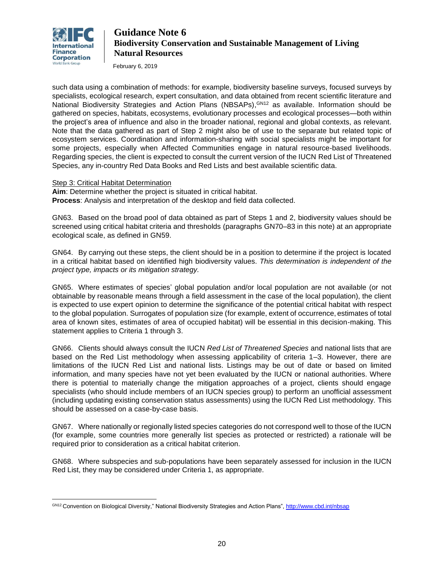

 $\overline{a}$ 

# **Guidance Note 6 Biodiversity Conservation and Sustainable Management of Living Natural Resources**

February 6, 2019

such data using a combination of methods: for example, biodiversity baseline surveys, focused surveys by specialists, ecological research, expert consultation, and data obtained from recent scientific literature and National Biodiversity Strategies and Action Plans (NBSAPs), GN12 as available. Information should be gathered on species, habitats, ecosystems, evolutionary processes and ecological processes—both within the project's area of influence and also in the broader national, regional and global contexts, as relevant. Note that the data gathered as part of Step 2 might also be of use to the separate but related topic of ecosystem services. Coordination and information-sharing with social specialists might be important for some projects, especially when Affected Communities engage in natural resource-based livelihoods. Regarding species, the client is expected to consult the current version of the IUCN Red List of Threatened Species, any in-country Red Data Books and Red Lists and best available scientific data.

### Step 3: Critical Habitat Determination

**Aim**: Determine whether the project is situated in critical habitat. **Process**: Analysis and interpretation of the desktop and field data collected.

GN63. Based on the broad pool of data obtained as part of Steps 1 and 2, biodiversity values should be screened using critical habitat criteria and thresholds (paragraphs GN70–83 in this note) at an appropriate ecological scale, as defined in GN59.

GN64. By carrying out these steps, the client should be in a position to determine if the project is located in a critical habitat based on identified high biodiversity values. *This determination is independent of the project type, impacts or its mitigation strategy.*

GN65. Where estimates of species' global population and/or local population are not available (or not obtainable by reasonable means through a field assessment in the case of the local population), the client is expected to use expert opinion to determine the significance of the potential critical habitat with respect to the global population. Surrogates of population size (for example, extent of occurrence, estimates of total area of known sites, estimates of area of occupied habitat) will be essential in this decision-making. This statement applies to Criteria 1 through 3.

GN66. Clients should always consult the IUCN *Red List of Threatened Species* and national lists that are based on the Red List methodology when assessing applicability of criteria 1–3. However, there are limitations of the IUCN Red List and national lists. Listings may be out of date or based on limited information, and many species have not yet been evaluated by the IUCN or national authorities. Where there is potential to materially change the mitigation approaches of a project, clients should engage specialists (who should include members of an IUCN species group) to perform an unofficial assessment (including updating existing conservation status assessments) using the IUCN Red List methodology. This should be assessed on a case-by-case basis.

GN67. Where nationally or regionally listed species categories do not correspond well to those of the IUCN (for example, some countries more generally list species as protected or restricted) a rationale will be required prior to consideration as a critical habitat criterion.

GN68. Where subspecies and sub-populations have been separately assessed for inclusion in the IUCN Red List, they may be considered under Criteria 1, as appropriate.

GN12 Convention on Biological Diversity," National Biodiversity Strategies and Action Plans"[, http://www.cbd.int/nbsap](http://www.cbd.int/nbsap)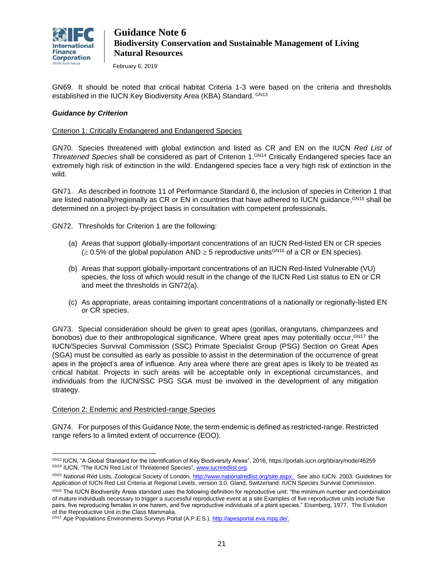

February 6, 2019

GN69. It should be noted that critical habitat Criteria 1-3 were based on the criteria and thresholds established in the IUCN Key Biodiversity Area (KBA) Standard. GN13

### *Guidance by Criterion*

### Criterion 1: Critically Endangered and Endangered Species

GN70. Species threatened with global extinction and listed as CR and EN on the IUCN *Red List of*  Threatened Species shall be considered as part of Criterion 1.<sup>GN14</sup> Critically Endangered species face an extremely high risk of extinction in the wild. Endangered species face a very high risk of extinction in the wild.

GN71. As described in footnote 11 of Performance Standard 6, the inclusion of species in Criterion 1 that are listed nationally/regionally as CR or EN in countries that have adhered to IUCN guidance, GN15 shall be determined on a project-by-project basis in consultation with competent professionals.

GN72. Thresholds for Criterion 1 are the following:

- (a) Areas that support globally-important concentrations of an IUCN Red-listed EN or CR species  $\geq 0.5\%$  of the global population AND  $\geq 5$  reproductive units<sup>GN16</sup> of a CR or EN species).
- (b) Areas that support globally-important concentrations of an IUCN Red-listed Vulnerable (VU) species, the loss of which would result in the change of the IUCN Red List status to EN or CR and meet the thresholds in GN72(a).
- (c) As appropriate, areas containing important concentrations of a nationally or regionally-listed EN or CR species.

GN73. Special consideration should be given to great apes (gorillas, orangutans, chimpanzees and bonobos) due to their anthropological significance. Where great apes may potentially occur, GN17 the IUCN/Species Survival Commission (SSC) Primate Specialist Group (PSG) Section on Great Apes (SGA) must be consulted as early as possible to assist in the determination of the occurrence of great apes in the project's area of influence. Any area where there are great apes is likely to be treated as critical habitat. Projects in such areas will be acceptable only in exceptional circumstances, and individuals from the IUCN/SSC PSG SGA must be involved in the development of any mitigation strategy.

### Criterion 2: Endemic and Restricted-range Species

GN74. For purposes of this Guidance Note, the term endemic is defined as restricted-range. Restricted range refers to a limited extent of occurrence (EOO).

 $\overline{a}$ GN13 IUCN, "A Global Standard for the Identification of Key Biodiversity Areas", 2016,<https://portals.iucn.org/library/node/46259> GN14 IUCN, "The IUCN Red List of Threatened Species", [www.iucnredlist.org.](http://www.iucnredlist.org/) 

GN15 National Red Lists, Zoological Society of London, [http://www.nationalredlist.org/site.aspx.](http://www.nationalredlist.org/site.aspx) See also IUCN. 2003. Guidelines for Application of IUCN Red List Criteria at Regional Levels, version 3.0. Gland, Switzerland: IUCN Species Survival Commission.

GN16 The IUCN Biodiversity Areas standard uses the following definition for reproductive unit: "the minimum number and combination of mature individuals necessary to trigger a successful reproductive event at a site Examples of five reproductive units include five pairs, five reproducing females in one harem, and five reproductive individuals of a plant species." Eisenberg, 1977. The Evolution of the Reproductive Unit in the Class Mammalia.

GN17 Ape Populations Environments Surveys Portal (A.P.E.S.), [http://apesportal.eva.mpg.de/.](http://apesportal.eva.mpg.de/)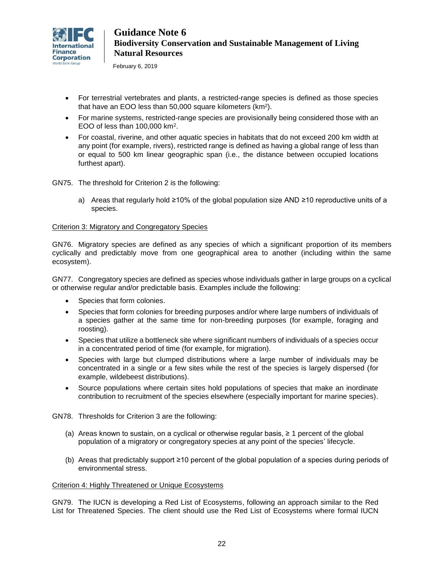

February 6, 2019

- For terrestrial vertebrates and plants, a restricted-range species is defined as those species that have an EOO less than 50,000 square kilometers (km<sup>2</sup>).
- For marine systems, restricted-range species are provisionally being considered those with an EOO of less than 100,000 km<sup>2</sup> .
- For coastal, riverine, and other aquatic species in habitats that do not exceed 200 km width at any point (for example, rivers), restricted range is defined as having a global range of less than or equal to 500 km linear geographic span (i.e., the distance between occupied locations furthest apart).

GN75. The threshold for Criterion 2 is the following:

a) Areas that regularly hold ≥10% of the global population size AND ≥10 reproductive units of a species.

### Criterion 3: Migratory and Congregatory Species

GN76. Migratory species are defined as any species of which a significant proportion of its members cyclically and predictably move from one geographical area to another (including within the same ecosystem).

GN77. Congregatory species are defined as species whose individuals gather in large groups on a cyclical or otherwise regular and/or predictable basis. Examples include the following:

- Species that form colonies.
- Species that form colonies for breeding purposes and/or where large numbers of individuals of a species gather at the same time for non-breeding purposes (for example, foraging and roosting).
- Species that utilize a bottleneck site where significant numbers of individuals of a species occur in a concentrated period of time (for example, for migration).
- Species with large but clumped distributions where a large number of individuals may be concentrated in a single or a few sites while the rest of the species is largely dispersed (for example, wildebeest distributions).
- Source populations where certain sites hold populations of species that make an inordinate contribution to recruitment of the species elsewhere (especially important for marine species).

GN78. Thresholds for Criterion 3 are the following:

- (a) Areas known to sustain, on a cyclical or otherwise regular basis, ≥ 1 percent of the global population of a migratory or congregatory species at any point of the species' lifecycle.
- (b) Areas that predictably support ≥10 percent of the global population of a species during periods of environmental stress.

### Criterion 4: Highly Threatened or Unique Ecosystems

GN79. The IUCN is developing a Red List of Ecosystems, following an approach similar to the Red List for Threatened Species. The client should use the Red List of Ecosystems where formal IUCN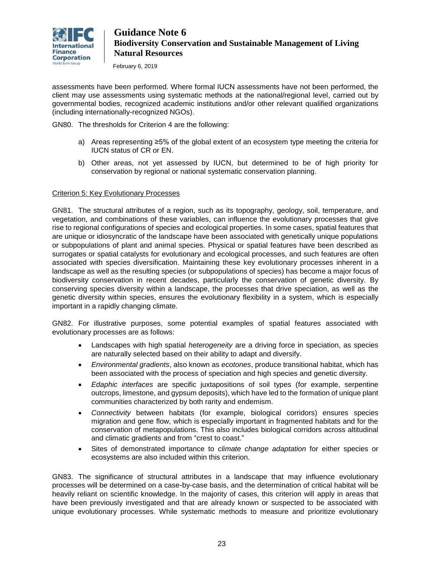

February 6, 2019

assessments have been performed. Where formal IUCN assessments have not been performed, the client may use assessments using systematic methods at the national/regional level, carried out by governmental bodies, recognized academic institutions and/or other relevant qualified organizations (including internationally-recognized NGOs).

GN80. The thresholds for Criterion 4 are the following:

- a) Areas representing ≥5% of the global extent of an ecosystem type meeting the criteria for IUCN status of CR or EN.
- b) Other areas, not yet assessed by IUCN, but determined to be of high priority for conservation by regional or national systematic conservation planning.

### Criterion 5: Key Evolutionary Processes

GN81. The structural attributes of a region, such as its topography, geology, soil, temperature, and vegetation, and combinations of these variables, can influence the evolutionary processes that give rise to regional configurations of species and ecological properties. In some cases, spatial features that are unique or idiosyncratic of the landscape have been associated with genetically unique populations or subpopulations of plant and animal species. Physical or spatial features have been described as surrogates or spatial catalysts for evolutionary and ecological processes, and such features are often associated with species diversification. Maintaining these key evolutionary processes inherent in a landscape as well as the resulting species (or subpopulations of species) has become a major focus of biodiversity conservation in recent decades, particularly the conservation of genetic diversity. By conserving species diversity within a landscape, the processes that drive speciation, as well as the genetic diversity within species, ensures the evolutionary flexibility in a system, which is especially important in a rapidly changing climate.

GN82. For illustrative purposes, some potential examples of spatial features associated with evolutionary processes are as follows:

- Landscapes with high spatial *heterogeneity* are a driving force in speciation, as species are naturally selected based on their ability to adapt and diversify.
- *Environmental gradients*, also known as *ecotones*, produce transitional habitat, which has been associated with the process of speciation and high species and genetic diversity.
- *Edaphic interfaces* are specific juxtapositions of soil types (for example, serpentine outcrops, limestone, and gypsum deposits), which have led to the formation of unique plant communities characterized by both rarity and endemism.
- *Connectivity* between habitats (for example, biological corridors) ensures species migration and gene flow, which is especially important in fragmented habitats and for the conservation of metapopulations. This also includes biological corridors across altitudinal and climatic gradients and from "crest to coast."
- Sites of demonstrated importance to *climate change adaptation* for either species or ecosystems are also included within this criterion.

GN83. The significance of structural attributes in a landscape that may influence evolutionary processes will be determined on a case-by-case basis, and the determination of critical habitat will be heavily reliant on scientific knowledge. In the majority of cases, this criterion will apply in areas that have been previously investigated and that are already known or suspected to be associated with unique evolutionary processes. While systematic methods to measure and prioritize evolutionary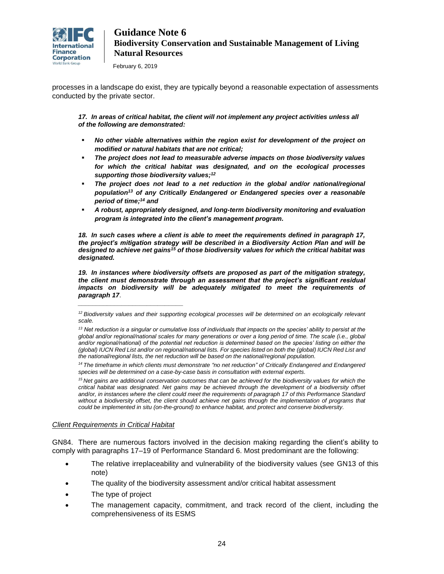

February 6, 2019

processes in a landscape do exist, they are typically beyond a reasonable expectation of assessments conducted by the private sector.

17. In areas of critical habitat, the client will not implement any project activities unless all *of the following are demonstrated:*

- *No other viable alternatives within the region exist for development of the project on modified or natural habitats that are not critical;*
- *The project does not lead to measurable adverse impacts on those biodiversity values for which the critical habitat was designated, and on the ecological processes supporting those biodiversity values; 12*
- The project does not lead to a net reduction in the global and/or national/regional *population<sup>13</sup> of any Critically Endangered or Endangered species over a reasonable period of time; <sup>14</sup> and*
- *A robust, appropriately designed, and long-term biodiversity monitoring and evaluation program is integrated into the client's management program.*

*18. In such cases where a client is able to meet the requirements defined in paragraph 17, the project's mitigation strategy will be described in a Biodiversity Action Plan and will be designed to achieve net gains<sup>15</sup> of those biodiversity values for which the critical habitat was designated.*

*19. In instances where biodiversity offsets are proposed as part of the mitigation strategy, the client must demonstrate through an assessment that the project's significant residual impacts on biodiversity will be adequately mitigated to meet the requirements of paragraph 17*.

*<sup>15</sup> Net gains are additional conservation outcomes that can be achieved for the biodiversity values for which the critical habitat was designated. Net gains may be achieved through the development of a biodiversity offset*  and/or, in instances where the client could meet the requirements of paragraph 17 of this Performance Standard without a biodiversity offset, the client should achieve net gains through the implementation of programs that *could be implemented in situ (on-the-ground) to enhance habitat, and protect and conserve biodiversity.*

### *Client Requirements in Critical Habitat*

*\_\_\_\_\_\_\_\_\_\_\_\_\_\_\_\_\_\_\_\_\_\_\_\_\_\_\_\_\_*

GN84. There are numerous factors involved in the decision making regarding the client's ability to comply with paragraphs 17–19 of Performance Standard 6. Most predominant are the following:

- The relative irreplaceability and vulnerability of the biodiversity values (see GN13 of this note)
- The quality of the biodiversity assessment and/or critical habitat assessment
- The type of project
- The management capacity, commitment, and track record of the client, including the comprehensiveness of its ESMS

<sup>&</sup>lt;sup>12</sup> Biodiversity values and their supporting ecological processes will be determined on an ecologically relevant *scale.*

*<sup>13</sup> Net reduction is a singular or cumulative loss of individuals that impacts on the species' ability to persist at the global and/or regional/national scales for many generations or over a long period of time. The scale (i.e., global*  and/or regional/national) of the potential net reduction is determined based on the species' listing on either the *(global) IUCN Red List and/or on regional/national lists. For species listed on both the (global) IUCN Red List and the national/regional lists, the net reduction will be based on the national/regional population.*

*<sup>14</sup>The timeframe in which clients must demonstrate "no net reduction" of Critically Endangered and Endangered species will be determined on a case-by-case basis in consultation with external experts.*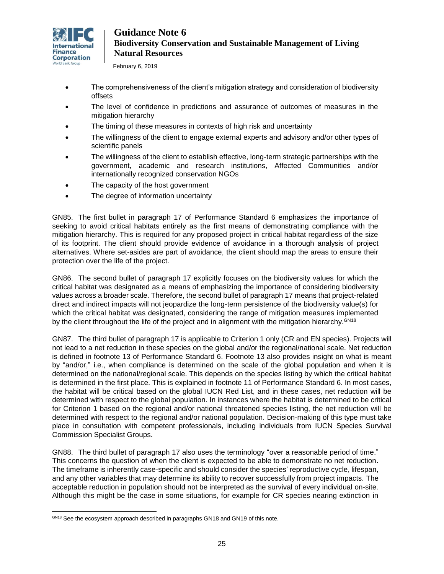

February 6, 2019

- The comprehensiveness of the client's mitigation strategy and consideration of biodiversity offsets
- The level of confidence in predictions and assurance of outcomes of measures in the mitigation hierarchy
- The timing of these measures in contexts of high risk and uncertainty
- The willingness of the client to engage external experts and advisory and/or other types of scientific panels
- The willingness of the client to establish effective, long-term strategic partnerships with the government, academic and research institutions, Affected Communities and/or internationally recognized conservation NGOs
- The capacity of the host government
- The degree of information uncertainty

GN85. The first bullet in paragraph 17 of Performance Standard 6 emphasizes the importance of seeking to avoid critical habitats entirely as the first means of demonstrating compliance with the mitigation hierarchy. This is required for any proposed project in critical habitat regardless of the size of its footprint. The client should provide evidence of avoidance in a thorough analysis of project alternatives. Where set-asides are part of avoidance, the client should map the areas to ensure their protection over the life of the project.

GN86. The second bullet of paragraph 17 explicitly focuses on the biodiversity values for which the critical habitat was designated as a means of emphasizing the importance of considering biodiversity values across a broader scale. Therefore, the second bullet of paragraph 17 means that project-related direct and indirect impacts will not jeopardize the long-term persistence of the biodiversity value(s) for which the critical habitat was designated, considering the range of mitigation measures implemented by the client throughout the life of the project and in alignment with the mitigation hierarchy. GN18

GN87. The third bullet of paragraph 17 is applicable to Criterion 1 only (CR and EN species). Projects will not lead to a net reduction in these species on the global and/or the regional/national scale. Net reduction is defined in footnote 13 of Performance Standard 6. Footnote 13 also provides insight on what is meant by "and/or," i.e., when compliance is determined on the scale of the global population and when it is determined on the national/regional scale. This depends on the species listing by which the critical habitat is determined in the first place. This is explained in footnote 11 of Performance Standard 6. In most cases, the habitat will be critical based on the global IUCN Red List, and in these cases, net reduction will be determined with respect to the global population. In instances where the habitat is determined to be critical for Criterion 1 based on the regional and/or national threatened species listing, the net reduction will be determined with respect to the regional and/or national population. Decision-making of this type must take place in consultation with competent professionals, including individuals from IUCN Species Survival Commission Specialist Groups.

GN88. The third bullet of paragraph 17 also uses the terminology "over a reasonable period of time." This concerns the question of when the client is expected to be able to demonstrate no net reduction. The timeframe is inherently case-specific and should consider the species' reproductive cycle, lifespan, and any other variables that may determine its ability to recover successfully from project impacts. The acceptable reduction in population should not be interpreted as the survival of every individual on-site. Although this might be the case in some situations, for example for CR species nearing extinction in

 $\overline{a}$ GN18 See the ecosystem approach described in paragraphs GN18 and GN19 of this note.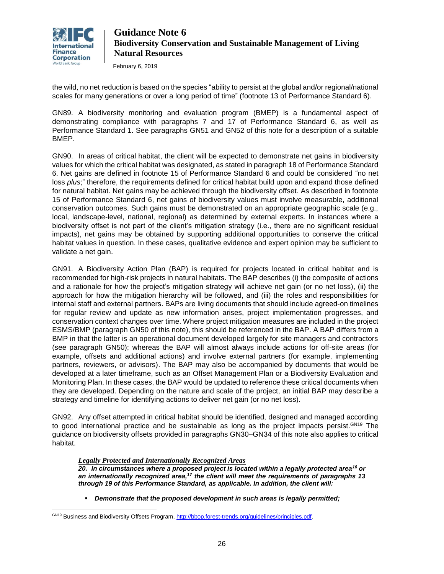

 $\overline{a}$ 

# **Guidance Note 6 Biodiversity Conservation and Sustainable Management of Living Natural Resources**

February 6, 2019

the wild, no net reduction is based on the species "ability to persist at the global and/or regional/national scales for many generations or over a long period of time" (footnote 13 of Performance Standard 6).

GN89. A biodiversity monitoring and evaluation program (BMEP) is a fundamental aspect of demonstrating compliance with paragraphs 7 and 17 of Performance Standard 6, as well as Performance Standard 1. See paragraphs GN51 and GN52 of this note for a description of a suitable BMEP.

GN90. In areas of critical habitat, the client will be expected to demonstrate net gains in biodiversity values for which the critical habitat was designated, as stated in paragraph 18 of Performance Standard 6. Net gains are defined in footnote 15 of Performance Standard 6 and could be considered "no net loss *plus*;" therefore, the requirements defined for critical habitat build upon and expand those defined for natural habitat. Net gains may be achieved through the biodiversity offset. As described in footnote 15 of Performance Standard 6, net gains of biodiversity values must involve measurable, additional conservation outcomes. Such gains must be demonstrated on an appropriate geographic scale (e.g., local, landscape-level, national, regional) as determined by external experts. In instances where a biodiversity offset is not part of the client's mitigation strategy (i.e., there are no significant residual impacts), net gains may be obtained by supporting additional opportunities to conserve the critical habitat values in question. In these cases, qualitative evidence and expert opinion may be sufficient to validate a net gain.

GN91. A Biodiversity Action Plan (BAP) is required for projects located in critical habitat and is recommended for high-risk projects in natural habitats. The BAP describes (i) the composite of actions and a rationale for how the project's mitigation strategy will achieve net gain (or no net loss), (ii) the approach for how the mitigation hierarchy will be followed, and (iii) the roles and responsibilities for internal staff and external partners. BAPs are living documents that should include agreed-on timelines for regular review and update as new information arises, project implementation progresses, and conservation context changes over time. Where project mitigation measures are included in the project ESMS/BMP (paragraph GN50 of this note), this should be referenced in the BAP. A BAP differs from a BMP in that the latter is an operational document developed largely for site managers and contractors (see paragraph GN50); whereas the BAP will almost always include actions for off-site areas (for example, offsets and additional actions) and involve external partners (for example, implementing partners, reviewers, or advisors). The BAP may also be accompanied by documents that would be developed at a later timeframe, such as an Offset Management Plan or a Biodiversity Evaluation and Monitoring Plan. In these cases, the BAP would be updated to reference these critical documents when they are developed. Depending on the nature and scale of the project, an initial BAP may describe a strategy and timeline for identifying actions to deliver net gain (or no net loss).

GN92. Any offset attempted in critical habitat should be identified, designed and managed according to good international practice and be sustainable as long as the project impacts persist.<sup>GN19</sup> The guidance on biodiversity offsets provided in paragraphs GN30–GN34 of this note also applies to critical habitat.

*Legally Protected and Internationally Recognized Areas*

*20. In circumstances where a proposed project is located within a legally protected area<sup>16</sup> or an internationally recognized area,<sup>17</sup> the client will meet the requirements of paragraphs 13 through 19 of this Performance Standard, as applicable. In addition, the client will:*

▪ *Demonstrate that the proposed development in such areas is legally permitted;*

GN19 Business and Biodiversity Offsets Program[, http://bbop.forest-trends.org/guidelines/principles.pdf.](http://bbop.forest-trends.org/guidelines/principles.pdf)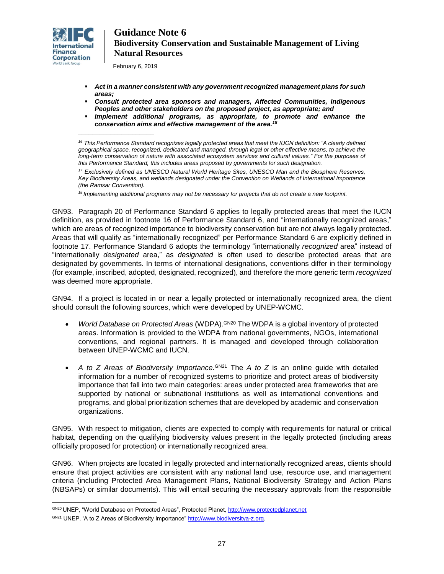

February 6, 2019

*\_\_\_\_\_\_\_\_\_\_\_\_\_\_\_\_\_\_\_\_\_*

- *Act in a manner consistent with any government recognized management plans for such areas;*
- *Consult protected area sponsors and managers, Affected Communities, Indigenous Peoples and other stakeholders on the proposed project, as appropriate; and*
- *Implement additional programs, as appropriate, to promote and enhance the conservation aims and effective management of the area.<sup>18</sup>*

*<sup>18</sup>Implementing additional programs may not be necessary for projects that do not create a new footprint.*

GN93. Paragraph 20 of Performance Standard 6 applies to legally protected areas that meet the IUCN definition, as provided in footnote 16 of Performance Standard 6, and "internationally recognized areas," which are areas of recognized importance to biodiversity conservation but are not always legally protected. Areas that will qualify as "internationally recognized" per Performance Standard 6 are explicitly defined in footnote 17. Performance Standard 6 adopts the terminology "internationally *recognized* area" instead of "internationally *designated* area," as *designated* is often used to describe protected areas that are designated by governments. In terms of international designations, conventions differ in their terminology (for example, inscribed, adopted, designated, recognized), and therefore the more generic term *recognized* was deemed more appropriate.

GN94. If a project is located in or near a legally protected or internationally recognized area, the client should consult the following sources, which were developed by UNEP-WCMC.

- *World Database on Protected Areas* (WDPA).<sup>GN20</sup> The WDPA is a global inventory of protected areas. Information is provided to the WDPA from national governments, NGOs, international conventions, and regional partners. It is managed and developed through collaboration between UNEP-WCMC and IUCN.
- A to Z Areas of Biodiversity Importance.  $GN21$  The A to Z is an online guide with detailed information for a number of recognized systems to prioritize and protect areas of biodiversity importance that fall into two main categories: areas under protected area frameworks that are supported by national or subnational institutions as well as international conventions and programs, and global prioritization schemes that are developed by academic and conservation organizations.

GN95. With respect to mitigation, clients are expected to comply with requirements for natural or critical habitat, depending on the qualifying biodiversity values present in the legally protected (including areas officially proposed for protection) or internationally recognized area.

GN96. When projects are located in legally protected and internationally recognized areas, clients should ensure that project activities are consistent with any national land use, resource use, and management criteria (including Protected Area Management Plans, National Biodiversity Strategy and Action Plans (NBSAPs) or similar documents). This will entail securing the necessary approvals from the responsible

<sup>&</sup>lt;sup>16</sup> This Performance Standard recognizes legally protected areas that meet the IUCN definition: "A clearly defined *geographical space, recognized, dedicated and managed, through legal or other effective means, to achieve the*  long-term conservation of nature with associated ecosystem services and cultural values." For the purposes of *this Performance Standard, this includes areas proposed by governments for such designation.*

*<sup>17</sup> Exclusively defined as UNESCO Natural World Heritage Sites, UNESCO Man and the Biosphere Reserves, Key Biodiversity Areas, and wetlands designated under the Convention on Wetlands of International Importance (the Ramsar Convention).*

 $\overline{a}$ GN20 UNEP, "World Database on Protected Areas", Protected Planet[, http://www.protectedplanet.net](http://www.protectedplanet.net/)

GN21 UNEP. 'A to Z Areas of Biodiversity Importance[" http://www.biodiversitya-z.org.](http://www.biodiversitya-z.org/)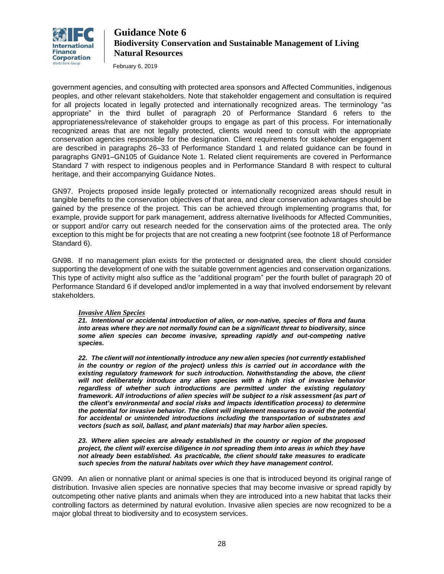

February 6, 2019

government agencies, and consulting with protected area sponsors and Affected Communities, indigenous peoples, and other relevant stakeholders. Note that stakeholder engagement and consultation is required for all projects located in legally protected and internationally recognized areas. The terminology "as appropriate" in the third bullet of paragraph 20 of Performance Standard 6 refers to the appropriateness/relevance of stakeholder groups to engage as part of this process. For internationally recognized areas that are not legally protected, clients would need to consult with the appropriate conservation agencies responsible for the designation. Client requirements for stakeholder engagement are described in paragraphs 26–33 of Performance Standard 1 and related guidance can be found in paragraphs GN91–GN105 of Guidance Note 1. Related client requirements are covered in Performance Standard 7 with respect to indigenous peoples and in Performance Standard 8 with respect to cultural heritage, and their accompanying Guidance Notes.

GN97. Projects proposed inside legally protected or internationally recognized areas should result in tangible benefits to the conservation objectives of that area, and clear conservation advantages should be gained by the presence of the project. This can be achieved through implementing programs that, for example, provide support for park management, address alternative livelihoods for Affected Communities, or support and/or carry out research needed for the conservation aims of the protected area. The only exception to this might be for projects that are not creating a new footprint (see footnote 18 of Performance Standard 6).

GN98. If no management plan exists for the protected or designated area, the client should consider supporting the development of one with the suitable government agencies and conservation organizations. This type of activity might also suffice as the "additional program" per the fourth bullet of paragraph 20 of Performance Standard 6 if developed and/or implemented in a way that involved endorsement by relevant stakeholders.

### *Invasive Alien Species*

*21. Intentional or accidental introduction of alien, or non-native, species of flora and fauna into areas where they are not normally found can be a significant threat to biodiversity, since some alien species can become invasive, spreading rapidly and out-competing native species.*

*22. The client will not intentionally introduce any new alien species (not currently established in the country or region of the project) unless this is carried out in accordance with the existing regulatory framework for such introduction. Notwithstanding the above, the client*  will not deliberately introduce any alien species with a high risk of invasive behavior *regardless of whether such introductions are permitted under the existing regulatory framework. All introductions of alien species will be subject to a risk assessment (as part of the client's environmental and social risks and impacts identification process) to determine the potential for invasive behavior. The client will implement measures to avoid the potential for accidental or unintended introductions including the transportation of substrates and vectors (such as soil, ballast, and plant materials) that may harbor alien species.*

*23. Where alien species are already established in the country or region of the proposed project, the client will exercise diligence in not spreading them into areas in which they have not already been established. As practicable, the client should take measures to eradicate such species from the natural habitats over which they have management control.*

GN99. An alien or nonnative plant or animal species is one that is introduced beyond its original range of distribution. Invasive alien species are nonnative species that may become invasive or spread rapidly by outcompeting other native plants and animals when they are introduced into a new habitat that lacks their controlling factors as determined by natural evolution. Invasive alien species are now recognized to be a major global threat to biodiversity and to ecosystem services.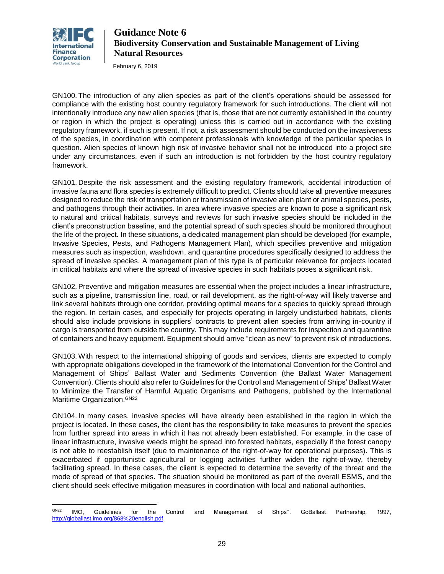

February 6, 2019

GN100. The introduction of any alien species as part of the client's operations should be assessed for compliance with the existing host country regulatory framework for such introductions. The client will not intentionally introduce any new alien species (that is, those that are not currently established in the country or region in which the project is operating) unless this is carried out in accordance with the existing regulatory framework, if such is present. If not, a risk assessment should be conducted on the invasiveness of the species, in coordination with competent professionals with knowledge of the particular species in question. Alien species of known high risk of invasive behavior shall not be introduced into a project site under any circumstances, even if such an introduction is not forbidden by the host country regulatory framework.

GN101. Despite the risk assessment and the existing regulatory framework, accidental introduction of invasive fauna and flora species is extremely difficult to predict. Clients should take all preventive measures designed to reduce the risk of transportation or transmission of invasive alien plant or animal species, pests, and pathogens through their activities. In area where invasive species are known to pose a significant risk to natural and critical habitats, surveys and reviews for such invasive species should be included in the client's preconstruction baseline, and the potential spread of such species should be monitored throughout the life of the project. In these situations, a dedicated management plan should be developed (for example, Invasive Species, Pests, and Pathogens Management Plan), which specifies preventive and mitigation measures such as inspection, washdown, and quarantine procedures specifically designed to address the spread of invasive species. A management plan of this type is of particular relevance for projects located in critical habitats and where the spread of invasive species in such habitats poses a significant risk.

GN102. Preventive and mitigation measures are essential when the project includes a linear infrastructure, such as a pipeline, transmission line, road, or rail development, as the right-of-way will likely traverse and link several habitats through one corridor, providing optimal means for a species to quickly spread through the region. In certain cases, and especially for projects operating in largely undisturbed habitats, clients should also include provisions in suppliers' contracts to prevent alien species from arriving in-country if cargo is transported from outside the country. This may include requirements for inspection and quarantine of containers and heavy equipment. Equipment should arrive "clean as new" to prevent risk of introductions.

GN103. With respect to the international shipping of goods and services, clients are expected to comply with appropriate obligations developed in the framework of the International Convention for the Control and Management of Ships' Ballast Water and Sediments Convention (the Ballast Water Management Convention). Clients should also refer to Guidelines for the Control and Management of Ships' Ballast Water to Minimize the Transfer of Harmful Aquatic Organisms and Pathogens, published by the International Maritime Organization. GN22

GN104. In many cases, invasive species will have already been established in the region in which the project is located. In these cases, the client has the responsibility to take measures to prevent the species from further spread into areas in which it has not already been established. For example, in the case of linear infrastructure, invasive weeds might be spread into forested habitats, especially if the forest canopy is not able to reestablish itself (due to maintenance of the right-of-way for operational purposes). This is exacerbated if opportunistic agricultural or logging activities further widen the right-of-way, thereby facilitating spread. In these cases, the client is expected to determine the severity of the threat and the mode of spread of that species. The situation should be monitored as part of the overall ESMS, and the client should seek effective mitigation measures in coordination with local and national authorities.

 $\overline{a}$  $^{\text{GNZ2}}$  IMO, Guidelines for the Control and Management of Ships''. GoBallast Partnership, 1997, [http://globallast.imo.org/868%20english.pdf.](http://globallast.imo.org/868%20english.pdf)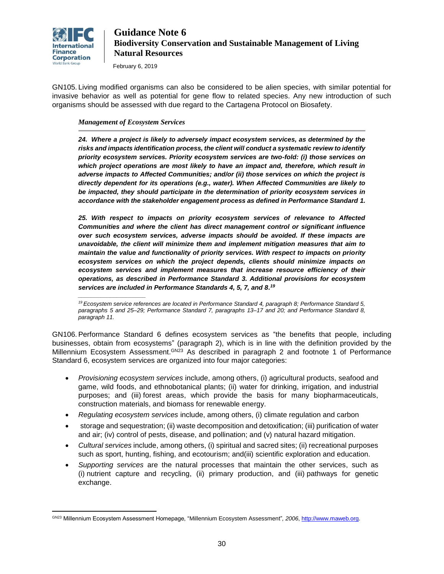

February 6, 2019

GN105. Living modified organisms can also be considered to be alien species, with similar potential for invasive behavior as well as potential for gene flow to related species. Any new introduction of such organisms should be assessed with due regard to the [Cartagena Protocol on Biosafety.](http://www.cbd.int/biosafety/default.shtml)

### *Management of Ecosystem Services*

*\_\_\_\_\_\_\_\_\_\_\_\_\_\_\_\_\_\_\_\_\_*

 $\overline{a}$ 

*24. Where a project is likely to adversely impact ecosystem services, as determined by the risks and impacts identification process, the client will conduct a systematic review to identify priority ecosystem services. Priority ecosystem services are two-fold: (i) those services on which project operations are most likely to have an impact and, therefore, which result in adverse impacts to Affected Communities; and/or (ii) those services on which the project is directly dependent for its operations (e.g., water). When Affected Communities are likely to be impacted, they should participate in the determination of priority ecosystem services in accordance with the stakeholder engagement process as defined in Performance Standard 1.*

*25. With respect to impacts on priority ecosystem services of relevance to Affected Communities and where the client has direct management control or significant influence over such ecosystem services, adverse impacts should be avoided. If these impacts are unavoidable, the client will minimize them and implement mitigation measures that aim to maintain the value and functionality of priority services. With respect to impacts on priority ecosystem services on which the project depends, clients should minimize impacts on ecosystem services and implement measures that increase resource efficiency of their operations, as described in Performance Standard 3. Additional provisions for ecosystem services are included in Performance Standards 4, 5, 7, and 8. 19*

*<sup>19</sup> Ecosystem service references are located in Performance Standard 4, paragraph 8; Performance Standard 5, paragraphs 5 and 25–29; Performance Standard 7, paragraphs 13–17 and 20; and Performance Standard 8, paragraph 11.*

<span id="page-29-0"></span>GN106. Performance Standard 6 defines ecosystem services as "the benefits that people, including businesses, obtain from ecosystems" (paragraph 2), which is in line with the definition provided by the Millennium Ecosystem Assessment. Ch<sup>23</sup> As described in paragraph 2 and footnote 1 of Performance Standard 6, ecosystem services are organized into four major categories:

- *Provisioning ecosystem services* include, among others, (i) agricultural products, seafood and game, wild foods, and ethnobotanical plants; (ii) water for drinking, irrigation, and industrial purposes; and (iii) forest areas, which provide the basis for many biopharmaceuticals, construction materials, and biomass for renewable energy.
- *Regulating ecosystem services* include, among others, (i) climate regulation and carbon
- storage and sequestration; (ii) waste decomposition and detoxification; (iii) purification of water and air; (iv) control of pests, disease, and pollination; and (v) natural hazard mitigation.
- *Cultural services* include, among others, (i) spiritual and sacred sites; (ii) recreational purposes such as sport, hunting, fishing, and ecotourism; and(iii) scientific exploration and education.
- *Supporting services* are the natural processes that maintain the other services, such as (i) nutrient capture and recycling, (ii) primary production, and (iii) pathways for genetic exchange.

GN23 Millennium Ecosystem Assessment Homepage, "Millennium Ecosystem Assessment"*, 2006*, [http://www.maweb.org.](http://www.maweb.org/)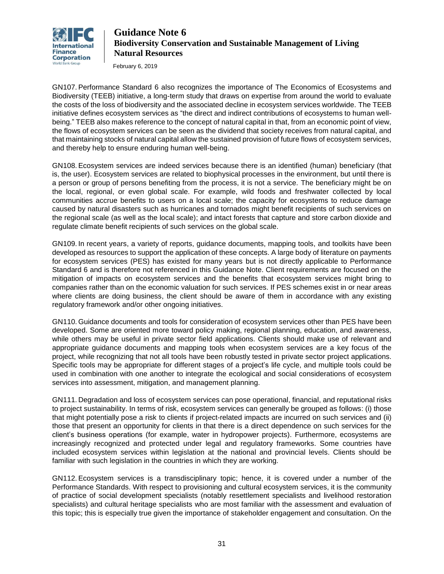

February 6, 2019

GN107. Performance Standard 6 also recognizes the importance of The Economics of Ecosystems and Biodiversity (TEEB) initiative, a long-term study that draws on expertise from around the world to evaluate the costs of the loss of biodiversity and the associated decline in ecosystem services worldwide. The TEEB initiative defines ecosystem services as "the direct and indirect contributions of ecosystems to human wellbeing." TEEB also makes reference to the concept of natural capital in that, from an economic point of view, the flows of ecosystem services can be seen as the dividend that society receives from natural capital, and that maintaining stocks of natural capital allow the sustained provision of future flows of ecosystem services, and thereby help to ensure enduring human well-being.

GN108. Ecosystem services are indeed services because there is an identified (human) beneficiary (that is, the user). Ecosystem services are related to biophysical processes in the environment, but until there is a person or group of persons benefiting from the process, it is not a service. The beneficiary might be on the local, regional, or even global scale. For example, wild foods and freshwater collected by local communities accrue benefits to users on a local scale; the capacity for ecosystems to reduce damage caused by natural disasters such as hurricanes and tornados might benefit recipients of such services on the regional scale (as well as the local scale); and intact forests that capture and store carbon dioxide and regulate climate benefit recipients of such services on the global scale.

GN109. In recent years, a variety of reports, guidance documents, mapping tools, and toolkits have been developed as resources to support the application of these concepts. A large body of literature on payments for ecosystem services (PES) has existed for many years but is not directly applicable to Performance Standard 6 and is therefore not referenced in this Guidance Note. Client requirements are focused on the mitigation of impacts on ecosystem services and the benefits that ecosystem services might bring to companies rather than on the economic valuation for such services. If PES schemes exist in or near areas where clients are doing business, the client should be aware of them in accordance with any existing regulatory framework and/or other ongoing initiatives.

GN110. Guidance documents and tools for consideration of ecosystem services other than PES have been developed. Some are oriented more toward policy making, regional planning, education, and awareness, while others may be useful in private sector field applications. Clients should make use of relevant and appropriate guidance documents and mapping tools when ecosystem services are a key focus of the project, while recognizing that not all tools have been robustly tested in private sector project applications. Specific tools may be appropriate for different stages of a project's life cycle, and multiple tools could be used in combination with one another to integrate the ecological and social considerations of ecosystem services into assessment, mitigation, and management planning.

GN111. Degradation and loss of ecosystem services can pose operational, financial, and reputational risks to project sustainability. In terms of risk, ecosystem services can generally be grouped as follows: (i) those that might potentially pose a risk to clients if project-related impacts are incurred on such services and (ii) those that present an opportunity for clients in that there is a direct dependence on such services for the client's business operations (for example, water in hydropower projects). Furthermore, ecosystems are increasingly recognized and protected under legal and regulatory frameworks. Some countries have included ecosystem services within legislation at the national and provincial levels. Clients should be familiar with such legislation in the countries in which they are working.

GN112. Ecosystem services is a transdisciplinary topic; hence, it is covered under a number of the Performance Standards. With respect to provisioning and cultural ecosystem services, it is the community of practice of social development specialists (notably resettlement specialists and livelihood restoration specialists) and cultural heritage specialists who are most familiar with the assessment and evaluation of this topic; this is especially true given the importance of stakeholder engagement and consultation. On the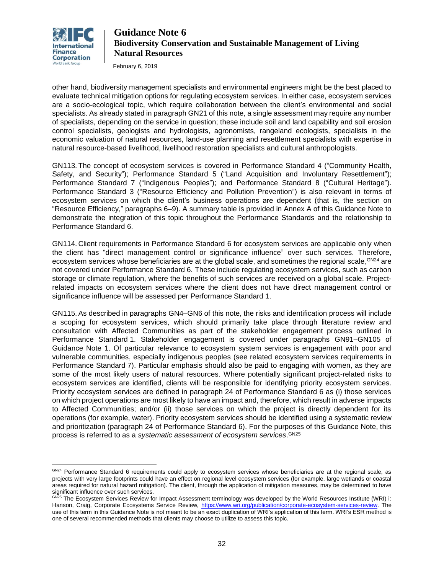

 $\overline{a}$ 

# **Guidance Note 6 Biodiversity Conservation and Sustainable Management of Living Natural Resources**

February 6, 2019

other hand, biodiversity management specialists and environmental engineers might be the best placed to evaluate technical mitigation options for regulating ecosystem services. In either case, ecosystem services are a socio-ecological topic, which require collaboration between the client's environmental and social specialists. As already stated in paragraph GN21 of this note, a single assessment may require any number of specialists, depending on the service in question; these include soil and land capability and soil erosion control specialists, geologists and hydrologists, agronomists, rangeland ecologists, specialists in the economic valuation of natural resources, land-use planning and resettlement specialists with expertise in natural resource-based livelihood, livelihood restoration specialists and cultural anthropologists.

GN113. The concept of ecosystem services is covered in Performance Standard 4 ("Community Health, Safety, and Security"); Performance Standard 5 ("Land Acquisition and Involuntary Resettlement"); Performance Standard 7 ("Indigenous Peoples"); and Performance Standard 8 ("Cultural Heritage"). Performance Standard 3 ("Resource Efficiency and Pollution Prevention") is also relevant in terms of ecosystem services on which the client's business operations are dependent (that is, the section on "Resource Efficiency," paragraphs 6–9). A summary table is provided in Annex A of this Guidance Note to demonstrate the integration of this topic throughout the Performance Standards and the relationship to Performance Standard 6.

GN114. Client requirements in Performance Standard 6 for ecosystem services are applicable only when the client has "direct management control or significance influence" over such services. Therefore, ecosystem services whose beneficiaries are at the global scale, and sometimes the regional scale,<sup>GN24</sup> are not covered under Performance Standard 6. These include regulating ecosystem services, such as carbon storage or climate regulation, where the benefits of such services are received on a global scale. Projectrelated impacts on ecosystem services where the client does not have direct management control or significance influence will be assessed per Performance Standard 1.

GN115. As described in paragraphs GN4–GN6 of this note, the risks and identification process will include a scoping for ecosystem services, which should primarily take place through literature review and consultation with Affected Communities as part of the stakeholder engagement process outlined in Performance Standard 1. Stakeholder engagement is covered under paragraphs GN91–GN105 of Guidance Note 1. Of particular relevance to ecosystem system services is engagement with poor and vulnerable communities, especially indigenous peoples (see related ecosystem services requirements in Performance Standard 7). Particular emphasis should also be paid to engaging with women, as they are some of the most likely users of natural resources. Where potentially significant project-related risks to ecosystem services are identified, clients will be responsible for identifying priority ecosystem services. Priority ecosystem services are defined in paragraph 24 of Performance Standard 6 as (i) those services on which project operations are most likely to have an impact and, therefore, which result in adverse impacts to Affected Communities; and/or (ii) those services on which the project is directly dependent for its operations (for example, water). Priority ecosystem services should be identified using a systematic review and prioritization (paragraph 24 of Performance Standard 6). For the purposes of this Guidance Note, this process is referred to as a *systematic assessment of ecosystem services*. GN25

GN24 Performance Standard 6 requirements could apply to ecosystem services whose beneficiaries are at the regional scale, as projects with very large footprints could have an effect on regional level ecosystem services (for example, large wetlands or coastal areas required for natural hazard mitigation). The client, through the application of mitigation measures, may be determined to have significant influence over such services.

GN25 The Ecosystem Services Review for Impact Assessment terminology was developed by the World Resources Institute (WRI) i: Hanson, Craig, Corporate Ecosystems Service Review, [https://www.wri.org/publication/corporate-ecosystem-services-review.](https://www.wri.org/publication/corporate-ecosystem-services-review) The use of this term in this Guidance Note is not meant to be an exact duplication of WRI's application of this term. WRI's ESR method is one of several recommended methods that clients may choose to utilize to assess this topic.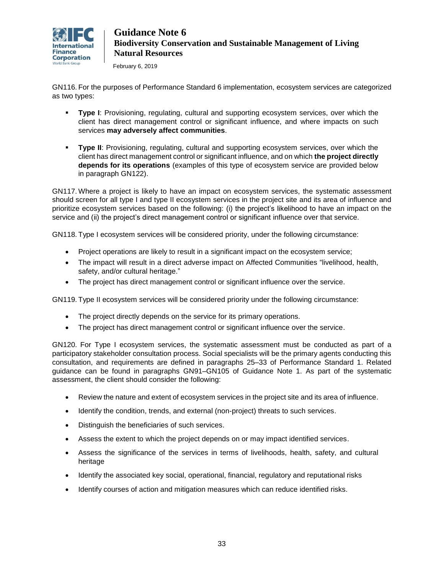

February 6, 2019

GN116. For the purposes of Performance Standard 6 implementation, ecosystem services are categorized as two types:

- **Type I**: Provisioning, regulating, cultural and supporting ecosystem services, over which the client has direct management control or significant influence, and where impacts on such services **may adversely affect communities**.
- **Type II:** Provisioning, regulating, cultural and supporting ecosystem services, over which the client has direct management control or significant influence, and on which **the project directly depends for its operations** (examples of this type of ecosystem service are provided below in paragraph GN122).

GN117. Where a project is likely to have an impact on ecosystem services, the systematic assessment should screen for all type I and type II ecosystem services in the project site and its area of influence and prioritize ecosystem services based on the following: (i) the project's likelihood to have an impact on the service and (ii) the project's direct management control or significant influence over that service.

GN118. Type I ecosystem services will be considered priority, under the following circumstance:

- Project operations are likely to result in a significant impact on the ecosystem service;
- The impact will result in a direct adverse impact on Affected Communities "livelihood, health, safety, and/or cultural heritage."
- The project has direct management control or significant influence over the service.

GN119. Type II ecosystem services will be considered priority under the following circumstance:

- The project directly depends on the service for its primary operations.
- The project has direct management control or significant influence over the service.

GN120. For Type I ecosystem services, the systematic assessment must be conducted as part of a participatory stakeholder consultation process. Social specialists will be the primary agents conducting this consultation, and requirements are defined in paragraphs 25–33 of Performance Standard 1. Related guidance can be found in paragraphs GN91–GN105 of Guidance Note 1. As part of the systematic assessment, the client should consider the following:

- Review the nature and extent of ecosystem services in the project site and its area of influence.
- Identify the condition, trends, and external (non-project) threats to such services.
- Distinguish the beneficiaries of such services.
- Assess the extent to which the project depends on or may impact identified services.
- Assess the significance of the services in terms of livelihoods, health, safety, and cultural heritage
- Identify the associated key social, operational, financial, regulatory and reputational risks
- Identify courses of action and mitigation measures which can reduce identified risks.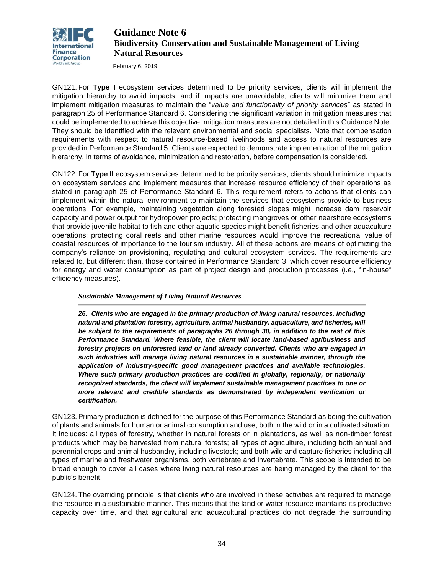

February 6, 2019

GN121. For **Type I** ecosystem services determined to be priority services, clients will implement the mitigation hierarchy to avoid impacts, and if impacts are unavoidable, clients will minimize them and implement mitigation measures to maintain the "*value and functionality of priority services*" as stated in paragraph 25 of Performance Standard 6. Considering the significant variation in mitigation measures that could be implemented to achieve this objective, mitigation measures are not detailed in this Guidance Note. They should be identified with the relevant environmental and social specialists. Note that compensation requirements with respect to natural resource-based livelihoods and access to natural resources are provided in Performance Standard 5. Clients are expected to demonstrate implementation of the mitigation hierarchy, in terms of avoidance, minimization and restoration, before compensation is considered.

<span id="page-33-0"></span>GN122. For **Type II** ecosystem services determined to be priority services, clients should minimize impacts on ecosystem services and implement measures that increase resource efficiency of their operations as stated in paragraph 25 of Performance Standard 6. This requirement refers to actions that clients can implement within the natural environment to maintain the services that ecosystems provide to business operations. For example, maintaining vegetation along forested slopes might increase dam reservoir capacity and power output for hydropower projects; protecting mangroves or other nearshore ecosystems that provide juvenile habitat to fish and other aquatic species might benefit fisheries and other aquaculture operations; protecting coral reefs and other marine resources would improve the recreational value of coastal resources of importance to the tourism industry. All of these actions are means of optimizing the company's reliance on provisioning, regulating and cultural ecosystem services. The requirements are related to, but different than, those contained in Performance Standard 3, which cover resource efficiency for energy and water consumption as part of project design and production processes (i.e., "in-house" efficiency measures).

### *Sustainable Management of Living Natural Resources*

*26. Clients who are engaged in the primary production of living natural resources, including natural and plantation forestry, agriculture, animal husbandry, aquaculture, and fisheries, will be subject to the requirements of paragraphs 26 through 30, in addition to the rest of this Performance Standard. Where feasible, the client will locate land-based agribusiness and forestry projects on unforested land or land already converted. Clients who are engaged in such industries will manage living natural resources in a sustainable manner, through the application of industry-specific good management practices and available technologies. Where such primary production practices are codified in globally, regionally, or nationally recognized standards, the client will implement sustainable management practices to one or more relevant and credible standards as demonstrated by independent verification or certification.*

GN123. Primary production is defined for the purpose of this Performance Standard as being the cultivation of plants and animals for human or animal consumption and use, both in the wild or in a cultivated situation. It includes: all types of forestry, whether in natural forests or in plantations, as well as non-timber forest products which may be harvested from natural forests; all types of agriculture, including both annual and perennial crops and animal husbandry, including livestock; and both wild and capture fisheries including all types of marine and freshwater organisms, both vertebrate and invertebrate. This scope is intended to be broad enough to cover all cases where living natural resources are being managed by the client for the public's benefit.

GN124. The overriding principle is that clients who are involved in these activities are required to manage the resource in a sustainable manner. This means that the land or water resource maintains its productive capacity over time, and that agricultural and aquacultural practices do not degrade the surrounding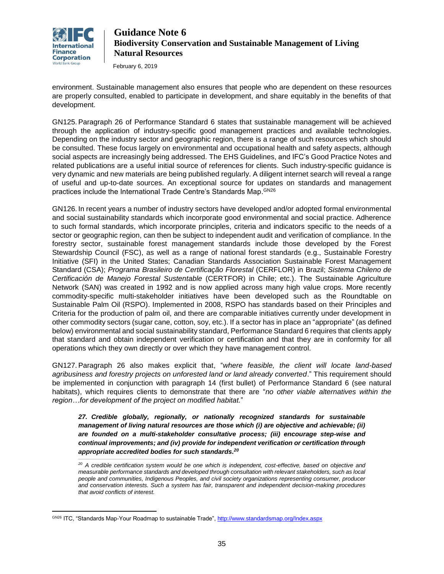

February 6, 2019

environment. Sustainable management also ensures that people who are dependent on these resources are properly consulted, enabled to participate in development, and share equitably in the benefits of that development.

GN125. Paragraph 26 of Performance Standard 6 states that sustainable management will be achieved through the application of industry-specific good management practices and available technologies. Depending on the industry sector and geographic region, there is a range of such resources which should be consulted. These focus largely on environmental and occupational health and safety aspects, although social aspects are increasingly being addressed. The EHS Guidelines, and IFC's Good Practice Notes and related publications are a useful initial source of references for clients. Such industry-specific guidance is very dynamic and new materials are being published regularly. A diligent internet search will reveal a range of useful and up-to-date sources. An exceptional source for updates on standards and management practices include the International Trade Centre's Standards Map.<sup>GN26</sup>

GN126. In recent years a number of industry sectors have developed and/or adopted formal environmental and social sustainability standards which incorporate good environmental and social practice. Adherence to such formal standards, which incorporate principles, criteria and indicators specific to the needs of a sector or geographic region, can then be subject to independent audit and verification of compliance. In the forestry sector, sustainable forest management standards include those developed by the Forest Stewardship Council (FSC), as well as a range of national forest standards (e.g., Sustainable Forestry Initiative (SFI) in the United States; Canadian Standards Association Sustainable Forest Management Standard (CSA); *Programa Brasileiro de Certificação Florestal* (CERFLOR) in Brazil; *Sistema Chileno de Certificación de Manejo Forestal Sustentable* (CERTFOR) in Chile; etc.). The Sustainable Agriculture Network (SAN) was created in 1992 and is now applied across many high value crops. More recently commodity-specific multi-stakeholder initiatives have been developed such as the Roundtable on Sustainable Palm Oil (RSPO). Implemented in 2008, RSPO has standards based on their Principles and Criteria for the production of palm oil, and there are comparable initiatives currently under development in other commodity sectors (sugar cane, cotton, soy, etc.). If a sector has in place an "appropriate" (as defined below) environmental and social sustainability standard, Performance Standard 6 requires that clients apply that standard and obtain independent verification or certification and that they are in conformity for all operations which they own directly or over which they have management control.

GN127. Paragraph 26 also makes explicit that, "*where feasible, the client will locate land-based agribusiness and forestry projects on unforested land or land already converted*." This requirement should be implemented in conjunction with paragraph 14 (first bullet) of Performance Standard 6 (see natural habitats), which requires clients to demonstrate that there are "*no other viable alternatives within the region…for development of the project on modified habitat.*"

*27. Credible globally, regionally, or nationally recognized standards for sustainable management of living natural resources are those which (i) are objective and achievable; (ii) are founded on a multi-stakeholder consultative process; (iii) encourage step-wise and continual improvements; and (iv) provide for independent verification or certification through appropriate accredited bodies for such standards. 20*

*\_\_\_\_\_\_\_\_\_\_\_\_\_\_\_\_\_\_\_\_\_\_\_\_\_\_\_\_\_\_\_\_\_\_\_\_\_\_\_\_\_\_\_\_\_\_\_\_\_\_\_\_\_*

*<sup>20</sup> A credible certification system would be one which is independent, cost-effective, based on objective and measurable performance standards and developed through consultation with relevant stakeholders, such as local people and communities, Indigenous Peoples, and civil society organizations representing consumer, producer and conservation interests. Such a system has fair, transparent and independent decision-making procedures that avoid conflicts of interest.*

 $\overline{a}$ GN26 ITC, "Standards Map-Your Roadmap to sustainable Trade",<http://www.standardsmap.org/Index.aspx>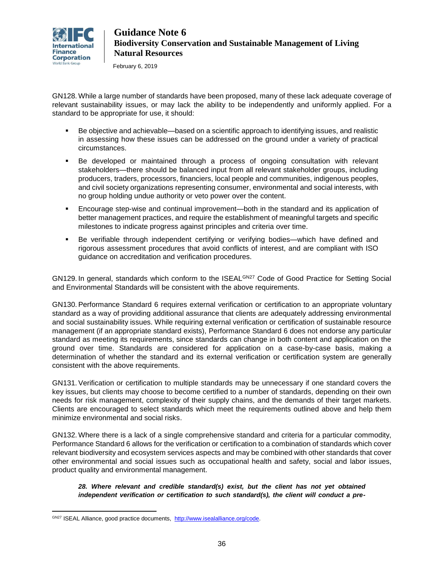

February 6, 2019

GN128. While a large number of standards have been proposed, many of these lack adequate coverage of relevant sustainability issues, or may lack the ability to be independently and uniformly applied. For a standard to be appropriate for use, it should:

- Be objective and achievable—based on a scientific approach to identifying issues, and realistic in assessing how these issues can be addressed on the ground under a variety of practical circumstances.
- Be developed or maintained through a process of ongoing consultation with relevant stakeholders—there should be balanced input from all relevant stakeholder groups, including producers, traders, processors, financiers, local people and communities, indigenous peoples, and civil society organizations representing consumer, environmental and social interests, with no group holding undue authority or veto power over the content.
- Encourage step-wise and continual improvement—both in the standard and its application of better management practices, and require the establishment of meaningful targets and specific milestones to indicate progress against principles and criteria over time.
- Be verifiable through independent certifying or verifying bodies—which have defined and rigorous assessment procedures that avoid conflicts of interest, and are compliant with ISO guidance on accreditation and verification procedures.

GN129. In general, standards which conform to the ISEAL<sup>GN27</sup> Code of Good Practice for Setting Social and Environmental Standards will be consistent with the above requirements.

GN130. Performance Standard 6 requires external verification or certification to an appropriate voluntary standard as a way of providing additional assurance that clients are adequately addressing environmental and social sustainability issues. While requiring external verification or certification of sustainable resource management (if an appropriate standard exists), Performance Standard 6 does not endorse any particular standard as meeting its requirements, since standards can change in both content and application on the ground over time. Standards are considered for application on a case-by-case basis, making a determination of whether the standard and its external verification or certification system are generally consistent with the above requirements.

GN131. Verification or certification to multiple standards may be unnecessary if one standard covers the key issues, but clients may choose to become certified to a number of standards, depending on their own needs for risk management, complexity of their supply chains, and the demands of their target markets. Clients are encouraged to select standards which meet the requirements outlined above and help them minimize environmental and social risks.

GN132. Where there is a lack of a single comprehensive standard and criteria for a particular commodity, Performance Standard 6 allows for the verification or certification to a combination of standards which cover relevant biodiversity and ecosystem services aspects and may be combined with other standards that cover other environmental and social issues such as occupational health and safety, social and labor issues, product quality and environmental management.

*28. Where relevant and credible standard(s) exist, but the client has not yet obtained independent verification or certification to such standard(s), the client will conduct a pre-*

 $\overline{a}$ 

GN27 ISEAL Alliance, good practice documents, [http://www.isealalliance.org/code.](http://www.isealalliance.org/code)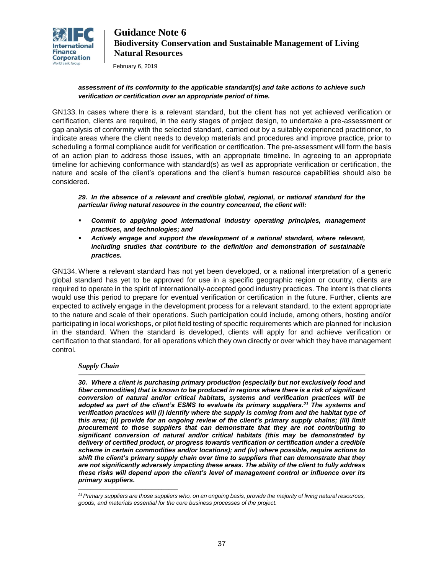

February 6, 2019

### *assessment of its conformity to the applicable standard(s) and take actions to achieve such verification or certification over an appropriate period of time.*

GN133. In cases where there is a relevant standard, but the client has not yet achieved verification or certification, clients are required, in the early stages of project design, to undertake a pre-assessment or gap analysis of conformity with the selected standard, carried out by a suitably experienced practitioner, to indicate areas where the client needs to develop materials and procedures and improve practice, prior to scheduling a formal compliance audit for verification or certification. The pre-assessment will form the basis of an action plan to address those issues, with an appropriate timeline. In agreeing to an appropriate timeline for achieving conformance with standard(s) as well as appropriate verification or certification, the nature and scale of the client's operations and the client's human resource capabilities should also be considered.

*29. In the absence of a relevant and credible global, regional, or national standard for the particular living natural resource in the country concerned, the client will:*

- *Commit to applying good international industry operating principles, management practices, and technologies; and*
- *Actively engage and support the development of a national standard, where relevant, including studies that contribute to the definition and demonstration of sustainable practices.*

GN134. Where a relevant standard has not yet been developed, or a national interpretation of a generic global standard has yet to be approved for use in a specific geographic region or country, clients are required to operate in the spirit of internationally-accepted good industry practices. The intent is that clients would use this period to prepare for eventual verification or certification in the future. Further, clients are expected to actively engage in the development process for a relevant standard, to the extent appropriate to the nature and scale of their operations. Such participation could include, among others, hosting and/or participating in local workshops, or pilot field testing of specific requirements which are planned for inclusion in the standard. When the standard is developed, clients will apply for and achieve verification or certification to that standard, for all operations which they own directly or over which they have management control.

### *Supply Chain*

*\_\_\_\_\_\_\_\_\_\_\_\_\_\_\_\_\_\_\_\_\_\_\_\_\_\_\_\_\_\_\_*

*30. Where a client is purchasing primary production (especially but not exclusively food and fiber commodities) that is known to be produced in regions where there is a risk of significant conversion of natural and/or critical habitats, systems and verification practices will be adopted as part of the client's ESMS to evaluate its primary suppliers.<sup>21</sup> The systems and verification practices will (i) identify where the supply is coming from and the habitat type of this area; (ii) provide for an ongoing review of the client's primary supply chains; (iii) limit procurement to those suppliers that can demonstrate that they are not contributing to significant conversion of natural and/or critical habitats (this may be demonstrated by delivery of certified product, or progress towards verification or certification under a credible scheme in certain commodities and/or locations); and (iv) where possible, require actions to shift the client's primary supply chain over time to suppliers that can demonstrate that they are not significantly adversely impacting these areas. The ability of the client to fully address these risks will depend upon the client's level of management control or influence over its primary suppliers.* 

*<sup>21</sup>Primary suppliers are those suppliers who, on an ongoing basis, provide the majority of living natural resources, goods, and materials essential for the core business processes of the project.*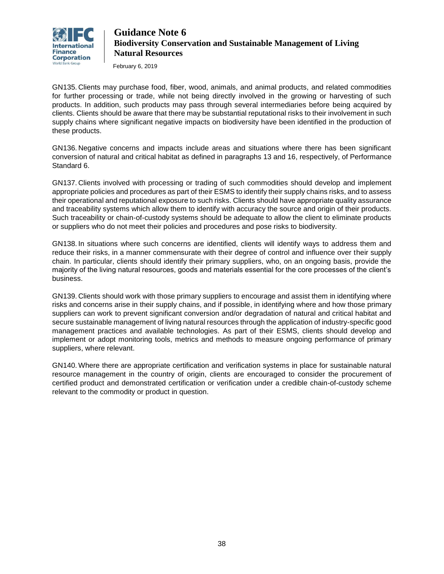

February 6, 2019

GN135. Clients may purchase food, fiber, wood, animals, and animal products, and related commodities for further processing or trade, while not being directly involved in the growing or harvesting of such products. In addition, such products may pass through several intermediaries before being acquired by clients. Clients should be aware that there may be substantial reputational risks to their involvement in such supply chains where significant negative impacts on biodiversity have been identified in the production of these products.

GN136. Negative concerns and impacts include areas and situations where there has been significant conversion of natural and critical habitat as defined in paragraphs 13 and 16, respectively, of Performance Standard 6.

GN137. Clients involved with processing or trading of such commodities should develop and implement appropriate policies and procedures as part of their ESMS to identify their supply chains risks, and to assess their operational and reputational exposure to such risks. Clients should have appropriate quality assurance and traceability systems which allow them to identify with accuracy the source and origin of their products. Such traceability or chain-of-custody systems should be adequate to allow the client to eliminate products or suppliers who do not meet their policies and procedures and pose risks to biodiversity.

GN138. In situations where such concerns are identified, clients will identify ways to address them and reduce their risks, in a manner commensurate with their degree of control and influence over their supply chain. In particular, clients should identify their primary suppliers, who, on an ongoing basis, provide the majority of the living natural resources, goods and materials essential for the core processes of the client's business.

GN139. Clients should work with those primary suppliers to encourage and assist them in identifying where risks and concerns arise in their supply chains, and if possible, in identifying where and how those primary suppliers can work to prevent significant conversion and/or degradation of natural and critical habitat and secure sustainable management of living natural resources through the application of industry-specific good management practices and available technologies. As part of their ESMS, clients should develop and implement or adopt monitoring tools, metrics and methods to measure ongoing performance of primary suppliers, where relevant.

GN140. Where there are appropriate certification and verification systems in place for sustainable natural resource management in the country of origin, clients are encouraged to consider the procurement of certified product and demonstrated certification or verification under a credible chain-of-custody scheme relevant to the commodity or product in question.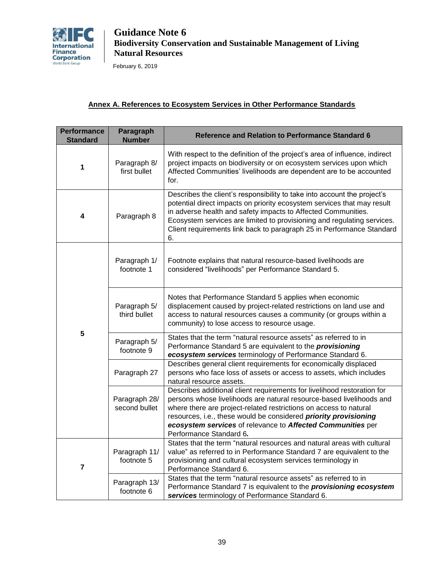

February 6, 2019

### **Annex A. References to Ecosystem Services in Other Performance Standards**

| <b>Performance</b><br><b>Standard</b> | Paragraph<br><b>Number</b>     | <b>Reference and Relation to Performance Standard 6</b>                                                                                                                                                                                                                                                                                                                            |
|---------------------------------------|--------------------------------|------------------------------------------------------------------------------------------------------------------------------------------------------------------------------------------------------------------------------------------------------------------------------------------------------------------------------------------------------------------------------------|
| 1                                     | Paragraph 8/<br>first bullet   | With respect to the definition of the project's area of influence, indirect<br>project impacts on biodiversity or on ecosystem services upon which<br>Affected Communities' livelihoods are dependent are to be accounted<br>for.                                                                                                                                                  |
| 4                                     | Paragraph 8                    | Describes the client's responsibility to take into account the project's<br>potential direct impacts on priority ecosystem services that may result<br>in adverse health and safety impacts to Affected Communities.<br>Ecosystem services are limited to provisioning and regulating services.<br>Client requirements link back to paragraph 25 in Performance Standard<br>6.     |
| 5                                     | Paragraph 1/<br>footnote 1     | Footnote explains that natural resource-based livelihoods are<br>considered "livelihoods" per Performance Standard 5.                                                                                                                                                                                                                                                              |
|                                       | Paragraph 5/<br>third bullet   | Notes that Performance Standard 5 applies when economic<br>displacement caused by project-related restrictions on land use and<br>access to natural resources causes a community (or groups within a<br>community) to lose access to resource usage.                                                                                                                               |
|                                       | Paragraph 5/<br>footnote 9     | States that the term "natural resource assets" as referred to in<br>Performance Standard 5 are equivalent to the <i>provisioning</i><br>ecosystem services terminology of Performance Standard 6.                                                                                                                                                                                  |
|                                       | Paragraph 27                   | Describes general client requirements for economically displaced<br>persons who face loss of assets or access to assets, which includes<br>natural resource assets.                                                                                                                                                                                                                |
|                                       | Paragraph 28/<br>second bullet | Describes additional client requirements for livelihood restoration for<br>persons whose livelihoods are natural resource-based livelihoods and<br>where there are project-related restrictions on access to natural<br>resources, i.e., these would be considered priority provisioning<br>ecosystem services of relevance to Affected Communities per<br>Performance Standard 6. |
| 7                                     | Paragraph 11/<br>footnote 5    | States that the term "natural resources and natural areas with cultural<br>value" as referred to in Performance Standard 7 are equivalent to the<br>provisioning and cultural ecosystem services terminology in<br>Performance Standard 6.                                                                                                                                         |
|                                       | Paragraph 13/<br>footnote 6    | States that the term "natural resource assets" as referred to in<br>Performance Standard 7 is equivalent to the provisioning ecosystem<br>services terminology of Performance Standard 6.                                                                                                                                                                                          |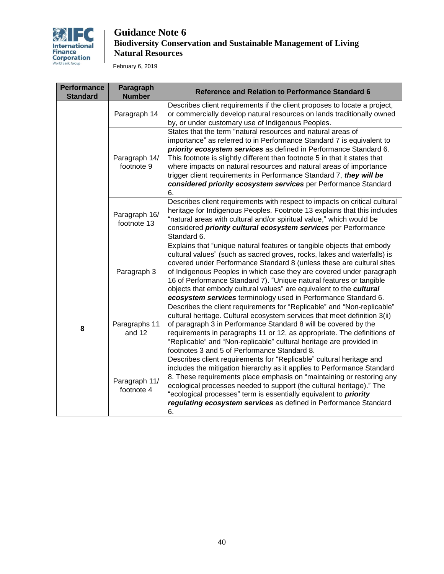

February 6, 2019

| <b>Performance</b><br><b>Standard</b> | Paragraph<br><b>Number</b>   | Reference and Relation to Performance Standard 6                                                                                                                                                                                                                                                                                                                                                                                                                                                                    |
|---------------------------------------|------------------------------|---------------------------------------------------------------------------------------------------------------------------------------------------------------------------------------------------------------------------------------------------------------------------------------------------------------------------------------------------------------------------------------------------------------------------------------------------------------------------------------------------------------------|
|                                       | Paragraph 14                 | Describes client requirements if the client proposes to locate a project,<br>or commercially develop natural resources on lands traditionally owned<br>by, or under customary use of Indigenous Peoples.                                                                                                                                                                                                                                                                                                            |
|                                       | Paragraph 14/<br>footnote 9  | States that the term "natural resources and natural areas of<br>importance" as referred to in Performance Standard 7 is equivalent to<br>priority ecosystem services as defined in Performance Standard 6.<br>This footnote is slightly different than footnote 5 in that it states that<br>where impacts on natural resources and natural areas of importance<br>trigger client requirements in Performance Standard 7, they will be<br>considered priority ecosystem services per Performance Standard<br>6.      |
|                                       | Paragraph 16/<br>footnote 13 | Describes client requirements with respect to impacts on critical cultural<br>heritage for Indigenous Peoples. Footnote 13 explains that this includes<br>"natural areas with cultural and/or spiritual value," which would be<br>considered priority cultural ecosystem services per Performance<br>Standard 6.                                                                                                                                                                                                    |
| 8                                     | Paragraph 3                  | Explains that "unique natural features or tangible objects that embody<br>cultural values" (such as sacred groves, rocks, lakes and waterfalls) is<br>covered under Performance Standard 8 (unless these are cultural sites<br>of Indigenous Peoples in which case they are covered under paragraph<br>16 of Performance Standard 7). "Unique natural features or tangible<br>objects that embody cultural values" are equivalent to the cultural<br>ecosystem services terminology used in Performance Standard 6. |
|                                       | Paragraphs 11<br>and 12      | Describes the client requirements for "Replicable" and "Non-replicable"<br>cultural heritage. Cultural ecosystem services that meet definition 3(ii)<br>of paragraph 3 in Performance Standard 8 will be covered by the<br>requirements in paragraphs 11 or 12, as appropriate. The definitions of<br>"Replicable" and "Non-replicable" cultural heritage are provided in<br>footnotes 3 and 5 of Performance Standard 8.                                                                                           |
|                                       | Paragraph 11/<br>footnote 4  | Describes client requirements for "Replicable" cultural heritage and<br>includes the mitigation hierarchy as it applies to Performance Standard<br>8. These requirements place emphasis on "maintaining or restoring any<br>ecological processes needed to support (the cultural heritage)." The<br>"ecological processes" term is essentially equivalent to <i>priority</i><br>regulating ecosystem services as defined in Performance Standard<br>6.                                                              |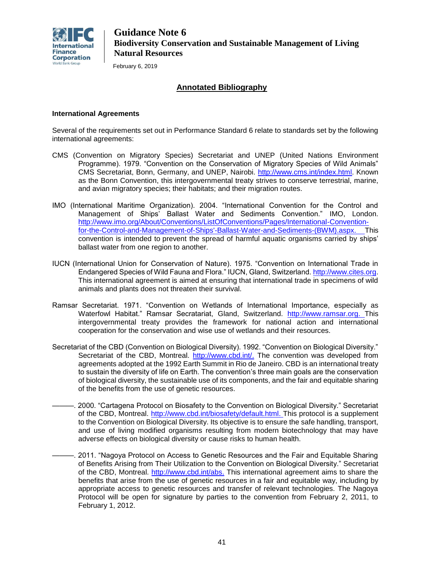

February 6, 2019

### **Annotated Bibliography**

### **International Agreements**

Several of the requirements set out in Performance Standard 6 relate to standards set by the following international agreements:

- CMS (Convention on Migratory Species) Secretariat and UNEP (United Nations Environment Programme). 1979. "Convention on the Conservation of Migratory Species of Wild Animals" CMS Secretariat, Bonn, Germany, and UNEP, Nairobi. [http://www.cms.int/index.html.](http://www.cms.int/index.html) Known as the Bonn Convention, this intergovernmental treaty strives to conserve terrestrial, marine, and avian migratory species; their habitats; and their migration routes.
- IMO (International Maritime Organization). 2004. "International Convention for the Control and Management of Ships' Ballast Water and Sediments Convention." IMO, London. [http://www.imo.org/About/Conventions/ListOfConventions/Pages/International-Convention](http://www.imo.org/About/Conventions/ListOfConventions/Pages/International-Convention-for-the-Control-and-Management-of-Ships)[for-the-Control-and-Management-of-Ships'-Ballast-Water-and-Sediments-\(BWM\).aspx.](http://www.imo.org/About/Conventions/ListOfConventions/Pages/International-Convention-for-the-Control-and-Management-of-Ships) This convention is intended to prevent the spread of harmful aquatic organisms carried by ships' ballast water from one region to another.
- IUCN (International Union for Conservation of Nature). 1975. "Convention on International Trade in Endangered Species of Wild Fauna and Flora." IUCN, Gland, Switzerland. [http://www.cites.org.](http://www.cites.org/) This international agreement is aimed at ensuring that international trade in specimens of wild animals and plants does not threaten their survival.
- Ramsar Secretariat. 1971. "Convention on Wetlands of International Importance, especially as [Waterfowl](http://en.wikipedia.org/wiki/Waterfowl) Habitat." Ramsar Secratariat, Gland, Switzerland. [http://www.ramsar.org.](http://www.ramsar.org/) This intergovernmental treaty provides the framework for national action and international cooperation for the conservation and wise use of wetlands and their resources.
- Secretariat of the CBD (Convention on Biological Diversity). 1992. "Convention on Biological Diversity." Secretariat of the CBD, Montreal. [http://www.cbd.int/.](http://www.cbd.int/) The convention was developed from agreements adopted at the 1992 Earth Summit in Rio de Janeiro. CBD is an international treaty to sustain the diversity of life on Earth. The convention's three main goals are the conservation of biological diversity, the sustainable use of its components, and the fair and equitable sharing of the benefits from the use of genetic resources.
- ———. 2000. "Cartagena Protocol on Biosafety to the Convention on Biological Diversity." Secretariat of the CBD, Montreal. [http://www.cbd.int/biosafety/default.html.](http://www.cbd.int/biosafety/default.html) This protocol is a supplement to the Convention on Biological Diversity. Its objective is to ensure the safe handling, transport, and use of living modified organisms resulting from modern biotechnology that may have adverse effects on biological diversity or cause risks to human health.
- ———. 2011. "Nagoya Protocol on Access to Genetic Resources and the Fair and Equitable Sharing of Benefits Arising from Their Utilization to the Convention on Biological Diversity." Secretariat of the CBD, Montreal. [http://www.cbd.int/abs.](http://www.cbd.int/abs/) This international agreement aims to share the benefits that arise from the use of genetic resources in a fair and equitable way, including by appropriate access to genetic resources and transfer of relevant technologies. The Nagoya Protocol will be open for signature by parties to the convention from February 2, 2011, to February 1, 2012.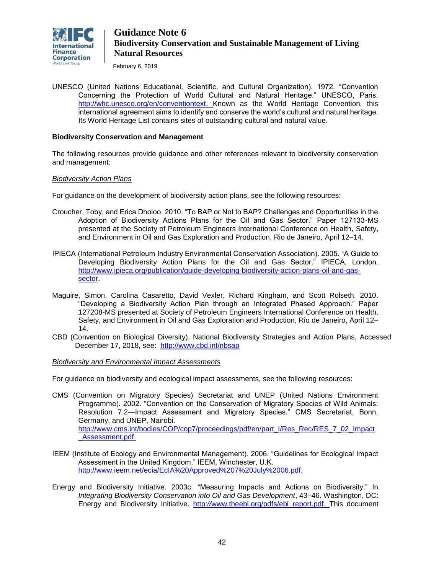

February 6, 2019

UNESCO (United Nations Educational, Scientific, and Cultural Organization). 1972. "Convention Concerning the Protection of World Cultural and Natural Heritage." UNESCO, Paris. [http://whc.unesco.org/en/conventiontext.](http://whc.unesco.org/en/conventiontext) Known as the World Heritage Convention, this international agreement aims to identify and conserve the world's cultural and natural heritage. Its World Heritage List contains sites of outstanding cultural and natural value.

### **Biodiversity Conservation and Management**

The following resources provide guidance and other references relevant to biodiversity conservation and management:

### *Biodiversity Action Plans*

For guidance on the development of biodiversity action plans, see the following resources:

- Croucher, Toby, and Erica Dholoo. 2010. "To BAP or Not to BAP? Challenges and Opportunities in the Adoption of Biodiversity Actions Plans for the Oil and Gas Sector." Paper 127133-MS presented at the Society of Petroleum Engineers International Conference on Health, Safety, and Environment in Oil and Gas Exploration and Production, Rio de Janeiro, April 12–14.
- IPIECA (International Petroleum Industry Environmental Conservation Association). 2005. "A Guide to Developing Biodiversity Action Plans for the Oil and Gas Sector." IPIECA, London. [http://www.ipieca.org/publication/guide-developing-biodiversity-action-plans-oil-and-gas](http://www.ipieca.org/publication/guide-developing-biodiversity-action-plans-oil-and-gas-sector)[sector.](http://www.ipieca.org/publication/guide-developing-biodiversity-action-plans-oil-and-gas-sector)
- Maguire, Simon, Carolina Casaretto, David Vexler, Richard Kingham, and Scott Rolseth. 2010. "Developing a Biodiversity Action Plan through an Integrated Phased Approach." Paper 127208-MS presented at Society of Petroleum Engineers International Conference on Health, Safety, and Environment in Oil and Gas Exploration and Production, Rio de Janeiro, April 12– 14.
- CBD (Convention on Biological Diversity), National Biodiversity Strategies and Action Plans, Accessed December 17, 2018, see: <http://www.cbd.int/nbsap>

### *Biodiversity and Environmental Impact Assessments*

For guidance on biodiversity and ecological impact assessments, see the following resources:

- CMS (Convention on Migratory Species) Secretariat and UNEP (United Nations Environment Programme). 2002. "Convention on the Conservation of Migratory Species of Wild Animals: Resolution 7.2—Impact Assessment and Migratory Species." CMS Secretariat, Bonn, Germany, and UNEP, Nairobi. [http://www.cms.int/bodies/COP/cop7/proceedings/pdf/en/part\\_I/Res\\_Rec/RES\\_7\\_02\\_Impact](http://www.cms.int/bodies/COP/cop7/proceedings/pdf/en/part_I/Res_Rec/RES_7_02_Impact_Assessment.pdf) Assessment.pdf.
- IEEM (Institute of Ecology and Environmental Management). 2006. "Guidelines for Ecological Impact Assessment in the United Kingdom." IEEM, Winchester, U.K. [http://www.ieem.net/ecia/EcIA%20Approved%207%20July%2006.pdf.](http://www.ieem.net/ecia/EcIA%20Approved%207%20July%2006.pdf)
- Energy and Biodiversity Initiative. 2003c. "Measuring Impacts and Actions on Biodiversity." In *Integrating Biodiversity Conservation into Oil and Gas Development*, 43–46. Washington, DC: Energy and Biodiversity Initiative. http*://*[www.theebi.org/pdfs/ebi\\_report.pdf.](http://www.theebi.org/pdfs/ebi_report.pdf) This document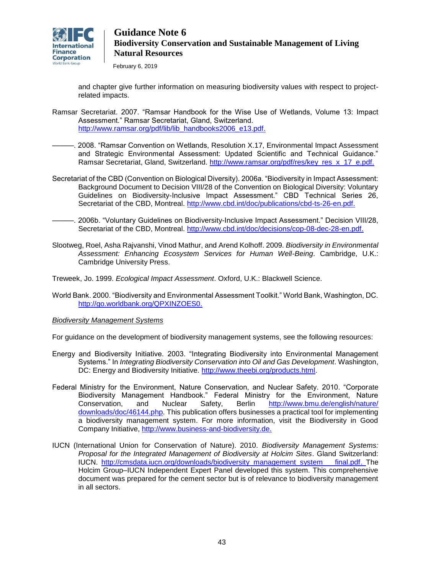

February 6, 2019

and chapter give further information on measuring biodiversity values with respect to projectrelated impacts.

- Ramsar Secretariat. 2007. "Ramsar Handbook for the Wise Use of Wetlands, Volume 13: Impact Assessment." Ramsar Secretariat, Gland, Switzerland. [http://www.ramsar.org/pdf/lib/lib\\_handbooks2006\\_e13.pdf.](http://www.ramsar.org/pdf/lib/lib_handbooks2006_e13.pdf)
- ———. 2008. "Ramsar Convention on Wetlands, Resolution X.17, Environmental Impact Assessment and Strategic Environmental Assessment: Updated Scientific and Technical Guidance." Ramsar Secretariat, Gland, Switzerland. [http://www.ramsar.org/pdf/res/key\\_res\\_x\\_17\\_e.pdf.](http://www.ramsar.org/pdf/res/key_res_x_17_e.pdf)
- Secretariat of the CBD (Convention on Biological Diversity). 2006a. "Biodiversity in Impact Assessment: Background Document to Decision VIII/28 of the Convention on Biological Diversity: Voluntary Guidelines on Biodiversity-Inclusive Impact Assessment." CBD Technical Series 26, Secretariat of the CBD, Montreal. [http://www.cbd.int/doc/publications/cbd-ts-26-en.pdf.](http://www.cbd.int/doc/publications/cbd-ts-26-en.pdf)
	- ———. 2006b. "Voluntary Guidelines on Biodiversity-Inclusive Impact Assessment." Decision VIII/28, Secretariat of the CBD, Montreal. [http://www.cbd.int/doc/decisions/cop-08-dec-28-en.pdf.](http://www.cbd.int/doc/decisions/cop-08-dec-28-en.pdf)
- Slootweg, Roel, Asha Rajvanshi, Vinod Mathur, and Arend Kolhoff. 2009. *Biodiversity in Environmental Assessment: Enhancing Ecosystem Services for Human Well-Being*. Cambridge, U.K.: Cambridge University Press.
- Treweek, Jo. 1999. *Ecological Impact Assessment*. Oxford, U.K.: Blackwell Science.
- World Bank. 2000. "Biodiversity and Environmental Assessment Toolkit." World Bank, Washington, DC. [http://go.worldbank.org/QPXINZOES0.](http://go.worldbank.org/QPXINZOES0)

#### *Biodiversity Management Systems*

For guidance on the development of biodiversity management systems, see the following resources:

- Energy and Biodiversity Initiative. 2003. "Integrating Biodiversity into Environmental Management Systems." In *Integrating Biodiversity Conservation into Oil and Gas Development*. Washington, DC: Energy and Biodiversity Initiative. [http://www.theebi.org/products.html.](http://www.theebi.org/products.html)
- Federal Ministry for the Environment, Nature Conservation, and Nuclear Safety. 2010. "Corporate Biodiversity Management Handbook." Federal Ministry for the Environment, Nature Conservation, and Nuclear Safety, Berlin [http://www.bmu.de/english/nature/](http://www.bmu.de/english/nature/%20downloads/doc/46144.php)  [downloads/doc/46144.php.](http://www.bmu.de/english/nature/%20downloads/doc/46144.php) This publication offers businesses a practical tool for implementing a biodiversity management system. For more information, visit the Biodiversity in Good Company Initiative, [http://www.business-and-biodiversity.de.](http://www.business-and-biodiversity.de/)
- IUCN (International Union for Conservation of Nature). 2010. *Biodiversity Management Systems: Proposal for the Integrated Management of Biodiversity at Holcim Sites*. Gland Switzerland: IUCN. [http://cmsdata.iucn.org/downloads/biodiversity\\_management\\_system\\_\\_\\_final.pdf.](http://cmsdata.iucn.org/downloads/biodiversity_management_system___final.pdf) The Holcim Group–IUCN Independent Expert Panel developed this system. This comprehensive document was prepared for the cement sector but is of relevance to biodiversity management in all sectors.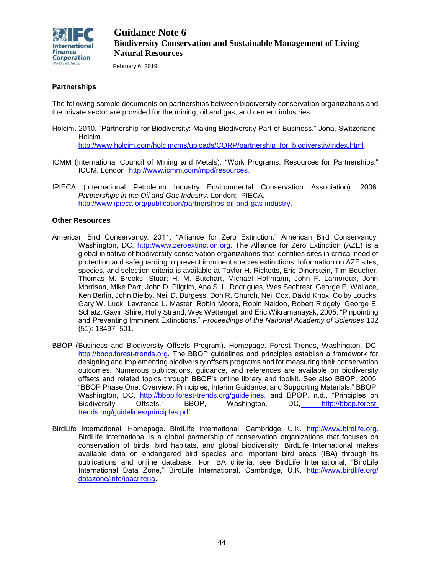

February 6, 2019

### **Partnerships**

The following sample documents on partnerships between biodiversity conservation organizations and the private sector are provided for the mining, oil and gas, and cement industries:

Holcim. 2010. "Partnership for Biodiversity: Making Biodiversity Part of Business." Jona, Switzerland, Holcim.

[http://www.holcim.com/holcimcms/uploads/CORP/partnership\\_for\\_biodiverstiy/index.html](http://www.holcim.com/holcimcms/uploads/CORP/partnership_for_biodiverstiy/index.html)

- ICMM (International Council of Mining and Metals). "Work Programs: Resources for Partnerships." ICCM, London. [http://www.icmm.com/mpd/resources.](http://www.icmm.com/mpd/resources)
- IPIECA (International Petroleum Industry Environmental Conservation Association). 2006. *Partnerships in the Oil and Gas Industry*. London: IPIECA. [http://www.ipieca.org/publication/partnerships-oil-and-gas-industry.](http://www.ipieca.org/publication/partnerships-oil-and-gas-industry)

### **Other Resources**

- American Bird Conservancy. 2011. "Alliance for Zero Extinction." American Bird Conservancy, Washington, DC. [http://www.zeroextinction.org.](http://www.zeroextinction.org/) The Alliance for Zero Extinction (AZE) is a global initiative of biodiversity conservation organizations that identifies sites in critical need of protection and safeguarding to prevent imminent species extinctions. Information on AZE sites, species, and selection criteria is available at Taylor H. Ricketts, Eric Dinerstein, Tim Boucher, Thomas M. Brooks, Stuart H. M. Butchart, Michael Hoffmann, John F. Lamoreux, John Morrison, Mike Parr, John D. Pilgrim, Ana S. L. Rodrigues, Wes Sechrest, George E. Wallace, Ken Berlin, John Bielby, Neil D. Burgess, Don R. Church, Neil Cox, David Knox, Colby Loucks, Gary W. Luck, Lawrence L. Master, Robin Moore, Robin Naidoo, Robert Ridgely, George E. Schatz, Gavin Shire, Holly Strand, Wes Wettengel, and Eric Wikramanayak, 2005, "Pinpointing and Preventing Imminent Extinctions," *Proceedings of the National Academy of Sciences* 102 (51): 18497–501.
- BBOP (Business and Biodiversity Offsets Program). Homepage. Forest Trends, Washington, DC. [http://bbop.forest-trends.org.](http://bbop.forest-trends.org/) The BBOP guidelines and principles establish a framework for designing and implementing biodiversity offsets programs and for measuring their conservation outcomes. Numerous publications, guidance, and references are available on biodiversity offsets and related topics through BBOP's online library and toolkit. See also BBOP, 2005, "BBOP Phase One: Overview, Principles, Interim Guidance, and Supporting Materials," BBOP, Washington, DC, [http://bbop.forest-trends.org/guidelines,](http://bbop.forest-trends.org/guidelines/) and BPOP, n.d., "Principles on Biodiversity Offsets," BBOP, Washington, DC, [http://bbop.forest](http://bbop.forest-trends.org/guidelines/principles.pdf)[trends.org/guidelines/principles.pdf.](http://bbop.forest-trends.org/guidelines/principles.pdf)
- BirdLife International. Homepage. BirdLife International, Cambridge, U.K. [http://www.birdlife.org.](http://www.birdlife.org/) BirdLife International is a global partnership of conservation organizations that focuses on conservation of birds, bird habitats, and global biodiversity. BirdLife International makes available data on endangered bird species and important bird areas (IBA) through its publications and online database. For IBA criteria, see BirdLife International, "BirdLife International Data Zone," BirdLife International, Cambridge, U.K. http://www.birdlife.org/ [datazone/info/ibacriteria.](http://www.birdlife.org/%20datazone/info/ibacriteria)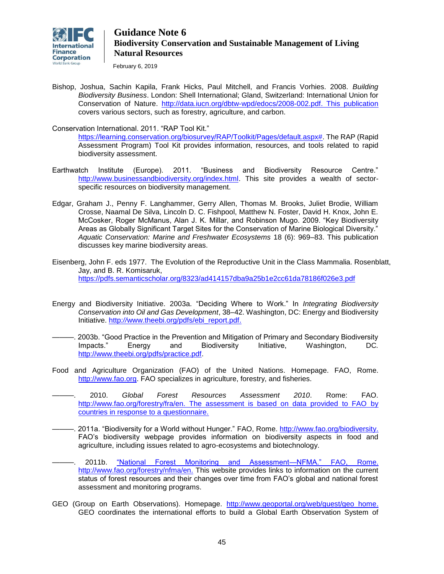

February 6, 2019

Bishop, Joshua, Sachin Kapila, Frank Hicks, Paul Mitchell, and Francis Vorhies. 2008. *Building Biodiversity Business*. London: Shell International; Gland, Switzerland: International Union for Conservation of Nature. [http://data.iucn.org/dbtw-wpd/edocs/2008-002.pdf.](http://data.iucn.org/dbtw-wpd/edocs/2008-002.pdf) This publication covers various sectors, such as forestry, agriculture, and carbon.

Conservation International. 2011. "RAP Tool Kit."

[https://learning.conservation.org/biosurvey/RAP/Toolkit/Pages/default.aspx#.](https://learning.conservation.org/biosurvey/RAP/Toolkit/Pages/default.aspx) The RAP (Rapid Assessment Program) Tool Kit provides information, resources, and tools related to rapid biodiversity assessment.

- Earthwatch Institute (Europe). 2011. "Business and Biodiversity Resource Centre." [http://www.businessandbiodiversity.org/index.html.](http://www.businessandbiodiversity.org/index.html) This site provides a wealth of sectorspecific resources on biodiversity management.
- Edgar, Graham J., Penny F. Langhammer, Gerry Allen, Thomas M. Brooks, Juliet Brodie, William Crosse, Naamal De Silva, Lincoln D. C. Fishpool, Matthew N. Foster, David H. Knox, John E. McCosker, Roger McManus, Alan J. K. Millar, and Robinson Mugo. 2009. "Key Biodiversity Areas as Globally Significant Target Sites for the Conservation of Marine Biological Diversity." *Aquatic Conservation: Marine and Freshwater Ecosystems* 18 (6): 969–83. This publication discusses key marine biodiversity areas.
- Eisenberg, John F. eds 1977. The Evolution of the Reproductive Unit in the Class Mammalia. Rosenblatt, Jay, and B. R. Komisaruk, <https://pdfs.semanticscholar.org/8323/ad414157dba9a25b1e2cc61da78186f026e3.pdf>
- Energy and Biodiversity Initiative. 2003a. "Deciding Where to Work." In *Integrating Biodiversity Conservation into Oil and Gas Development*, 38–42. Washington, DC: Energy and Biodiversity Initiative. http*://*[www.theebi.org/pdfs/ebi\\_report.pdf.](http://www.theebi.org/pdfs/ebi_report.pdf)
- ———. 2003b. "Good Practice in the Prevention and Mitigation of Primary and Secondary Biodiversity Impacts." Energy and Biodiversity Initiative, Washington, DC*.*  [http://www.theebi.org/pdfs/practice.pdf.](http://www.theebi.org/pdfs/practice.pdf)
- Food and Agriculture Organization (FAO) of the United Nations. Homepage. FAO, Rome. [http://www.fao.org.](http://www.fao.org/) FAO specializes in agriculture, forestry, and fisheries.
- ———. 2010. *Global Forest Resources Assessment 2010*. Rome: FAO. [http://www.fao.org/forestry/fra/en.](http://www.fao.org/forestry/fra/en/) The assessment is based on data provided to FAO by countries in response to a questionnaire.
- ———. 2011a. "Biodiversity for a World without Hunger." FAO, Rome. [http://www.fao.org/biodiversity.](http://www.fao.org/biodiversity/) FAO's biodiversity webpage provides information on biodiversity aspects in food and agriculture, including issues related to agro-ecosystems and biotechnology.
- ———. 2011b. "National Forest Monitoring and Assessment—NFMA." FAO, Rome. [http://www.fao.org/forestry/nfma/en.](http://www.fao.org/forestry/nfma/en/) This website provides links to information on the current status of forest resources and their changes over time from FAO's global and national forest assessment and monitoring programs.
- GEO (Group on Earth Observations). Homepage. [http://www.geoportal.org/web/guest/geo\\_home.](http://www.geoportal.org/web/guest/geo_home) GEO coordinates the international efforts to build a Global Earth Observation System of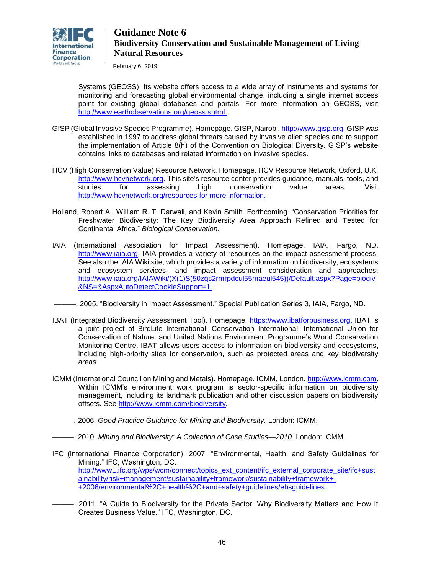

February 6, 2019

Systems (GEOSS). Its website offers access to a wide array of instruments and systems for monitoring and forecasting global environmental change, including a single internet access point for existing global databases and portals. For more information on GEOSS, visit [http://www.earthobservations.org/geoss.shtml.](http://www.earthobservations.org/geoss.shtml)

- GISP (Global Invasive Species Programme). Homepage. GISP, Nairobi[. http://www.gisp.org.](http://www.gisp.org/) GISP was established in 1997 to address global threats caused by invasive alien species and to support the implementation of Article 8(h) of the Convention on Biological Diversity. GISP's website contains links to databases and related information on invasive species.
- HCV (High Conservation Value) Resource Network. Homepage. HCV Resource Network, Oxford, U.K. [http://www.hcvnetwork.org.](http://www.hcvnetwork.org/) This site's resource center provides guidance, manuals, tools, and studies for assessing high conservation value areas. Visit <http://www.hcvnetwork.org/resources> for more information.
- Holland, Robert A., William R. T. Darwall, and Kevin Smith. Forthcoming. "Conservation Priorities for Freshwater Biodiversity: The Key Biodiversity Area Approach Refined and Tested for Continental Africa." *Biological Conservation*.
- IAIA (International Association for Impact Assessment). Homepage. IAIA, Fargo, ND. [http://www.iaia.org.](http://www.iaia.org/) IAIA provides a variety of resources on the impact assessment process. See also the IAIA Wiki site, which provides a variety of information on biodiversity, ecosystems and ecosystem services, and impact assessment consideration and approaches: [http://www.iaia.org/IAIAWiki/\(X\(1\)S\(50zqs2rmrpdcul55maeul545\)\)/Default.aspx?Page=biodiv](http://www.iaia.org/IAIAWiki/(X(1)S(50zqs2rmrpdcul55maeul545))/Default.aspx?Page=biodiv&NS=&AspxAutoDetectCookieSupport=1) [&NS=&AspxAutoDetectCookieSupport=1.](http://www.iaia.org/IAIAWiki/(X(1)S(50zqs2rmrpdcul55maeul545))/Default.aspx?Page=biodiv&NS=&AspxAutoDetectCookieSupport=1)
- ———. 2005. "Biodiversity in Impact Assessment." Special Publication Series 3, IAIA, Fargo, ND.
- IBAT (Integrated Biodiversity Assessment Tool). Homepage. [https://www.ibatforbusiness.org.](https://www.ibatforbusiness.org/) IBAT is a joint project of BirdLife International, Conservation International, International Union for Conservation of Nature, and United Nations Environment Programme's World Conservation Monitoring Centre. IBAT allows users access to information on biodiversity and ecosystems, including high-priority sites for conservation, such as protected areas and key biodiversity areas.
- ICMM (International Council on Mining and Metals). Homepage. ICMM, London. [http://www.icmm.com.](http://www.icmm.com/) Within ICMM's environment work program is sector-specific information on biodiversity management, including its landmark publication and other discussion papers on biodiversity offsets. See [http://www.icmm.com/biodiversity.](http://www.icmm.com/biodiversity)

———. 2006. *Good Practice Guidance for Mining and Biodiversity.* London: ICMM.

- ———. 2010. *Mining and Biodiversity: A Collection of Case Studies—2010*. London: ICMM.
- IFC (International Finance Corporation). 2007. "Environmental, Health, and Safety Guidelines for Mining." IFC, Washington, DC. [http://www1.ifc.org/wps/wcm/connect/topics\\_ext\\_content/ifc\\_external\\_corporate\\_site/ifc+sust](http://www1.ifc.org/wps/wcm/connect/topics_ext_content/ifc_external_corporate_site/ifc+sustainability/risk+management/sustainability+framework/sustainability+framework+-+2006/environmental%2C+health%2C+and+safety+guidelines/ehsguidelines) [ainability/risk+management/sustainability+framework/sustainability+framework+-](http://www1.ifc.org/wps/wcm/connect/topics_ext_content/ifc_external_corporate_site/ifc+sustainability/risk+management/sustainability+framework/sustainability+framework+-+2006/environmental%2C+health%2C+and+safety+guidelines/ehsguidelines) [+2006/environmental%2C+health%2C+and+safety+guidelines/ehsguidelines.](http://www1.ifc.org/wps/wcm/connect/topics_ext_content/ifc_external_corporate_site/ifc+sustainability/risk+management/sustainability+framework/sustainability+framework+-+2006/environmental%2C+health%2C+and+safety+guidelines/ehsguidelines)
- -. 2011. "A Guide to Biodiversity for the Private Sector: Why Biodiversity Matters and How It Creates Business Value." IFC, Washington, DC.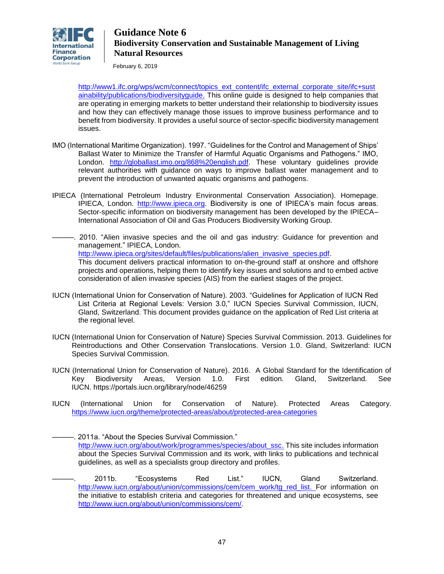

February 6, 2019

[http://www1.ifc.org/wps/wcm/connect/topics\\_ext\\_content/ifc\\_external\\_corporate\\_site/ifc+sust](http://www1.ifc.org/wps/wcm/connect/topics_ext_content/ifc_external_corporate_site/ifc+sustainability/publications/biodiversityguide) [ainability/publications/biodiversityguide.](http://www1.ifc.org/wps/wcm/connect/topics_ext_content/ifc_external_corporate_site/ifc+sustainability/publications/biodiversityguide) This online guide is designed to help companies that are operating in emerging markets to better understand their relationship to biodiversity issues and how they can effectively manage those issues to improve business performance and to benefit from biodiversity. It provides a useful source of sector-specific biodiversity management issues.

- IMO (International Maritime Organization). 1997. "Guidelines for the Control and Management of Ships' Ballast Water to Minimize the Transfer of Harmful Aquatic Organisms and Pathogens." IMO, London. [http://globallast.imo.org/868%20english.pdf.](http://globallast.imo.org/868%20english.pdf) These voluntary guidelines provide relevant authorities with guidance on ways to improve ballast water management and to prevent the introduction of unwanted aquatic organisms and pathogens.
- IPIECA (International Petroleum Industry Environmental Conservation Association). Homepage. IPIECA, London. [http://www.ipieca.org.](http://www.ipieca.org/) Biodiversity is one of IPIECA's main focus areas. Sector-specific information on biodiversity management has been developed by the IPIECA– International Association of Oil and Gas Producers Biodiversity Working Group.
- -. 2010. "Alien invasive species and the oil and gas industry: Guidance for prevention and management." IPIECA, London. [http://www.ipieca.org/sites/default/files/publications/alien\\_invasive\\_species.pdf.](http://www.ipieca.org/sites/default/files/publications/alien_invasive_species.pdf) This document delivers practical information to on-the-ground staff at onshore and offshore projects and operations, helping them to identify key issues and solutions and to embed active consideration of alien invasive species (AIS) from the earliest stages of the project.
- IUCN (International Union for Conservation of Nature). 2003. "Guidelines for Application of IUCN Red List Criteria at Regional Levels: Version 3.0," IUCN Species Survival Commission, IUCN, Gland, Switzerland. This document provides guidance on the application of Red List criteria at the regional level.
- IUCN (International Union for Conservation of Nature) Species Survival Commission. 2013. Guidelines for Reintroductions and Other Conservation Translocations. Version 1.0. Gland, Switzerland: IUCN Species Survival Commission.
- IUCN (International Union for Conservation of Nature). 2016. A Global Standard for the Identification of Key Biodiversity Areas, Version 1.0. First edition. Gland, Switzerland. See IUCN. <https://portals.iucn.org/library/node/46259>
- IUCN (International Union for Conservation of Nature). Protected Areas Category. <https://www.iucn.org/theme/protected-areas/about/protected-area-categories>

———. 2011a. "About the Species Survival Commission." [http://www.iucn.org/about/work/programmes/species/about\\_ssc.](http://www.iucn.org/about/work/programmes/species/about_ssc) This site includes information about the Species Survival Commission and its work, with links to publications and technical guidelines, as well as a specialists group directory and profiles.

———. 2011b. "Ecosystems Red List." IUCN, Gland Switzerland. [http://www.iucn.org/about/union/commissions/cem/cem\\_work/tg\\_red\\_list.](http://www.iucn.org/about/union/commissions/cem/cem_work/tg_red_list) For information on the initiative to establish criteria and categories for threatened and unique ecosystems, see [http://www.iucn.org/about/union/commissions/cem/.](http://www.iucn.org/about/union/commissions/cem/)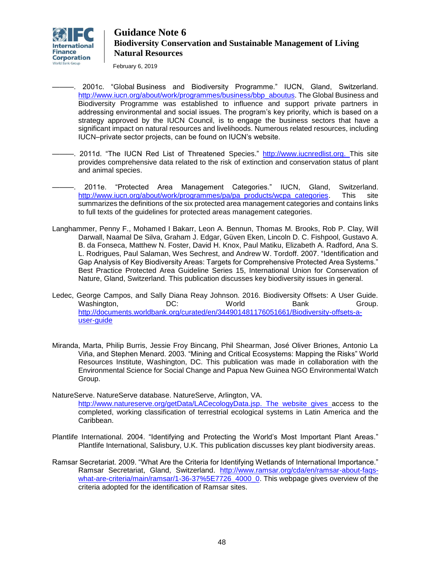

February 6, 2019

———. 2001c. "Global Business and Biodiversity Programme." IUCN, Gland, Switzerland. [http://www.iucn.org/about/work/programmes/business/bbp\\_aboutus.](http://www.iucn.org/about/work/programmes/business/bbp_aboutus) The Global Business and Biodiversity Programme was established to influence and support private partners in addressing environmental and social issues. The program's key priority, which is based on a strategy approved by the IUCN Council, is to engage the business sectors that have a significant impact on natural resources and livelihoods. Numerous related resources, including IUCN–private sector projects, can be found on IUCN's website.

- -. 2011d. "The IUCN Red List of Threatened Species." [http://www.iucnredlist.org.](http://www.iucnredlist.org/) This site provides comprehensive data related to the risk of extinction and conservation status of plant and animal species.
	- 2011e. "Protected Area Management Categories." IUCN, Gland, Switzerland. [http://www.iucn.org/about/work/programmes/pa/pa\\_products/wcpa\\_categories.](http://www.iucn.org/about/work/programmes/pa/pa_products/wcpa_categories) This site summarizes the definitions of the six protected area management categories and contains links to full texts of the guidelines for protected areas management categories.
- Langhammer, Penny F., Mohamed I Bakarr, Leon A. Bennun, Thomas M. Brooks, Rob P. Clay, Will Darwall, Naamal De Silva, Graham J. Edgar, Güven Eken, Lincoln D. C. Fishpool, Gustavo A. B. da Fonseca, Matthew N. Foster, David H. Knox, Paul Matiku, Elizabeth A. Radford, Ana S. L. Rodrigues, Paul Salaman, Wes Sechrest, and Andrew W. Tordoff. 2007. "Identification and Gap Analysis of Key Biodiversity Areas: Targets for Comprehensive Protected Area Systems." Best Practice Protected Area Guideline Series 15, International Union for Conservation of Nature, Gland, Switzerland. This publication discusses key biodiversity issues in general.
- Ledec, George Campos, and Sally Diana Reay Johnson. 2016. Biodiversity Offsets: A User Guide.<br>Washington. DC: World Bank Bank Group. Washington, DC: World Bank Group. [http://documents.worldbank.org/curated/en/344901481176051661/Biodiversity-offsets-a](http://documents.worldbank.org/curated/en/344901481176051661/Biodiversity-offsets-a-user-guide)[user-guide](http://documents.worldbank.org/curated/en/344901481176051661/Biodiversity-offsets-a-user-guide)
- Miranda, Marta, Philip Burris, Jessie Froy Bincang, Phil Shearman, José Oliver Briones, Antonio La Viña, and Stephen Menard. 2003. "Mining and Critical Ecosystems: Mapping the Risks" World Resources Institute, Washington, DC. This publication was made in collaboration with the Environmental Science for Social Change and Papua New Guinea NGO Environmental Watch Group.
- NatureServe. NatureServe database. NatureServe, Arlington, VA. [http://www.natureserve.org/getData/LACecologyData.jsp.](http://www.natureserve.org/getData/LACecologyData.jsp) The website gives access to the completed, working classification of terrestrial ecological systems in Latin America and the Caribbean.
- Plantlife International. 2004. "Identifying and Protecting the World's Most Important Plant Areas*.*" Plantlife International, Salisbury, U.K. This publication discusses key plant biodiversity areas.
- Ramsar Secretariat. 2009. "What Are the Criteria for Identifying Wetlands of International Importance." Ramsar Secretariat, Gland, Switzerland. [http://www.ramsar.org/cda/en/ramsar-about-faqs](http://www.ramsar.org/cda/en/ramsar-about-faqs-what-are-criteria/main/ramsar/1-36-37%5E7726_4000_0)[what-are-criteria/main/ramsar/1-36-37%5E7726\\_4000\\_0.](http://www.ramsar.org/cda/en/ramsar-about-faqs-what-are-criteria/main/ramsar/1-36-37%5E7726_4000_0) This webpage gives overview of the criteria adopted for the identification of Ramsar sites.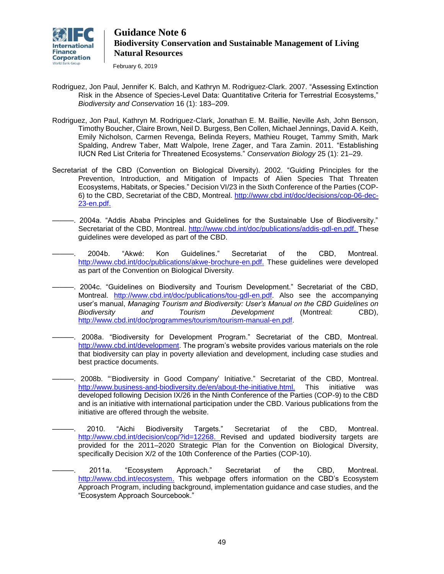

February 6, 2019

- Rodriguez, Jon Paul, Jennifer K. Balch, and Kathryn M. Rodriguez-Clark. 2007. "Assessing Extinction Risk in the Absence of Species-Level Data: Quantitative Criteria for Terrestrial Ecosystems," *Biodiversity and Conservation* 16 (1): 183–209.
- Rodriguez, Jon Paul, Kathryn M. Rodriguez-Clark, Jonathan E. M. Baillie, Neville Ash, John Benson, Timothy Boucher, Claire Brown, Neil D. Burgess, Ben Collen, Michael Jennings, David A. Keith, Emily Nicholson, Carmen Revenga, Belinda Reyers, Mathieu Rouget, Tammy Smith, Mark Spalding, Andrew Taber, Matt Walpole, Irene Zager, and Tara Zamin. 2011. "Establishing IUCN Red List Criteria for Threatened Ecosystems." *Conservation Biology* 25 (1): 21–29.
- Secretariat of the CBD (Convention on Biological Diversity). 2002. "Guiding Principles for the Prevention, Introduction, and Mitigation of Impacts of Alien Species That Threaten Ecosystems, Habitats, or Species." Decision VI/23 in the Sixth Conference of the Parties (COP-6) to the CBD, Secretariat of the CBD, Montreal. [http://www.cbd.int/doc/decisions/cop-06-dec-](http://www.cbd.int/doc/decisions/cop-06-dec-23-en.pdf)[23-en.pdf.](http://www.cbd.int/doc/decisions/cop-06-dec-23-en.pdf)
- ———. 2004a. "Addis Ababa Principles and Guidelines for the Sustainable Use of Biodiversity." Secretariat of the CBD, Montreal. [http://www.cbd.int/doc/publications/addis-gdl-en.pdf.](http://www.cbd.int/doc/publications/addis-gdl-en.pdf) These guidelines were developed as part of the CBD.
- ———. 2004b. "Akwé: Kon Guidelines." Secretariat of the CBD, Montreal. [http://www.cbd.int/doc/publications/akwe-brochure-en.pdf.](http://www.cbd.int/doc/publications/akwe-brochure-en.pdf) These guidelines were developed as part of the Convention on Biological Diversity.
- ———. 2004c. "Guidelines on Biodiversity and Tourism Development." Secretariat of the CBD, Montreal. [http://www.cbd.int/doc/publications/tou-gdl-en.pdf.](http://www.cbd.int/doc/publications/tou-gdl-en.pdf) Also see the accompanying user's manual, *Managing Tourism and Biodiversity: User's Manual on the CBD Guidelines on Biodiversity and Tourism Development* (Montreal: CBD), [http://www.cbd.int/doc/programmes/tourism/tourism-manual-en.pdf.](http://www.cbd.int/doc/programmes/tourism/tourism-manual-en.pdf)
- ———. 2008a. "Biodiversity for Development Program." Secretariat of the CBD, Montreal. [http://www.cbd.int/development.](http://www.cbd.int/development/) The program's website provides various materials on the role that biodiversity can play in poverty alleviation and development, including case studies and best practice documents.
	- 2008b. "Biodiversity in Good Company' Initiative." Secretariat of the CBD, Montreal. [http://www.business-and-biodiversity.de/en/about-the-initiative.html.](http://www.business-and-biodiversity.de/en/about-the-initiative.html) This initiative was developed following [Decision IX/26](http://www.cbd.int/decisions/?m=COP-09&id=11669&lg=0) in the Ninth Conference of the Parties (COP-9) to the CBD and is an initiative with international participation under the CBD. Various publications from the initiative are offered through the website.
		- ———. 2010. "Aichi Biodiversity Targets." Secretariat of the CBD, Montreal. [http://www.cbd.int/decision/cop/?id=12268.](http://www.cbd.int/decision/cop/?id=12268) Revised and updated biodiversity targets are provided for the 2011–2020 Strategic Plan for the Convention on Biological Diversity, specifically [Decision X/2](http://www.cbd.int/decision/cop/?id=12268) of the 10th Conference of the Parties (COP-10).
		- ———. 2011a. "Ecosystem Approach." Secretariat of the CBD, Montreal. [http://www.cbd.int/ecosystem.](http://www.cbd.int/ecosystem/) This webpage offers information on the CBD's Ecosystem Approach Program, including background, implementation guidance and case studies, and the "Ecosystem Approach Sourcebook."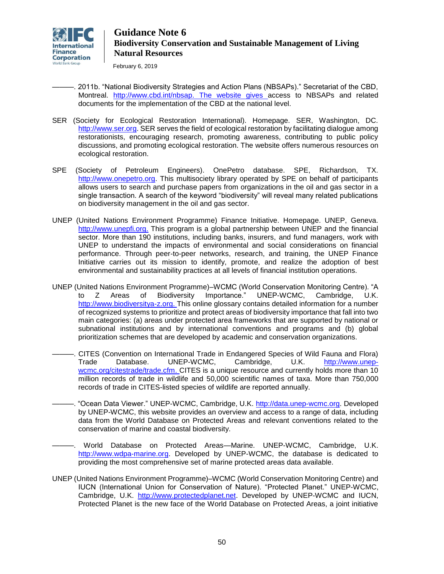

February 6, 2019

- ———. 2011b. "National Biodiversity Strategies and Action Plans (NBSAPs)." Secretariat of the CBD, Montreal. [http://www.cbd.int/nbsap.](http://www.cbd.int/nbsap/) The website gives access to NBSAPs and related documents for the implementation of the CBD at the national level.
- SER (Society for Ecological Restoration International). Homepage. SER, Washington, DC. [http://www.ser.org.](http://www.ser.org/) SER serves the field of ecological restoration by facilitating dialogue among restorationists, encouraging research, promoting awareness, contributing to public policy discussions, and promoting ecological restoration. The website offers numerous resources on ecological restoration.
- SPE (Society of Petroleum Engineers). OnePetro database. SPE, Richardson, TX. [http://www.onepetro.org.](http://www.onepetro.org/) This multisociety library operated by SPE on behalf of participants allows users to search and purchase papers from organizations in the oil and gas sector in a single transaction. A search of the keyword "biodiversity" will reveal many related publications on biodiversity management in the oil and gas sector.
- UNEP (United Nations Environment Programme) Finance Initiative. Homepage. UNEP, Geneva. [http://www.unepfi.org.](http://www.unepfi.org/) This program is a global partnership between UNEP and the financial sector. More than 190 institutions, including banks, insurers, and fund managers, work with UNEP to understand the impacts of environmental and social considerations on financial performance. Through peer-to-peer networks, research, and training, the UNEP Finance Initiative carries out its mission to identify, promote, and realize the adoption of best environmental and sustainability practices at all levels of financial institution operations.
- UNEP (United Nations Environment Programme)–WCMC (World Conservation Monitoring Centre). "A to Z Areas of Biodiversity Importance." UNEP-WCMC, Cambridge, U.K. [http://www.biodiversitya-z.org.](http://www.biodiversitya-z.org/) This online glossary contains detailed information for a number of recognized systems to prioritize and protect areas of biodiversity importance that fall into two main categories: (a) areas under protected area frameworks that are supported by national or subnational institutions and by international conventions and programs and (b) global prioritization schemes that are developed by academic and conservation organizations.
- ———. CITES (Convention on International Trade in Endangered Species of Wild Fauna and Flora) Trade Database. UNEP-WCMC, Cambridge, U.K. [http://www.unep](http://www.unep-wcmc.org/citestrade/trade.cfm)[wcmc.org/citestrade/trade.cfm.](http://www.unep-wcmc.org/citestrade/trade.cfm) CITES is a unique resource and currently holds more than 10 million records of trade in wildlife and 50,000 scientific names of taxa. More than 750,000 records of trade in CITES-listed species of wildlife are reported annually.
- -. "Ocean Data Viewer." UNEP-WCMC, Cambridge, U.K. [http://data.unep-wcmc.org.](http://data.unep-wcmc.org/) Developed by UNEP-WCMC, this website provides an overview and access to a range of data, including data from the World Database on Protected Areas and relevant conventions related to the conservation of marine and coastal biodiversity.
	- ———. World Database on Protected Areas—Marine. UNEP-WCMC, Cambridge, U.K. [http://www.wdpa-marine.org.](http://www.wdpa-marine.org/) Developed by UNEP-WCMC, the database is dedicated to providing the most comprehensive set of marine protected areas data available.
- UNEP (United Nations Environment Programme)–WCMC (World Conservation Monitoring Centre) and IUCN (International Union for Conservation of Nature). "Protected Planet." UNEP-WCMC, Cambridge, U.K. [http://www.protectedplanet.net.](http://www.protectedplanet.net/) Developed by UNEP-WCMC and IUCN, Protected Planet is the new face of the World Database on Protected Areas, a joint initiative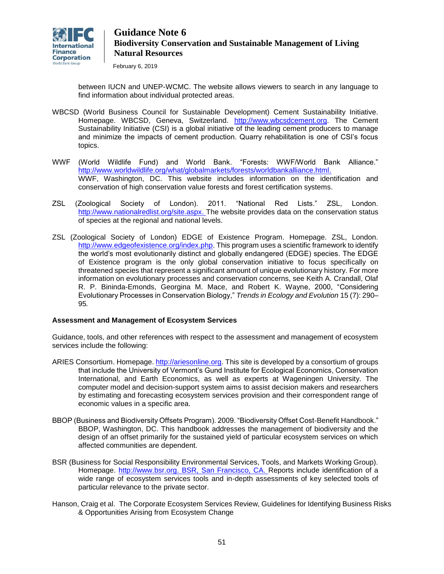

February 6, 2019

between IUCN and UNEP-WCMC. The website allows viewers to search in any language to find information about individual protected areas.

- WBCSD (World Business Council for Sustainable Development) Cement Sustainability Initiative. Homepage. WBCSD, Geneva, Switzerland. [http://www.wbcsdcement.org.](http://www.wbcsdcement.org/) The Cement Sustainability Initiative (CSI) is a global initiative of the leading cement producers to manage and minimize the impacts of cement production. Quarry rehabilitation is one of CSI's focus topics.
- WWF (World Wildlife Fund) and World Bank. "Forests: WWF/World Bank Alliance." [http://www.worldwildlife.org/what/globalmarkets/forests/worldbankalliance.html.](http://www.worldwildlife.org/what/globalmarkets/forests/worldbankalliance.html) WWF, Washington, DC. This website includes information on the identification and conservation of high conservation value forests and forest certification systems.
- ZSL (Zoological Society of London). 2011. "National Red Lists." ZSL, London. [http://www.nationalredlist.org/site.aspx.](http://www.nationalredlist.org/site.aspx) The website provides data on the conservation status of species at the regional and national levels.
- ZSL (Zoological Society of London) EDGE of Existence Program. Homepage. ZSL, London. [http://www.edgeofexistence.org/index.php.](http://www.edgeofexistence.org/index.php) This program uses a scientific framework to identify the world's most evolutionarily distinct and globally endangered (EDGE) species. The EDGE of Existence program is the only global conservation initiative to focus specifically on threatened species that represent a significant amount of unique evolutionary history. For more information on evolutionary processes and conservation concerns, see Keith A. Crandall, Olaf R. P. Bininda-Emonds, Georgina M. Mace, and Robert K. Wayne, 2000, "Considering Evolutionary Processes in Conservation Biology," *Trends in Ecology and Evolution* 15 (7): 290– 95*.*

### **Assessment and Management of Ecosystem Services**

Guidance, tools, and other references with respect to the assessment and management of ecosystem services include the following:

- ARIES Consortium. Homepage. [http://ariesonline.org.](http://ariesonline.org/) This site is developed by a consortium of groups that include the University of Vermont's Gund Institute for Ecological Economics, Conservation International, and Earth Economics, as well as experts at Wageningen University. The computer model and decision-support system aims to assist decision makers and researchers by estimating and forecasting ecosystem services provision and their correspondent range of economic values in a specific area.
- BBOP (Business and Biodiversity Offsets Program). 2009. "Biodiversity Offset Cost-Benefit Handbook." BBOP, Washington, DC. This handbook addresses the management of biodiversity and the design of an offset primarily for the sustained yield of particular ecosystem services on which affected communities are dependent.
- BSR (Business for Social Responsibility Environmental Services, Tools, and Markets Working Group). Homepage. [http://www.bsr.org.](http://www.bsr.org/) BSR, San Francisco, CA. Reports include identification of a wide range of ecosystem services tools and in-depth assessments of key selected tools of particular relevance to the private sector.
- Hanson, Craig et al. The Corporate Ecosystem Services Review, Guidelines for Identifying Business Risks & Opportunities Arising from Ecosystem Change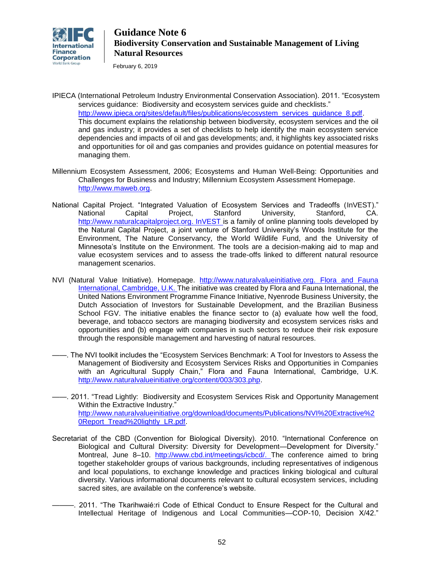

February 6, 2019

- IPIECA (International Petroleum Industry Environmental Conservation Association). 2011. "Ecosystem services guidance: Biodiversity and ecosystem services guide and checklists." http://www.ipieca.org/sites/default/files/publications/ecosystem\_services\_quidance\_8.pdf. This document explains the relationship between biodiversity, ecosystem services and the oil and gas industry; it provides a set of checklists to help identify the main ecosystem service dependencies and impacts of oil and gas developments; and, it highlights key associated risks and opportunities for oil and gas companies and provides guidance on potential measures for managing them.
- Millennium Ecosystem Assessment, 2006; Ecosystems and Human Well-Being: Opportunities and Challenges for Business and Industry; Millennium Ecosystem Assessment Homepage. [http://www.maweb.org.](http://www.maweb.org/)
- National Capital Project. "Integrated Valuation of Ecosystem Services and Tradeoffs [\(InVEST\)](http://www.naturalcapitalproject.org/InVEST.html)." National Capital Project, Stanford University, Stanford, CA. [http://www.naturalcapitalproject.org.](http://www.naturalcapitalproject.org/) InVEST is a family of online planning tools developed by the Natural Capital Project, a joint venture of Stanford University's Woods Institute for the Environment, The Nature Conservancy, the World Wildlife Fund, and the University of Minnesota's Institute on the Environment. The tools are a decision-making aid to map and value ecosystem services and to assess the trade-offs linked to different natural resource management scenarios.
- NVI (Natural Value Initiative). Homepage. [http://www.naturalvalueinitiative.org.](http://www.naturalvalueinitiative.org/) Flora and Fauna International, Cambridge, U.K. The initiative was created by Flora and Fauna International, the United Nations Environment Programme Finance Initiative, Nyenrode Business University, the Dutch Association of Investors for Sustainable Development, and the Brazilian Business School FGV. The initiative enables the finance sector to (a) evaluate how well the food, beverage, and tobacco sectors are managing biodiversity and ecosystem services risks and opportunities and (b) engage with companies in such sectors to reduce their risk exposure through the responsible management and harvesting of natural resources.
- ——. The NVI toolkit includes the "Ecosystem Services Benchmark: A Tool for Investors to Assess the Management of Biodiversity and Ecosystem Services Risks and Opportunities in Companies with an Agricultural Supply Chain," Flora and Fauna International, Cambridge, U.K. [http://www.naturalvalueinitiative.org/content/003/303.php.](http://www.naturalvalueinitiative.org/content/003/303.php)
- ——. 2011. "Tread Lightly: Biodiversity and Ecosystem Services Risk and Opportunity Management Within the Extractive Industry." [http://www.naturalvalueinitiative.org/download/documents/Publications/NVI%20Extractive%2](http://www.naturalvalueinitiative.org/download/documents/Publications/NVI%20Extractive%20Report_Tread%20lightly_LR.pdf) OReport\_Tread%20lightly\_LR.pdf.
- Secretariat of the CBD (Convention for Biological Diversity). 2010. "International Conference on Biological and Cultural Diversity: Diversity for Development—Development for Diversity." Montreal, June 8–10. [http://www.cbd.int/meetings/icbcd/.](http://www.cbd.int/meetings/icbcd/) The conference aimed to bring together stakeholder groups of various backgrounds, including representatives of indigenous and local populations, to exchange knowledge and practices linking biological and cultural diversity. Various informational documents relevant to cultural ecosystem services, including sacred sites, are available on the conference's website.
- ———. 2011. "The Tkarihwaié:ri Code of Ethical Conduct to Ensure Respect for the Cultural and Intellectual Heritage of Indigenous and Local Communities—COP-10, Decision X/42."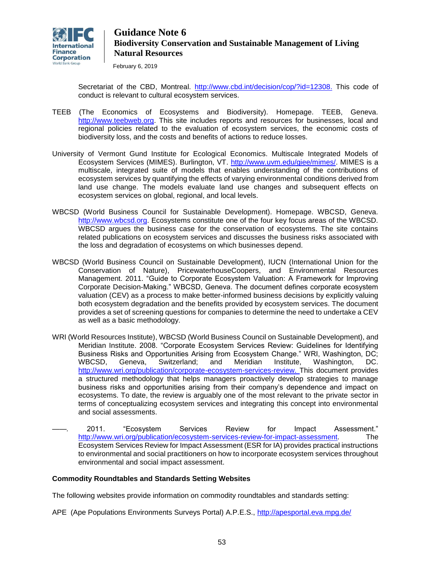

February 6, 2019

Secretariat of the CBD, Montreal. [http://www.cbd.int/decision/cop/?id=12308.](http://www.cbd.int/decision/cop/?id=12308) This code of conduct is relevant to cultural ecosystem services.

- TEEB (The Economics of Ecosystems and Biodiversity). Homepage. TEEB, Geneva. [http://www.teebweb.org.](http://www.teebweb.org/) This site includes reports and resources for businesses, local and regional policies related to the evaluation of ecosystem services, the economic costs of biodiversity loss, and the costs and benefits of actions to reduce losses.
- University of Vermont Gund Institute for Ecological Economics. Multiscale Integrated Models of Ecosystem Services [\(MIMES\)](http://www.uvm.edu/giee/mimes/). Burlington, VT. [http://www.uvm.edu/giee/mimes/.](http://www.uvm.edu/giee/mimes/) MIMES is a multiscale, integrated suite of models that enables understanding of the contributions of ecosystem services by quantifying the effects of varying environmental conditions derived from land use change. The models evaluate land use changes and subsequent effects on ecosystem services on global, regional, and local levels.
- WBCSD (World Business Council for Sustainable Development). Homepage. WBCSD, Geneva. [http://www.wbcsd.org.](http://www.wbcsd.org/) Ecosystems constitute one of the four key focus areas of the WBCSD. WBCSD argues the business case for the conservation of ecosystems. The site contains related publications on ecosystem services and discusses the business risks associated with the loss and degradation of ecosystems on which businesses depend.
- WBCSD (World Business Council on Sustainable Development), IUCN (International Union for the Conservation of Nature), PricewaterhouseCoopers, and Environmental Resources Management. 2011. "Guide to Corporate Ecosystem Valuation: A Framework for Improving Corporate Decision-Making." WBCSD, Geneva. The document defines corporate ecosystem valuation (CEV) as a process to make better-informed business decisions by explicitly valuing both ecosystem degradation and the benefits provided by ecosystem services. The document provides a set of screening questions for companies to determine the need to undertake a CEV as well as a basic methodology.
- WRI (World Resources Institute), WBCSD (World Business Council on Sustainable Development), and Meridian Institute. 2008. "Corporate Ecosystem Services Review: Guidelines for Identifying Business Risks and Opportunities Arising from Ecosystem Change." WRI, Washington, DC; WBCSD, Geneva, Switzerland; and Meridian Institute, Washington, DC. [http://www.wri.org/publication/corporate-ecosystem-services-review.](http://www.wri.org/publication/corporate-ecosystem-services-review) This document provides a structured methodology that helps managers proactively develop strategies to manage business risks and opportunities arising from their company's dependence and impact on ecosystems. To date, the review is arguably one of the most relevant to the private sector in terms of conceptualizing ecosystem services and integrating this concept into environmental and social assessments.
- *——.* 2011. "Ecosystem Services Review for Impact Assessment." [http://www.wri.org/publication/ecosystem-services-review-for-impact-assessment.](http://www.wri.org/publication/ecosystem-services-review-for-impact-assessment) The Ecosystem Services Review for Impact Assessment (ESR for IA) provides practical instructions to environmental and social practitioners on how to incorporate ecosystem services throughout environmental and social impact assessment.

### **Commodity Roundtables and Standards Setting Websites**

The following websites provide information on commodity roundtables and standards setting:

APE (Ape Populations Environments Surveys Portal) A.P.E.S.,<http://apesportal.eva.mpg.de/>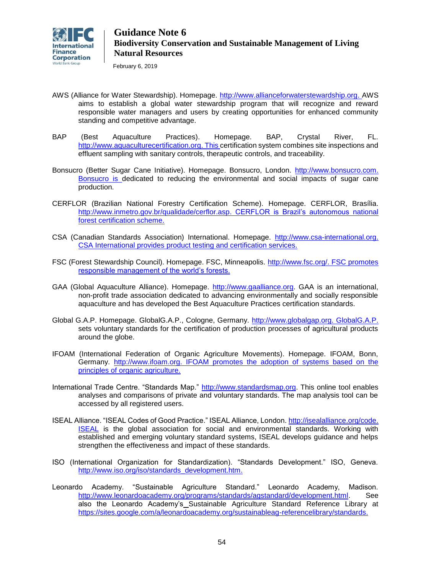

February 6, 2019

- AWS (Alliance for Water Stewardship). Homepage. [http://www.allianceforwaterstewardship.org.](http://www.allianceforwaterstewardship.org/) AWS aims to establish a global water stewardship program that will recognize and reward responsible water managers and users by creating opportunities for enhanced community standing and competitive advantage.
- BAP (Best Aquaculture Practices). Homepage. BAP, Crystal River, FL. [http://www.aquaculturecertification.org.](http://www.aquaculturecertification.org/) This certification system combines site inspections and effluent sampling with sanitary controls, therapeutic controls, and traceability.
- Bonsucro (Better Sugar Cane Initiative). Homepage. Bonsucro, London. [http://www.bonsucro.com.](http://www.bonsucro.com/) Bonsucro is dedicated to reducing the environmental and social impacts of sugar cane production.
- CERFLOR (Brazilian National Forestry Certification Scheme). Homepage. CERFLOR, Brasília. [http://www.inmetro.gov.br/qualidade/cerflor.asp.](http://www.inmetro.gov.br/qualidade/cerflor.asp) CERFLOR is Brazil's autonomous national forest certification scheme.
- CSA (Canadian Standards Association) International. Homepage. [http://www.csa-international.org.](http://www.csa-international.org/) CSA International provides product testing and certification services.
- FSC (Forest Stewardship Council). Homepage. FSC, Minneapolis. [http://www.fsc.org/.](http://www.fsc.org/) FSC promotes responsible management of the world's forests.
- GAA (Global Aquaculture Alliance). Homepage. [http://www.gaalliance.org.](http://www.gaalliance.org/) GAA is an international, non-profit trade association dedicated to advancing environmentally and socially responsible aquaculture and has developed the Best Aquaculture Practices certification standards.
- Global G.A.P. Homepage. GlobalG.A.P., Cologne, Germany. [http://www.globalgap.org.](http://www.globalgap.org/) GlobalG.A.P. sets voluntary standards for the certification of production processes of agricultural products around the globe.
- IFOAM (International Federation of Organic Agriculture Movements). Homepage. IFOAM, Bonn, Germany. [http://www.ifoam.org.](http://www.ifoam.org/) IFOAM promotes the adoption of systems based on the principles of organic agriculture.
- International Trade Centre. "Standards Map." [http://www.standardsmap.org.](http://www.standardsmap.org/) This online tool enables analyses and comparisons of private and voluntary standards. The map analysis tool can be accessed by all registered users.
- ISEAL Alliance. "ISEAL Codes of Good Practice." ISEAL Alliance, London. [http://isealalliance.org/code.](http://isealalliance.org/code) ISEAL is the global association for social and environmental standards. Working with established and emerging voluntary standard systems, ISEAL develops guidance and helps strengthen the effectiveness and impact of these standards.
- ISO (International Organization for Standardization). "Standards Development." ISO, Geneva. [http://www.iso.org/iso/standards\\_development.htm.](http://www.iso.org/iso/standards_development.htm)
- Leonardo Academy. "Sustainable Agriculture Standard." Leonardo Academy, Madison. [http://www.leonardoacademy.org/programs/standards/agstandard/development.html.](http://www.leonardoacademy.org/programs/standards/agstandard/development.html) See also the Leonardo Academy's Sustainable Agriculture Standard Reference Library at [https://sites.google.com/a/leonardoacademy.org/sustainableag-referencelibrary/standards.](https://sites.google.com/a/leonardoacademy.org/sustainableag-referencelibrary/standards)